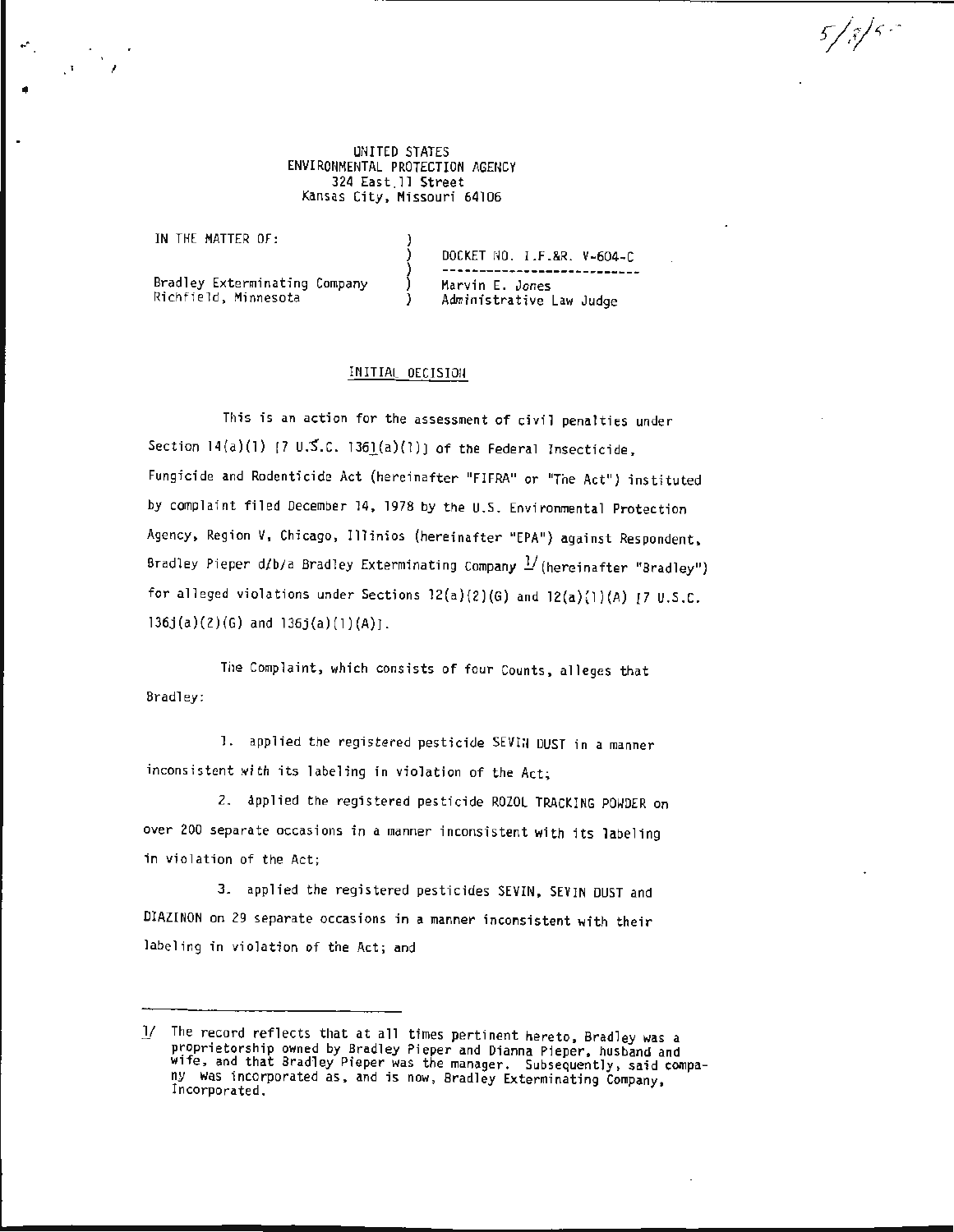UNITED STATES ENVIRONMENTAL PROTECTION AGENCY 324 East .ll Street Kansas City, Missouri 64106

IN THE MATTER OF:

•

DOCKET *NO.* I.F.&R. V-604-C --------------------------- Bradley Exterminating Company Richfield, Minnesota Marvin E. Jones Administrative Law Judge

 $5/8/5$ 

INITIAL DECISION

This is an action for the assessment of civil penalties under Section  $14(a)(1)$  [7 U.S.C. 1361(a)(l)] of the Federal Insecticide, Fungicide and Rodenticide Act (hereinafter "FIFRA" or "The Act") instituted by complaint filed December 14, 1978 by the U.S. Environmental Protection Agency, Region V, Chicago, Illinios (hereinafter "EPA") against Respondent, Bradley Pieper d/b/a Bradley Exterminating Company <sup>1</sup>/(hereinafter "Bradley") for alleged violations under Sections  $12(a)(2)(6)$  and  $12(a)(1)(A)$  [7 U.S.C.  $136j(a)(2)(6)$  and  $136j(a)(1)(A)$ .

The Complaint, which consists of four Counts, alleges that Bradley:

1. applied the registered pesticide SEVIN DUST in a manner inconsistent with its labeling in violation of the Act;

2. applied the registered pesticide ROZOL TRACKING POWDER on over 200 separate occasions in a manner inconsistent with its labeling in violation of the Act;

3. applied the registered pesticides SEVIN, SEVIN DUST and DIAZINON on 29 separate occasions in a manner inconsistent with their labeling in violation of the Act; and

<sup>1/</sup> The record reflects that at all times pertinent hereto, Bradley was a proprietorship owned by Bradley Pieper and Dianna Pieper, husband and wife, and that Bradley Pieper was the manager. Subsequently, said company was incorporated as, and is now, Bradley Exterminating Company, Incorporated.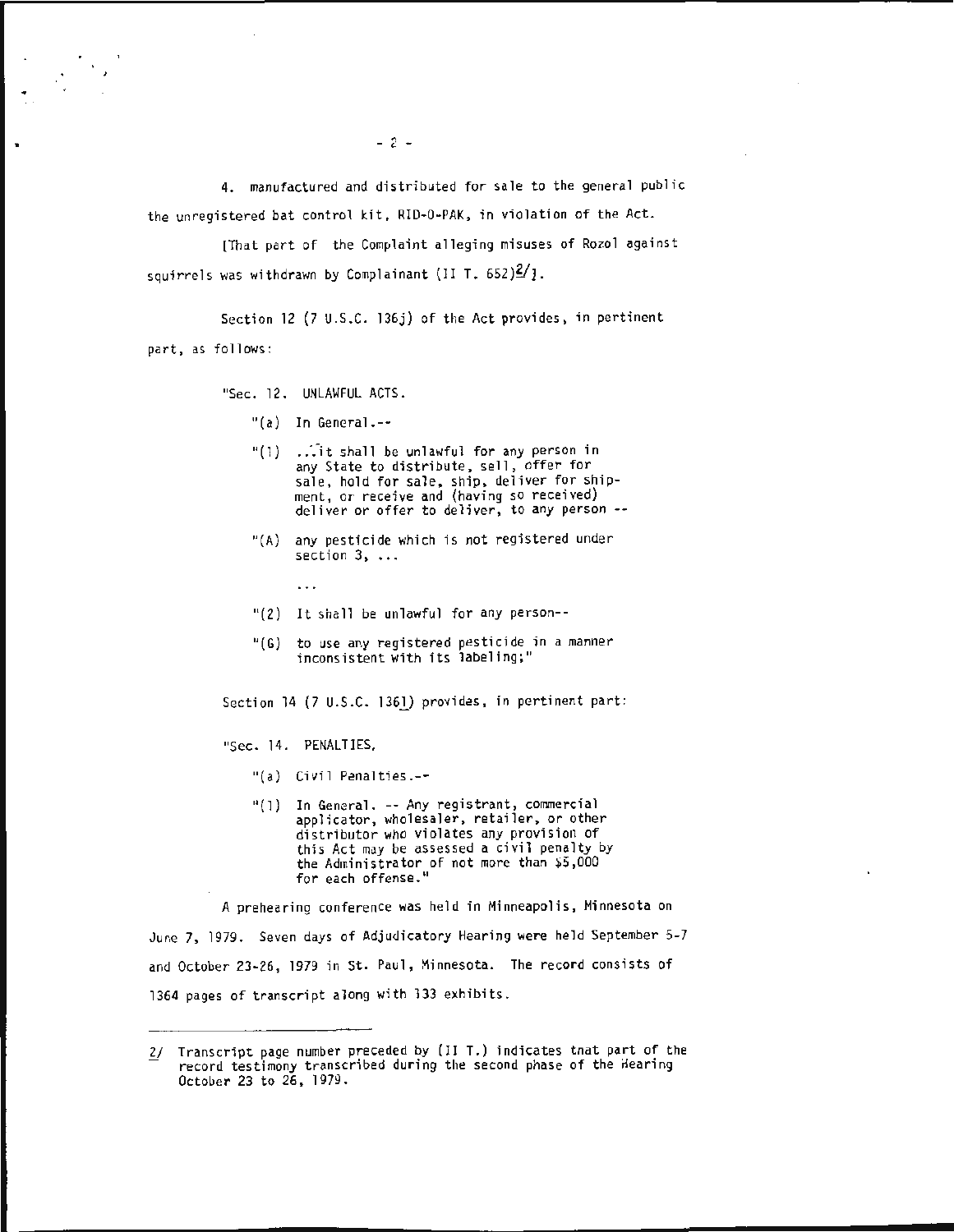4. manufactured and distributed for sale to the general public the unregistered bat control kit, RID-0-PAK, in violation of the Act.

[That part of the Complaint alleging misuses of Rozol against squirrels was withdrawn by Complainant (II T.  $652)$  $\frac{2}{1}$ .

Section 12 (7 u.s.c. 136j) of the Act provides, in pertinent part, as follows:

"Sec. 12. UNLAWFUL ACTS.

- "(a) In General.--
- "(1)  $\ldots$  it shall be unlawful for any person in any State to distribute, sell, offer for sale, hold for sale, ship, deliver for shipment, or receive and (having so received) deliver or offer to deliver, to any person--
- "(A) any pesticide which is not registered under section 3, ...
- "(2) It shall be unlawful for any person--
- "(G) to use any registered pesticide in a manner inconsistent with its labeling;"

Section 14 (7 U.S.C. 136l) provides, in pertinent part:

"Sec. 14. PENALTIES.

 $\ddotsc$ 

- "(a) Civil Penalties.--
- "(1) In General. -- Any registrant, commercial applicator, wholesaler, retailer, or other distributor who violates any provision of this Act may be assessed a civil penalty by the Administrator of not more than  $$5,000$ for each offense."

A prehearing conference was held in Minneapolis, Minnesota on June 7, 1979. Seven days of Adjudicatory Hearing were held September 5-7 and October 23-26, 1979 in St. Paul, Minnesota. The record consists of 1364 pages of transcript along with 133 exhibits.

 $- 2 -$ 

*<sup>£!</sup>* Transcript page number preceded by (II T.) indicates tnat part of the record testimony transcribed during the second phase of the Hearing October 23 to 26, 1979.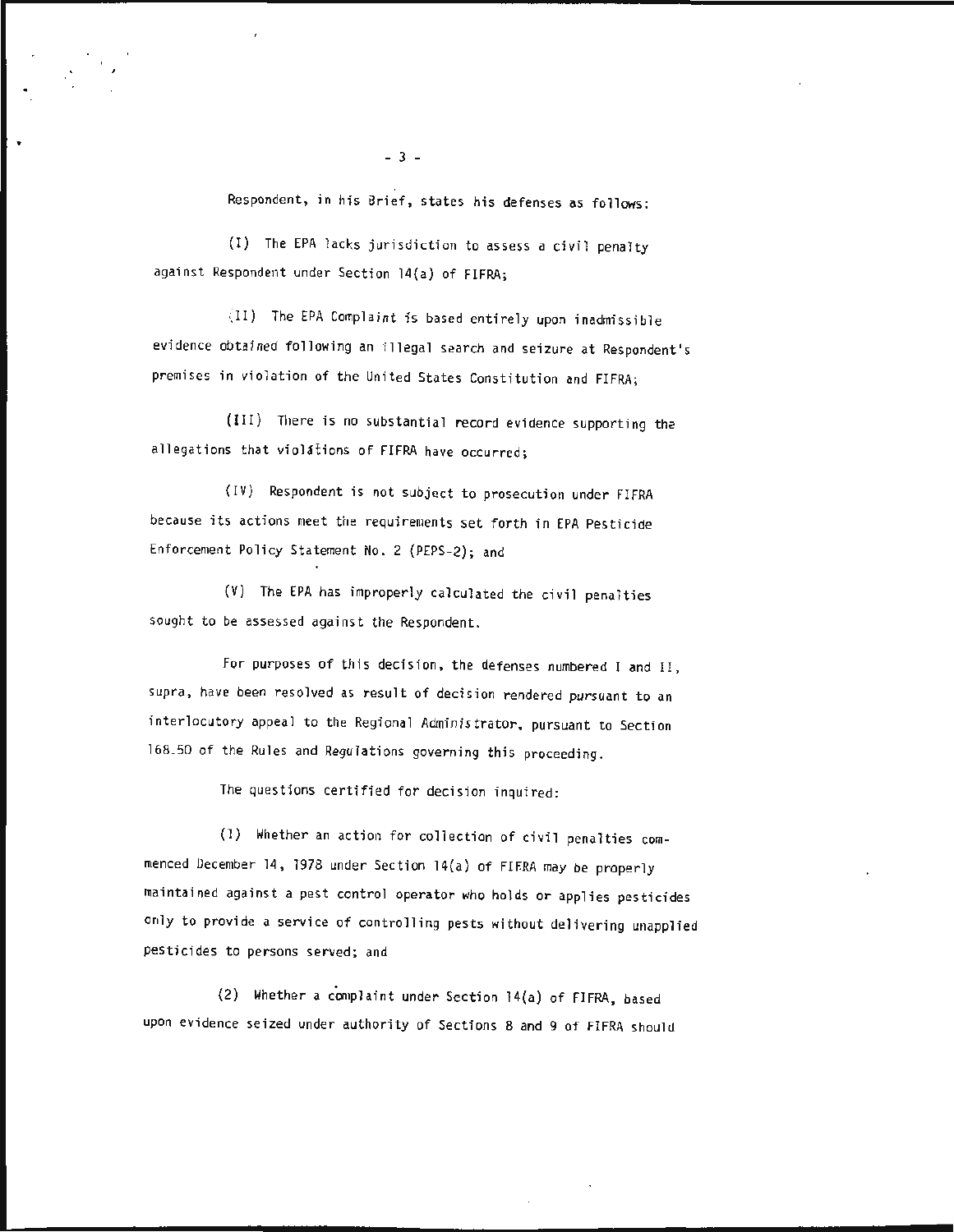Respondent, in his Brief, states his defenses as follows:

(I) The EPA lacks jurisdiction to assess a civil penalty against Respondent under Section 14(a) of FIFRA;

(II) The EPA Complaint is based entirely upon inadmissible evidence obtained following an illegal search and seizure at Respondent's premises in violation of the United States Constitution and FIFRA;

(III) There is no substantial re cord evidence supporting the allegations that violations of FIFRA have occurred;

(IV) Respondent is not subject to prosecution under FIFRA because its actions meet the requirements set forth in EPA Pesticide Enforcement Policy Statement No.2 (PEPS-2); and

(V) The EPA has improperly calculated the civil penalties sought to be assessed against the Respondent.

For purposes of this decision, the defenses numbered I and II, supra, have been resolved as result of decision rendered pursuant to an interlocutory appeal to the Regional Administrator, pursuant to Section 168.50 of the Rules and Regulations governing this proceeding.

The questions certified for decision inquired:

(l) Whether an action for collection of civil penalties commenced December 14, 1978 under Section 14(a) of FIFRA may be properly maintained against a pest control operator who holds or applies pesticides only to provide a service of controlling pests without delivering unapplied pesticides to persons served; and

(2) Whether a complaint under Section 14(a) of FIFRA, based upon evidence seized under authority of Sections 8 and g of FIFRA should

- *3* -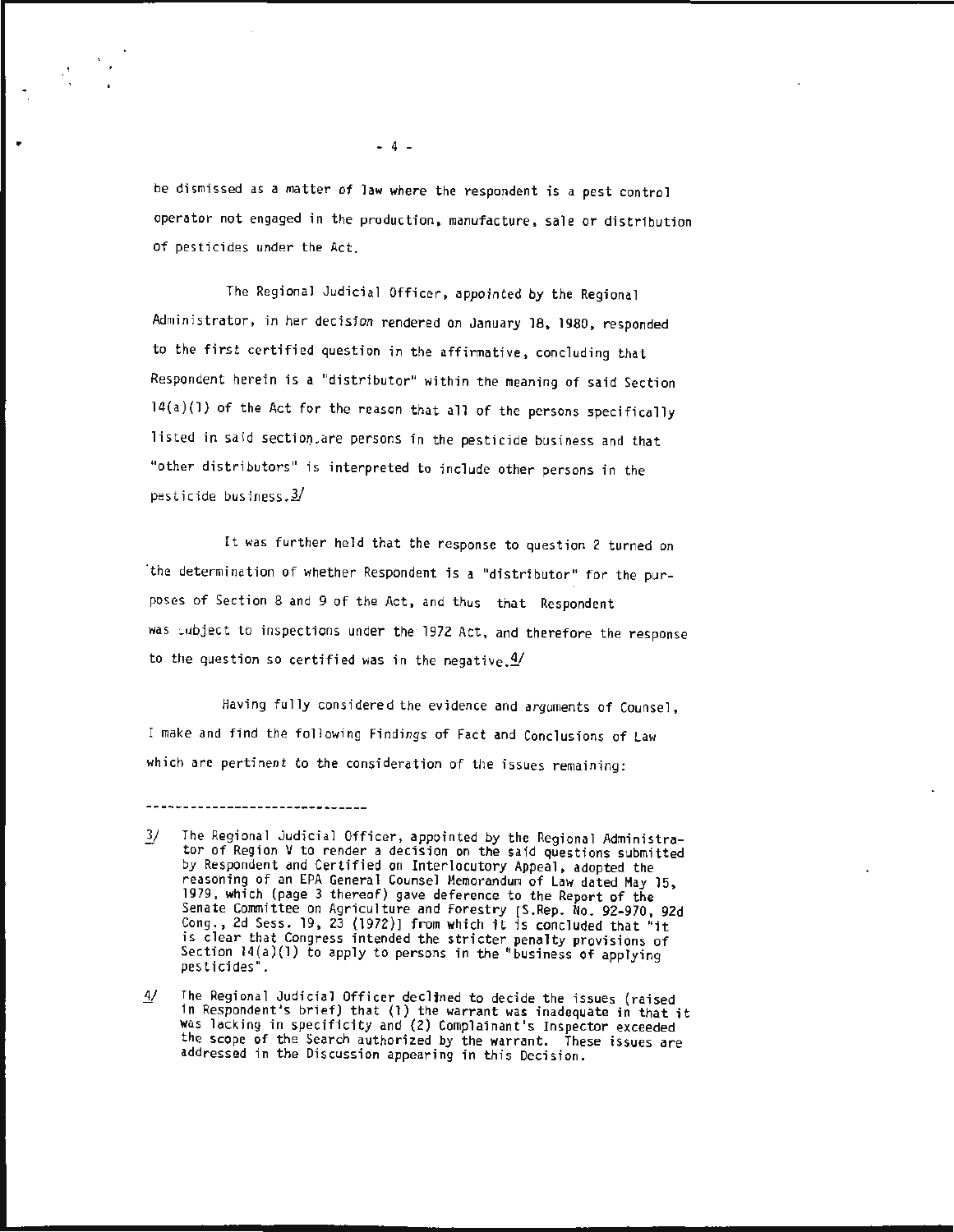be dismissed as a matter of law where the respondent is a pest control operator not engaged in the production , manufacture, sale or distribution of pesticides under the Act.

The Regional Judicial Officer , appointed by the Regional Administrator, in her decision rendered on January 18, 1980, responded to the first certified question in the affirmative, concluding that Respondent herein is a "distributor" within the meaning of said Section l4(a)(l) of the Act for the reason that all of the persons specifically listed in said section are persons in the pesticide business and that "other distributors" is interpreted to include other persons in the pesticide business. $3/$ 

It was further held that the response to question 2 turned on "the determination of whether Respondent is a "distributor" for the purposes of Section 8 and 9 of the Act, and thus that Respondent was Lubject to inspections under the 1972 Act, and therefore the response to the question so certified was in the negative.  $4/$ 

Having fully considered the evidence and arguments of Counsel, I make and find the following Findings of Fact and Conclusions of Law which are pertinent to the consideration of the issues remaining:

 $- 4 -$ 

The Regional Judicial Officer, appointed by the Regional Administra- $3/$ tor of Region V to render a decision on the said questions submitted by Respondent and Certified on Interlocutory Appeal, adopted the reasoning of an EPA General Counsel Memorandum of Law dated May 15, 1979, which (page 3 thereof) gave deference to the Report of the Senate Committee on Agriculture and Forestry [S.Rep. No. 92-970, 92d<br>Cong., 2d Sess. 19, 23 (1972)] from which it is concluded that "it is clear that Congress intended the stricter penalty provisions of Section  $14(a)(1)$  to apply to persons in the "business of applying pesticides".

The Regional Judicial Officer declined to decide the issues (raised 4/ in Respondent's brief) that (1) the warrant was inadequate in that it was lacking in specificity and (2) Complainant's Inspector exceeded the scope of the Search authorized by the warrant. These issues are addressed in the Discussion appearing in this Decision.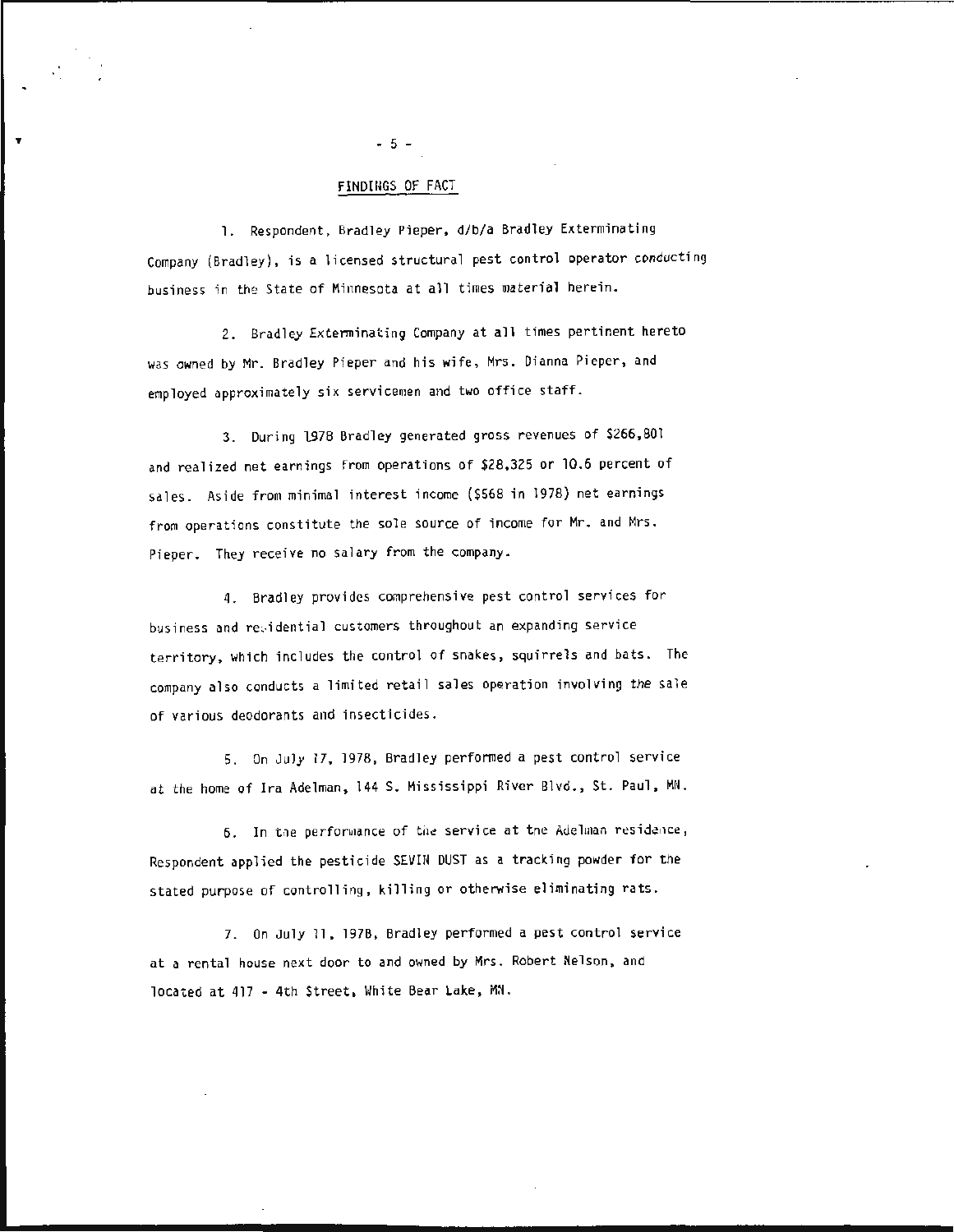# FINDIHGS OF FACT

1. Respondent, Bradley Pieper, d/b/a Bradley Exterminating Company (Bradley), is a licensed structural pest control operator conducting business in the State of Minnesota at all times material herein.

2. Bradley Exterminating Company at all times pertinent hereto was owned by Mr. Bradley Pieper and his wife, Mrs. Dianna Pieper, and employed approximately six servicemen and two office staff.

3. During lS78 Bradley generated gross revenues of \$266,801 and realized net earnings from operations of \$28,325 or 10.6 percent of sales. Aside from minimal interest income (\$568 in 1978) net earnings from operations constitute the sole source of income for Mr. and Mrs. Pieper. They receive no salary from the company.

4. Bradley provides comprehensive pest control services for busi ness and re idential customers throughout an expanding service territory, which includes the control of snakes, squirrels and bats . The company also conducts a limited retail sales operation involving the sale of various deodorants and insecticides.

5. On July 17 , 1978, Bradley performed a pest control service at the home of Ira Adelman, 144 S. Mississippi River Blvd. , St. Paul, MN.

6. In the performance of the service at the Adelman residence, Respondent applied the pesticide SEVIN DUST as a tracking powder for the stated purpose of controlling, killing or otherwise eliminating rats.

7. On July 11, 1978, Bradley performed a pest control service at a rental house next door to and owned by Mrs. Robert Nelson, and located at 417 - 4th Street, White Bear Lake, MN.

- 5 -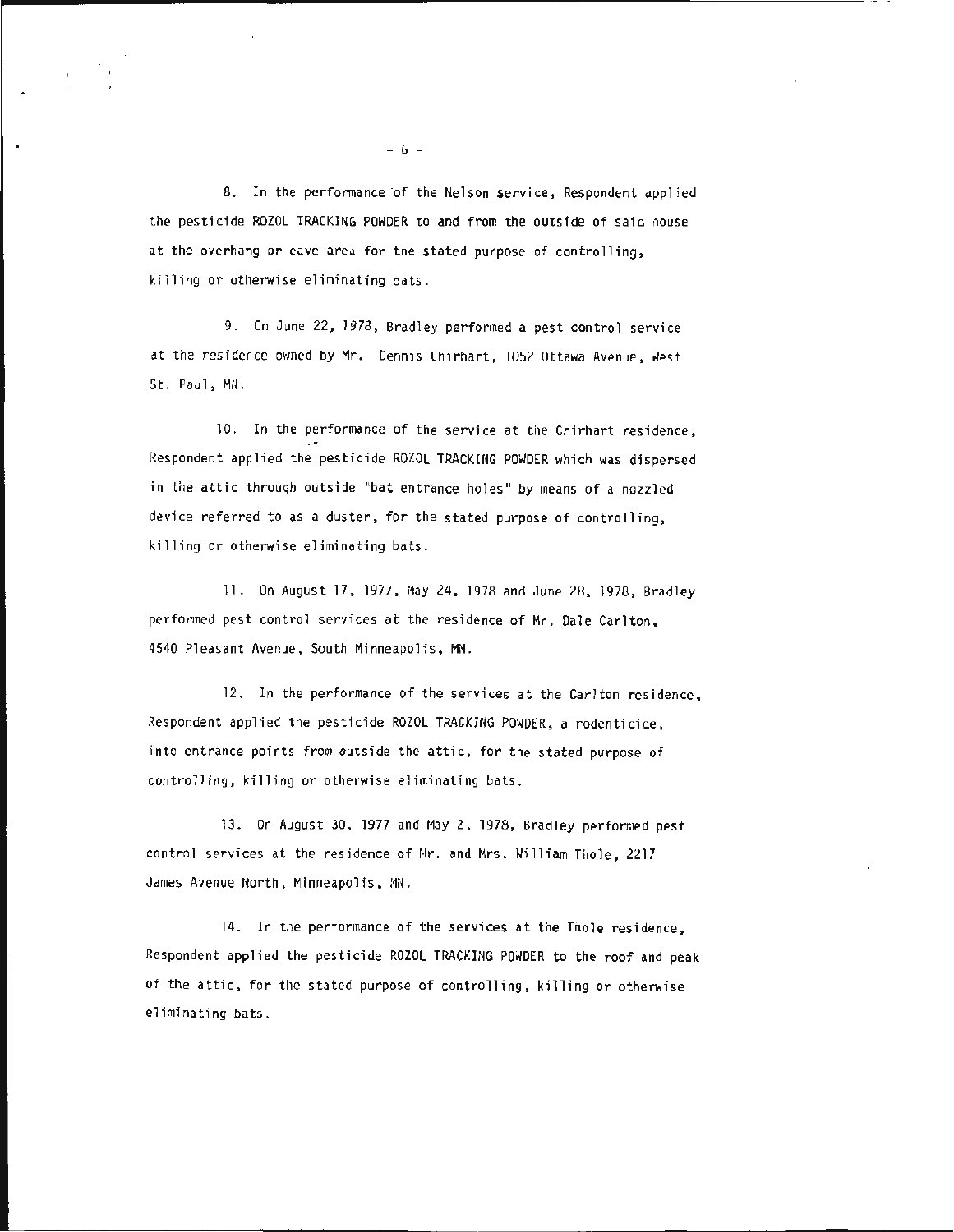8. In the performance of the Nelson service, Respondent applied the pesticide ROZOL TRACKING POWDER to and from the outside of said nouse at the overhang or eave area for the stated purpose of controlling, killing or otherwise eliminating bats.

9. On June 22, 1973, Bradley performed a pest control service at the residence owned by Mr. Dennis Chirhart, 1052 Ottawa Avenue, West St. Paul, MiL

10. In the performance of the service at the Chirhart residence, Respondent applied the pesticide ROZOL TRACKING POWDER which was dispersed in the attic through outside "bat entrance holes" by means of a nozzled device referred to as a duster, for the stated purpose of controlling, killing or otherwise eliminating bats.

11. On August 17, 1977, May 24, 1978 and June 28, 1978, Bradley performed pest control services at the residence of Mr. Dale Carlton. 4540 Pleas ant Avenue , South Minneapolis, MN.

12. In the performance of the services at the Carlton residence , Respondent applied the pesticide ROZOL TRACKING POWDER, a rodenticide , into entrance points from outside the attic, for the stated purpose of controlling , killing or otherwise eliminating bats.

13. On August 30, 1977 and May 2, 1978, Bradley performed pest control services at the residence of Hr. and Mrs. William Thole, 2217 James Avenue North, Minneapolis, MN.

14. In the performance of the services at the Thole residence , Respondent applied the pesticide ROZOL TRACKING POWDER to the roof and peak of the attic, for the stated purpose of controlling, killing or otherwise eliminating bats.

·'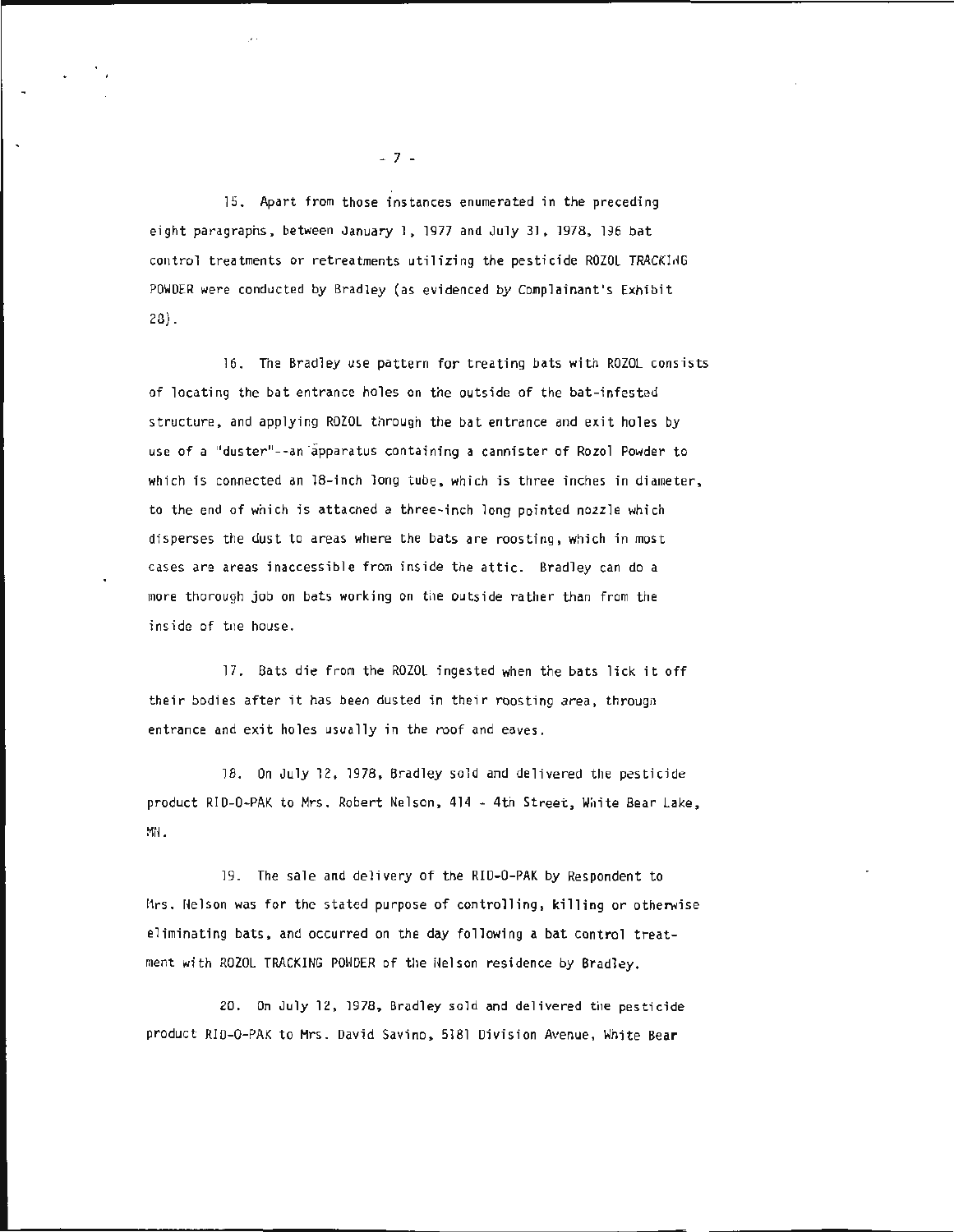15. Apart from those instances enumerated in the preceding eight paragraphs, between January 1, 1977 and July 31, 1978, 196 bat control treatments or retreatments utilizing the pesticide ROZOL TRACKING POWDER were conducted by Bradley (as evidenced by Complainant's Exhibit 20).

16. The Bradley use pattern for treating bats with ROZOL consists of locating the bat entrance holes on the outside of the bat-infested structure, and applying ROZOL through the bat entrance and exit holes by use of a "duster"--an apparatus containing a cannister of Rozol Powder to which is connected an 18-inch long tube, which is three inches in diameter, to the end of which is attacned a three-inch long pointed nozzle which disperses the dust to areas where the bats are roosting, which in most cases are areas inaccessible from inside the attic. Bradley can do a more thorough job on bats working on the outside rather than from the inside of tne house.

17. Bats die from the ROZOL ingested when the bats lick it off their bodies after it has been dusted in their roosting area, througn entrance and exit holes usually in the roof and eaves.

18. On July 12, 1978, Bradley sold and delivered the pesticide product RID-0-PAK to Mrs. Robert Nelson , 414 -4th Street, Wi1ite Bear Lake , MrL

19. The sale and delivery of the RID-0-PAK by Respondent to Mrs. Helson was for the stated purpose of controlling, killing or otherwise eliminating bats, and occurred on the day following a bat control treatment with ROZOL TRACKING POWDER of the Nelson residence by Bradley.

20. On July 12, 1978, Bradley sold and delivered the pesticide product RID-0-PAK to Mrs. David Savino, 5181 Division Avenue, Wnite Bear

- 7 -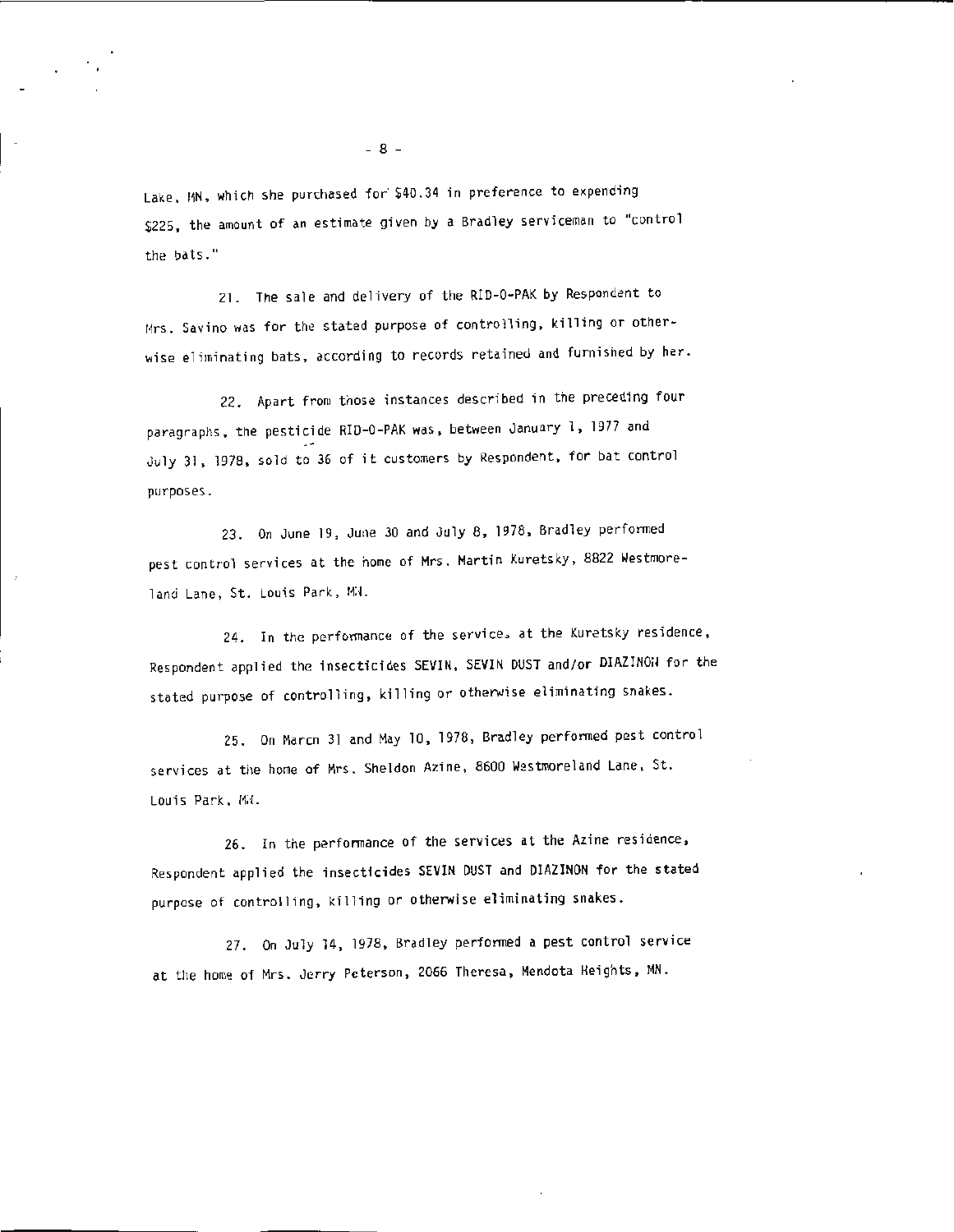Lake, MN, which she purchased for \$40.34 in preference to expending \$225, the amount of an estimate given by a Bradley serviceman to "control the bats."

21. The sale and delivery of the RID-0-PAK by Respondent to Mrs. Savino was for the stated purpose of controlling, killing or otherwise eliminating bats, according to records retained and furnished by her.

22. Apart from those instances described in the preceding four paragraphs, the pesticide RID-0 -PAK was, between January 1, 1977 and July 31, 1978, sold to 36 of it customers by Respondent, for bat control purposes .

23. On June 19, June 30 and July 8, 1978, Bradley performed pest control services at the home of Mrs. Martin Kuretsky, 8822 Westmoreland Lane, St. Louis Park, MN.

24. In the performance of the service, at the Kuretsky residence, Respondent applied the insecticides SEVIN, SEVIN OUST and/or DIAZINOil for the stated purpose of controlling, killing or otherwise eliminating snakes.

25. On March 31 and May 10 , 1978 , Bradley performed pest control services at the home of Mrs. Sheldon Azine, 8600 Westmoreland Lane, St. Louis Park, Mi.

26. In the performance of the services at the Azine residence, Respondent applied the insecticides SEVIN DUST and DIAZINON for the stated purpose of controlling, killing or otherwise eliminating snakes.

27. On July 14, 1978, Bradley performed a pest control service at the home of Mrs. Jerry Peterson, 2066 Theresa, Mendota Heights, MN.

- 8 -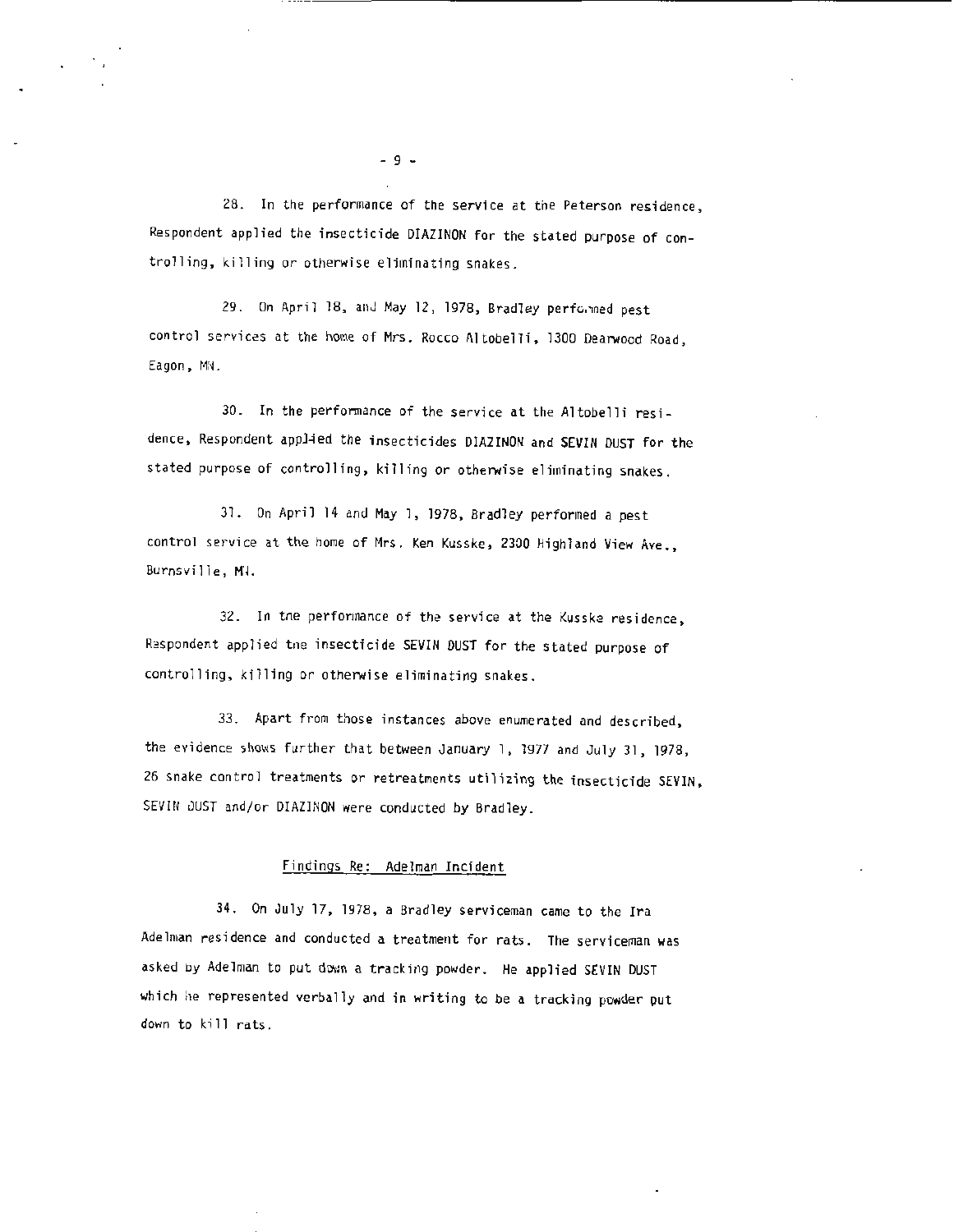28. In the performance of the service at the Peterson residence, Respondent applied the insecticide DIAZINON for the stated purpose of controlling, killing or otherwise eliminating snakes.

29. On April 18, anJ May 12 , 1978, Bradley perfo.1ned pest control services at the home of Mrs. Rocco Altobelli, 1300 Dearwood Road, Eagon, MN.

30. In the performance of the service at the Altobelli residence, Respondent applied the insecticides DIAZINON and SEVIN DUST for the stated purpose of controlling, killing or otherwise eliminating snakes.

31. On April 14 and May l, 1978, Bradley performed a pest control service at the home of Mrs. Ken Kusske, 2300 Highland View Ave., Burnsville, MH.

32. In tne perfonnance of the service at the Kusske residence, Respondent applied the insecticide SEVIN DUST for the stated purpose of controlling, killing or otherwise eliminating snakes.

33. Apart from those instances above enumerated and described, the evidence shows further that between January 1, 1977 and July 31, 1978, 26 snake control treatments or retreatments utilizing the insecticide SEVIN, SEVIN DUST and/or OIAZINON were conducted by Bradley.

### Findings Re: Adelman Incident

34. On July 17 , 1978 , a Bradley serviceman came to the Ira Adelman residence and conducted a treatment for rats. The serviceman was asked by Adelman to put down a tracking powder. He applied SEVIN DUST which he represented verbally and in writing to be a tracking powder put down to kill rats.

- 9 -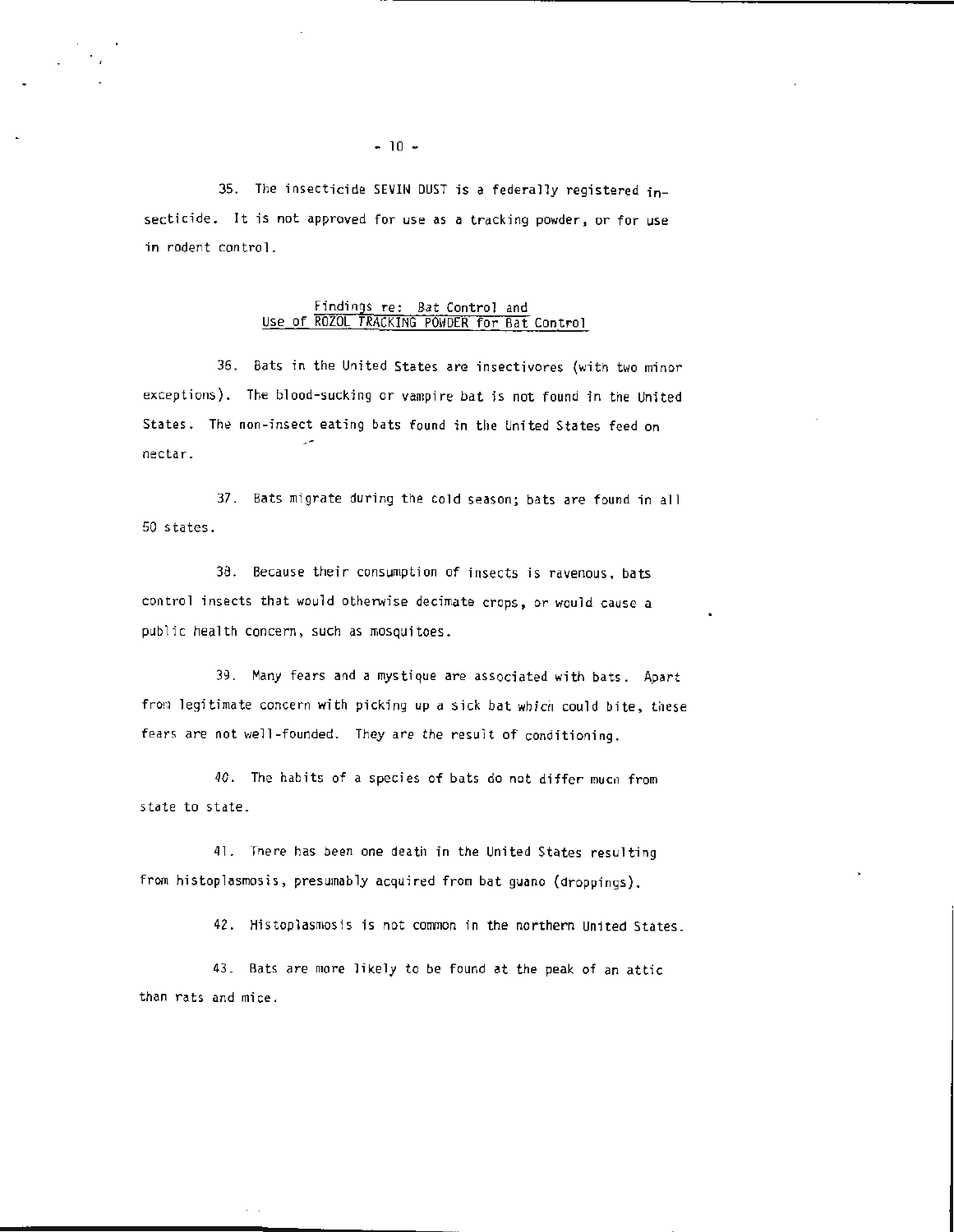35. The insecticide SEVIN DUST is a federally registered insecticide. It is not approved for use as a tracking powder, or for use in rodent control.

### Findings re: Bat Control and Use of ROZOL TRACKING P0\1DER for Bat Control

36. Bats in the United States are insectivores {with two minor exceptions). The blood-sucking or vampire bat is not found in the United States. The non -insect eating bats found in the United States feed on nectar.

37. Bats migrate during the cold season; bats are found in all 50 states.

38. Because their consumption of insects is ravenous, bats control insects that would otherwise decimate crops, or would cause a public health concern, such as mosquitoes.

39. Many fears and a mystique are associated with bats. Apart from legitimate concern with picking up a sick bat which could bite, these fears are not well-founded. They are the result of conditioning.

40. The habits of a species of bats do not differ mucn from state to state.

41. There has been one death in the United States resulting from histoplasmosis, presumably acquired from bat guano (droppings).

42. Histoplasmosis is not common in the northern United States.

43. Bats are more likely to be found at the peak of an attic than rats and mice.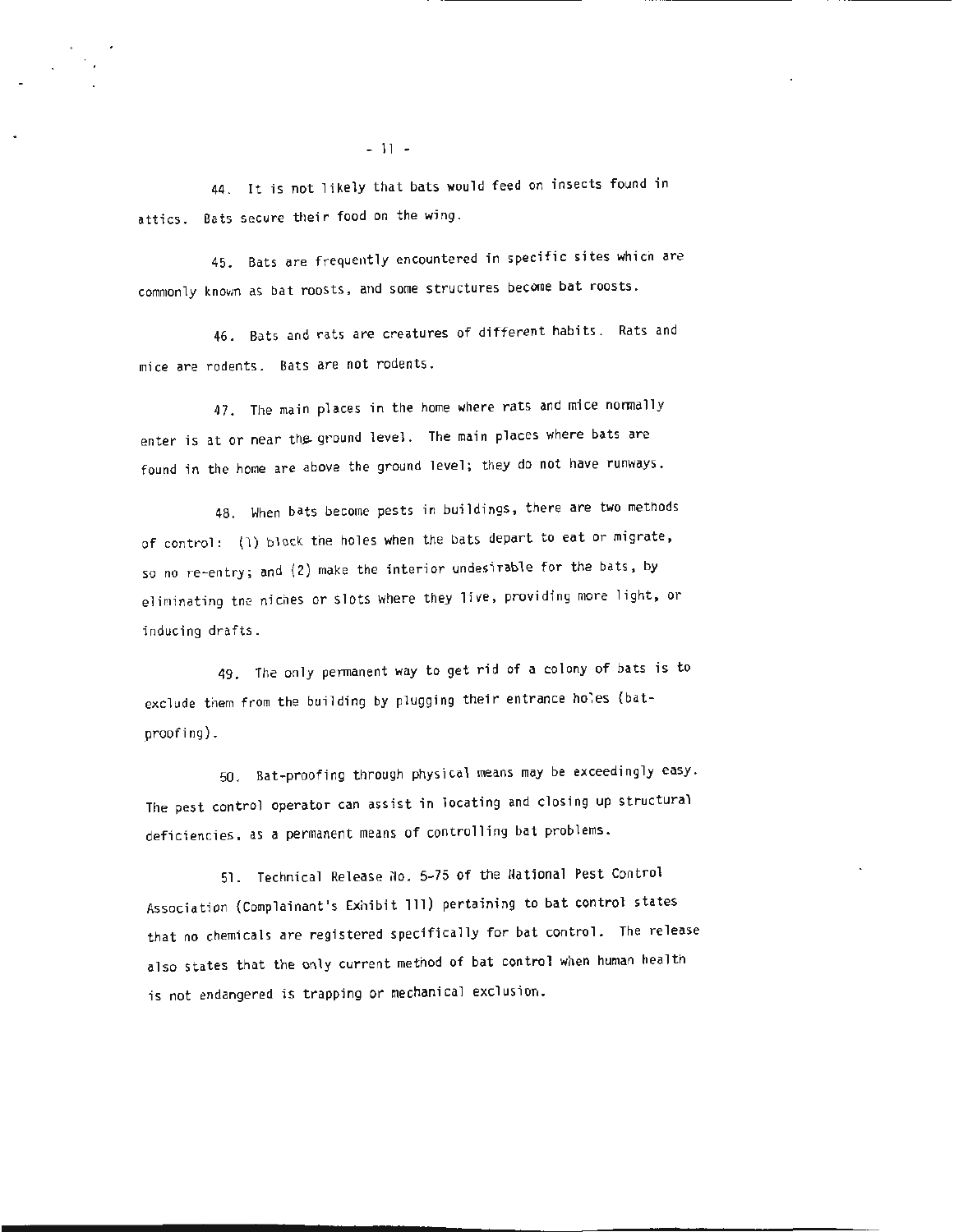44. It is not likely that bats would feed on insects found in attics. Bats secure their food on the wing.

45. Bats are frequently encountered in specific sites which are commonly known as bat roosts, and some structures become bat roosts.

46. Bats and rats are creatures of different habits. Rats and mice are rodents. Bats are not rodents.

47. The main places in the home where rats and mice normally enter is at or near the ground level. The main places where bats are found in the home are above the ground level; they do not have runways.

48. When bats become pests in buildings, there are two methods of control: (1) block the holes when the bats depart to eat or migrate, so no re-entry; and (2) make the interior undesirable for the bats, by eliminating tne niches or slots where they live, providing more light, or inducing drafts.

49. The only permanent way to get rid of a colony of bats is to exclude them from the building by plugging their entrance holes (batproofing).

50. Bat-proofing through physical means may be exceedingly easy. The pest control operator can assist in locating and closing up structural deficiencies, as a permanent means of controlling bat problems.

51. Technical Release No. 5-75 of the National Pest Control Association (Complainant's Exhibit 111) pertaining to bat control states that no chemicals are registered specifically for bat control. The release also states that the only current method of bat control when human health is not endangered is trapping or mechanical exclusion.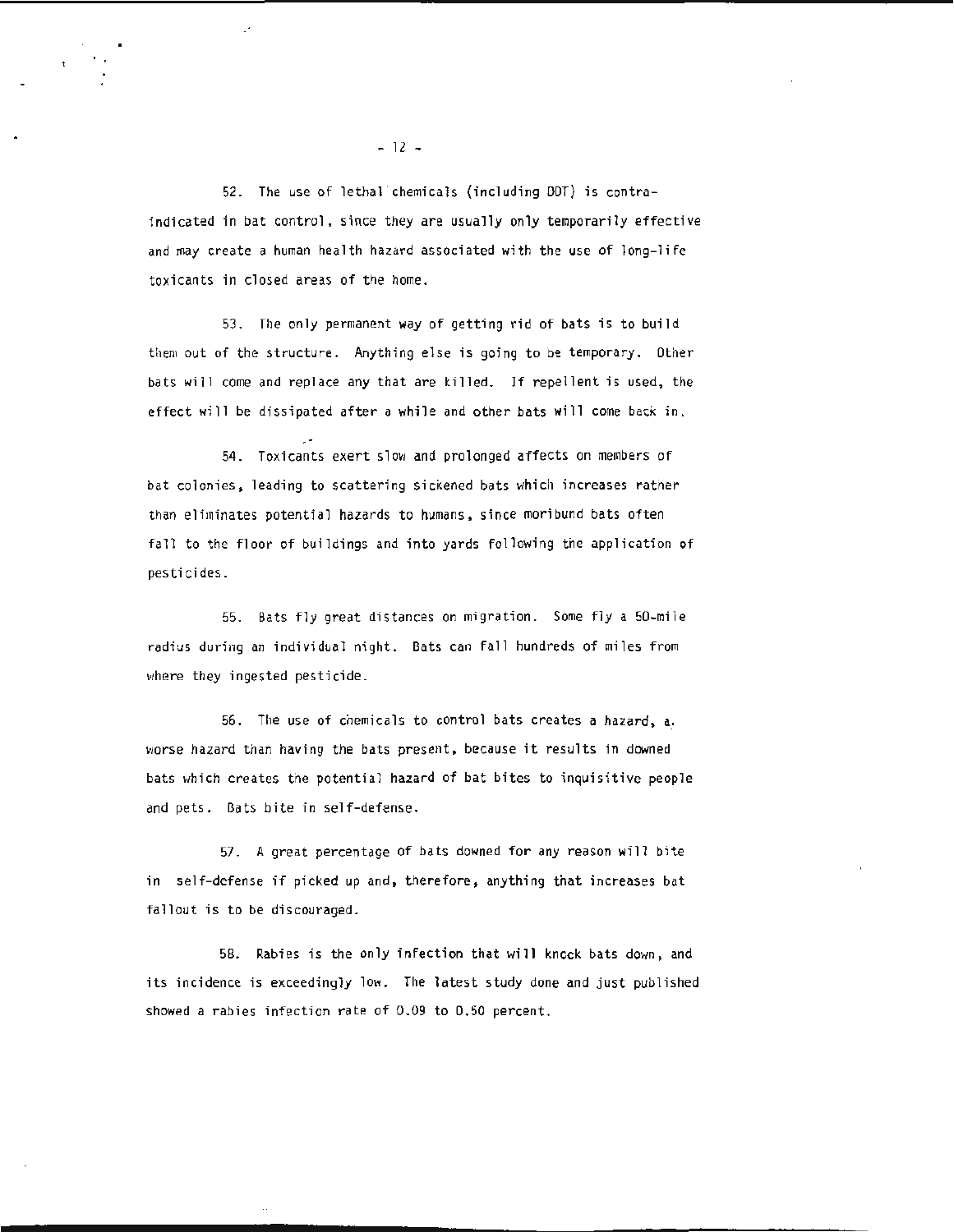52. The use of lethal chemicals (including DDT) is contraindicated in bat control, since they are usually only temporarily effective and may create a human health hazard associated with the use of long-life toxicants in closed areas of the home.

53. The only permanent way of getting rid of bats is to build t:1em out of the structure. Anything else is going to be temporary. Other bats will come and replace any that are killed. If repellent is used, the effect will be dissipated after a while and other bats will come back in.

54. Toxicants exert slow and prolonged affects on members of bat colonies , leading to scattering sickened bats which increases rather than eliminates potential hazards to humans, since moribund bats often fall to the floor of buildings and into yards following the application of pesticides.

55. Bats fly great distances on migration. Some fly a 50-mile radius during an individual night. Bats can fall hundreds of miles from where they ingested pesticide.

56. The use of chemicals to control bats creates a hazard, *a:*  worse hazard than having the bats present, because it results in downed bats which creates the potential hazard of bat bites to inquisitive people and pets. Bats bite in self-defense.

57. A great percentage of bats downed for any reason will bite in self-defense if picked up and, therefore, anything that increases bat fallout is to be discouraged.

58. Rabies is the only infection that will kncck bats down, and its incidence is exceedingly low. The latest study done and just published showed a rabies infection rate of 0.09 to 0.50 percent.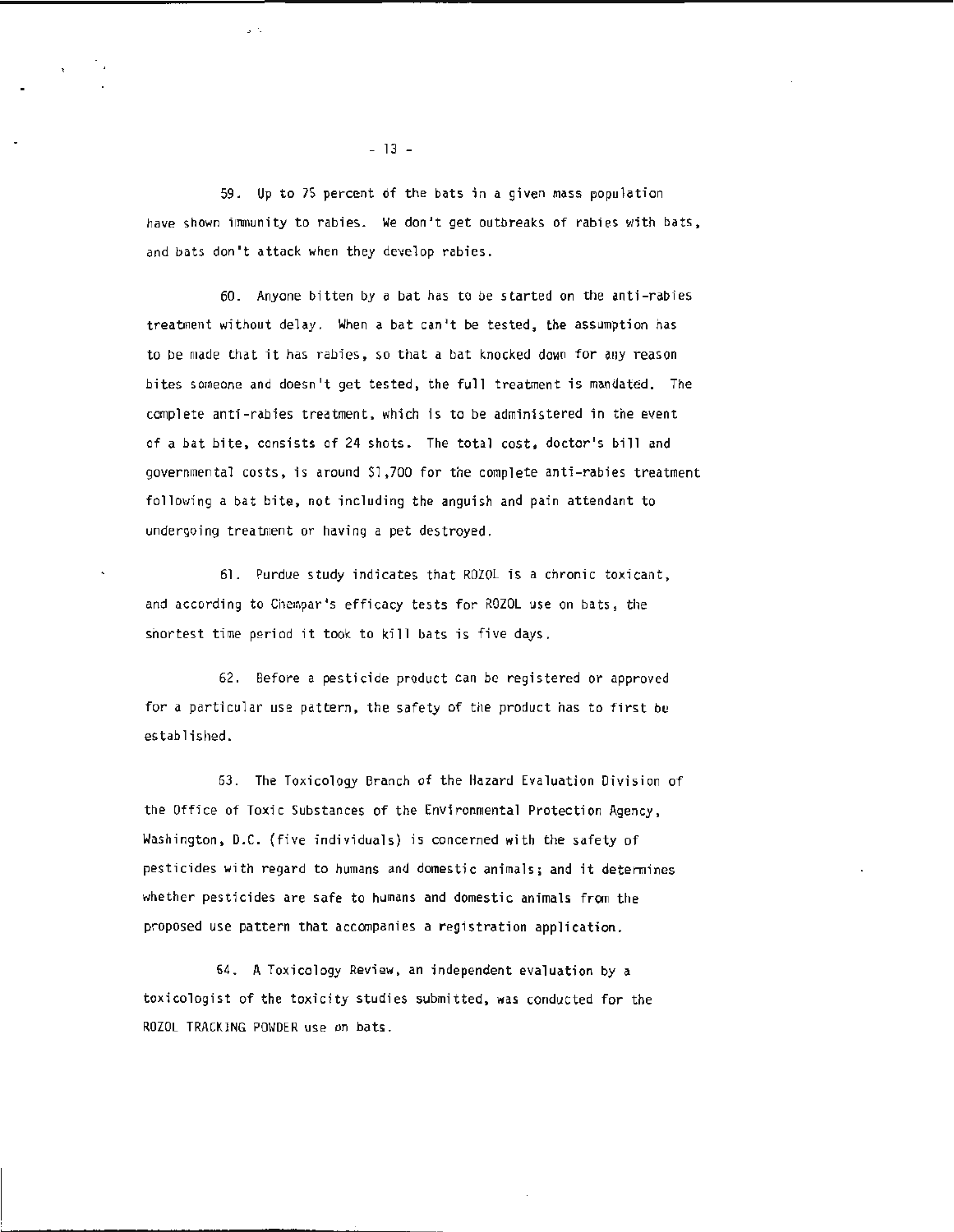59. Up to 75 percent 6f the bats in a given mass population have shown immunity to rabies. We don't get outbreaks of rabies with bats, and bats don 't attack when they develop rabies.

60. Anyone bitten by a bat has to be started on the anti -rabies treatment without delay. When a bat can't be tested, the assumption has to be made that it has rabies, so that a bat knocked down for any reason bites someone and doesn't get tested, the full treatment is mandated. The complete anti-rabies treatment, which is to be administered in the event of a bat bite, consists of 24 shots. The total cost , doctor's bill and governmental costs, is around \$1,700 for the complete anti-rabies treatment following a bat bite, not including the anguish and pain attendant to undergoing treatment or having a pet destroyed.

61. Purdue study indicates that ROZOL is a chronic toxicant, and according to Chempar's efficacy tests for ROZOL use on bats, the shortest time period it took to kill bats is five days.

62. Before a pesticide product can be registered or approved for a particular use pattern, the safety of the product has to first be established.

63. The Toxicology Branch of the Hazard Evaluation Division of the Office of Toxic Substances of the Environmental Protection Agency, Washington, D.C. (five individuals) is concerned with the safety of pesticides with regard to humans and domestic animals; and it determines whether pesticides are safe to humans and domestic animals from the proposed use pattern that accompanies a registration application.

64. A Toxicology Review , an independent evaluation by a toxicologist of the toxicity studies submitted, was conducted for the ROZOL TRACKING POWDER use on bats.

- 13 -

' ·.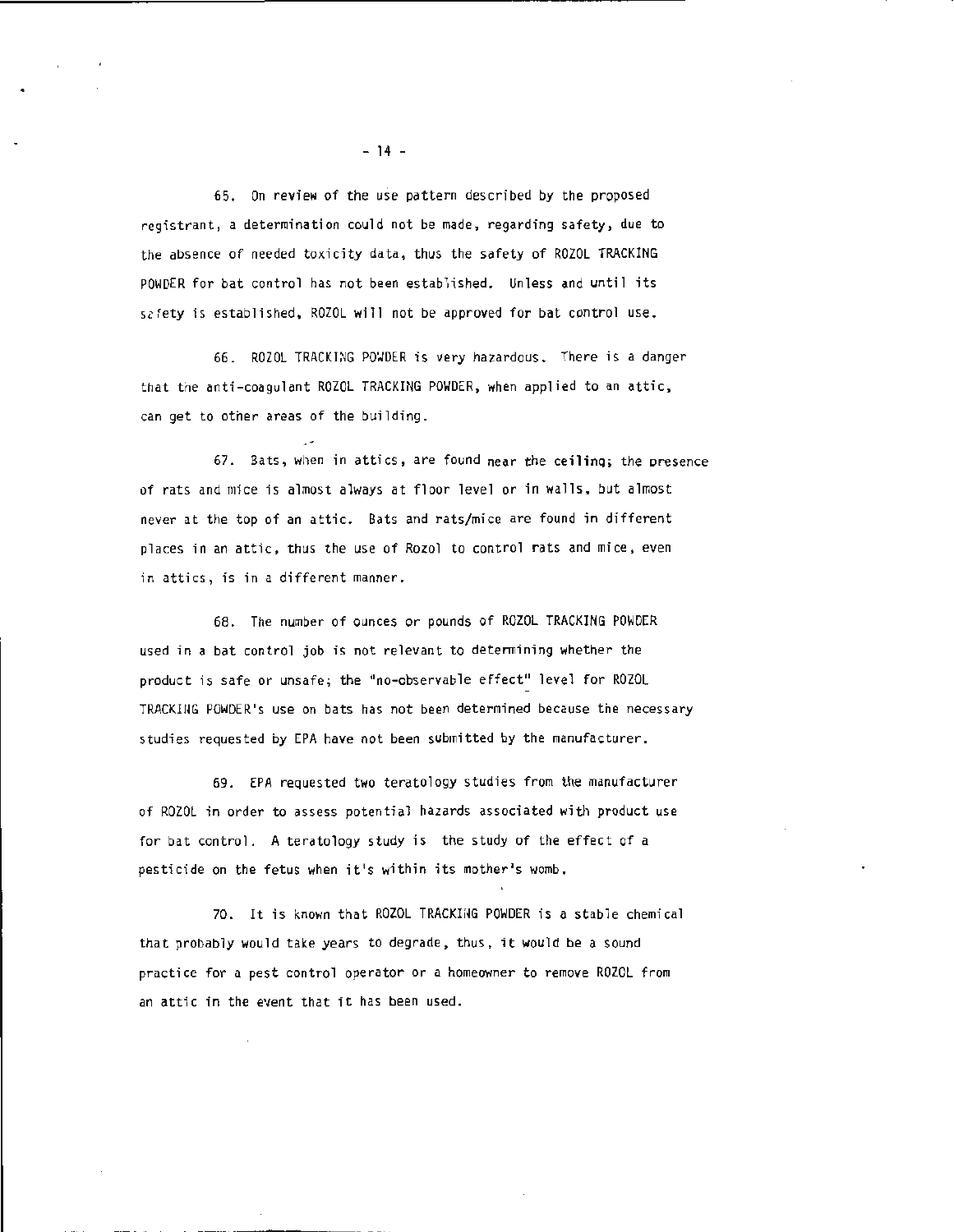65. On review of the use pattern described by the proposed registrant, a determination could not be made , regarding safety, due to the absence of needed toxicity data, thus the safety of ROZOL TRACKING POWDER for bat control has not been established. Unless and until its safety is established, ROZOL will not be approved for bat control use.

66. ROZOL TRACKING POWDER is very hazardous. There is a danger that the anti-coagulant ROZOL TRACKING POWDER, when applied to an attic, can get to other areas of the building.

67. Bats, when in attics, are found near the ceiling; the presence of rats and mice is almost always at floor level or in walls, but almost never at the top of an attic. Bats and rats/mice are found in different places in an attic, thus the use of Rozol to control rats and mice, even in attics, is in a different manner.

68. The number of ounces or pounds of ROZOL TRACKING POWDER used in a bat control job is not relevant to determining whether the product is safe or unsafe; the "no-observable effect" level for ROZOL TRACKIIIG POWDER's use on bats has not been determined because the necessary studies requested by EPA have not been submitted by the manufacturer.

69. EPA requested two teratology studies from the manufacturer of ROZOL in order to assess potential hazards associated with product use for bat control. A teratology study is the study of the effect of a pesticide on the fetus when it 's within its mother's womb.

70. It is known that ROZOL TRACKING POWDER is a stable chemical that probably would take years to degrade , thus, it would be a sound practice for a pest control operator or a homeowner to remove ROZOL from an attic in the event that it has been used.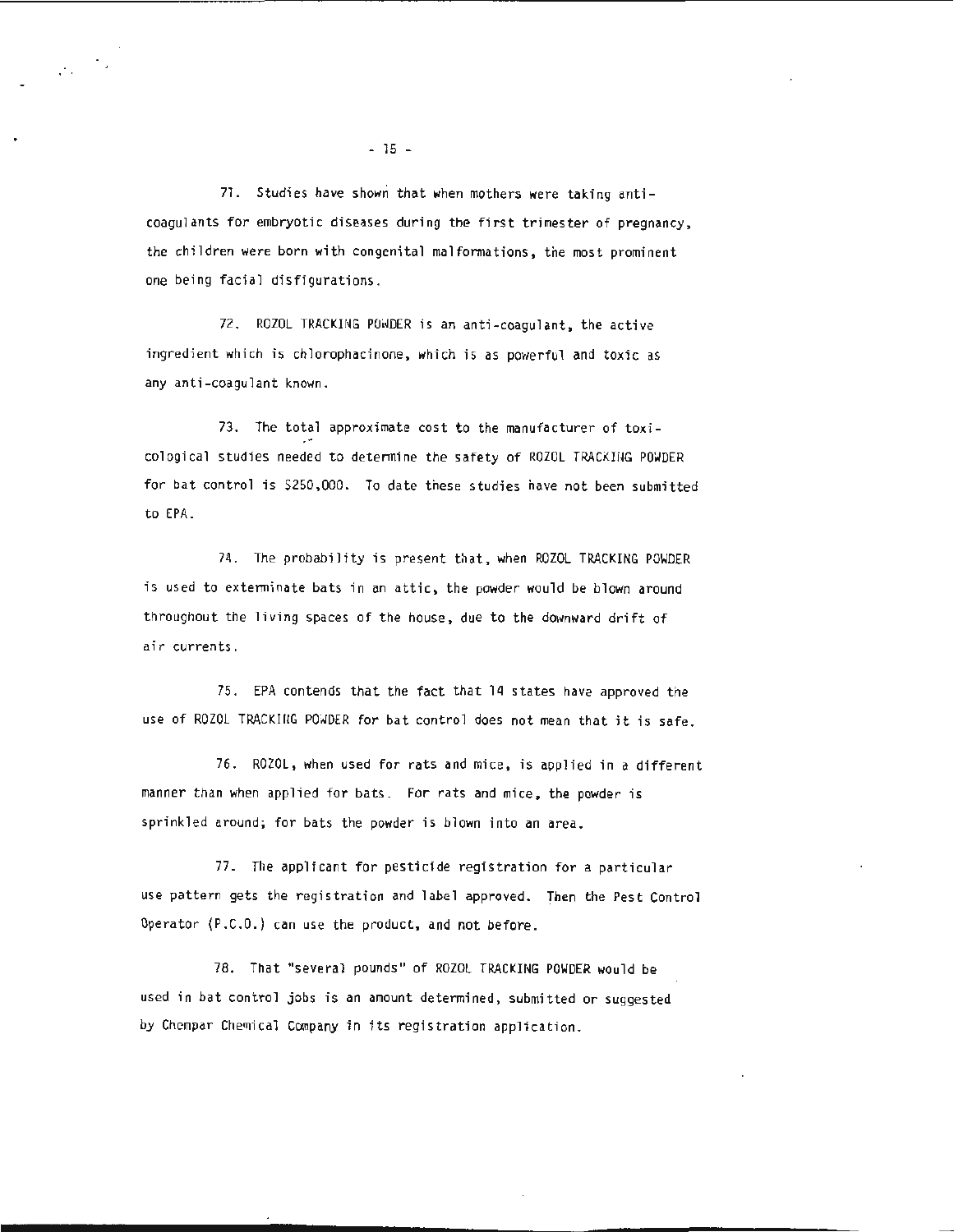71. Studies have shown that when mothers were taking anticoagulants for embryotic diseases during the first trimester of pregnancy, the children were born with congenital malformations, the most prominent one being facial disfigurations.

72. ROZOL TRACKING POWDER is an anti-coagulant, the active ingredient wh ich is chlorophacinone, which is as powerful and toxic as any anti-coagulant known.

73. The total approximate cost to the manufacturer of toxicological studies needed to determine the safety of ROZOL TRACKING POWDER for bat control is \$250,000. To date these studies have not been submitted to EPA.

74. The probability is present that, when ROZOL TRACKING POWDER is used to exterminate bats in an attic, the powder would be blown around throughout the living spaces of the house, due to the downward drift of air currents.

75. EPA contends that the fact that 14 states have approved the use of ROZOL TRACKING POWDER for bat control does not mean that it is safe.

76. ROZOL, when used for rats and mice, is applied in a different manner than when applied for bats. For rats and mice, the powder is sprinkled around; for bats the powder is blown into an area.

77. The applicant for pesticide registration for a particular use pattern gets the registration and label approved. Then the Pest Control Operator (P.C.O.) can use the product, and not before.

78. That "several pounds" of ROZOL TRACKING POWDER would be used in bat control jobs is an amount determined, submitted or suggested by Chempar Chemical Company in its registration application.

 $\frac{1}{2} \frac{1}{2} \frac{1}{2} \frac{1}{2}$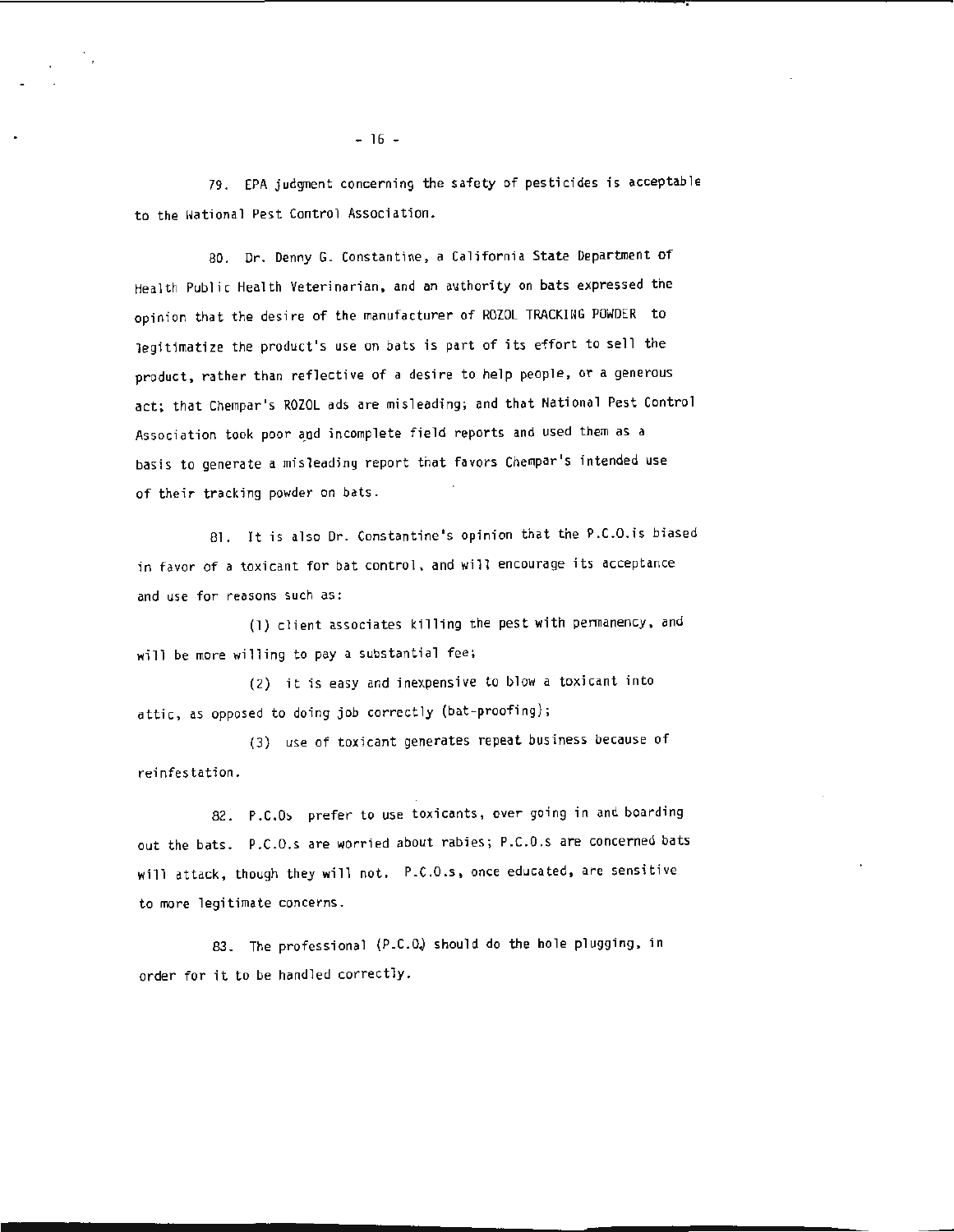79. EPA judgment concerning the safety of pesticides is acceptable to the Hational Pest Control Association.

80. Dr. Denny G. Constantine, a California State Department of Health Public Health Veterinarian, and an authority on bats expressed the opinion that the desire of the manufacturer of ROZOL TRACKING POWDER to legitimatize the product's use on bats is part of its effort to sell the product, rather than reflective of a desire to help people, or a generous act; that Chempar's ROZOL ads are misleading; and that National Pest Control Association took poor and incomplete field reports and used them as a basis to generate a misleading report that favors Chempar's intended use of their tracking powder on bats.

81. It is also Dr. Constantine's opinion that the P.C.O. is biased in favor of a toxicant for bat control, and will encourage its acceptance and use for reasons such as:

(1) client associates killing the pest with permanency, and will be more willing to pay a substantial fee;

(2) it is easy and inexpensive to blow a toxicant into attic, as opposed to doing job correctly (bat-proofing);

(3) use of toxicant generates repeat business because of reinfestation.

82. P.C.Os prefer to use toxicants, over going in and boarding out the bats. P.C.O.s are worried about rabies; P.C.O.s are concerned bats will attack, though they will not. P.C.O.s, once educated, are sensitive to more legitimate concerns.

83. The professional (P.C.O.) should do the hole plugging, in order for it to be handled correctly.

 $-16 -$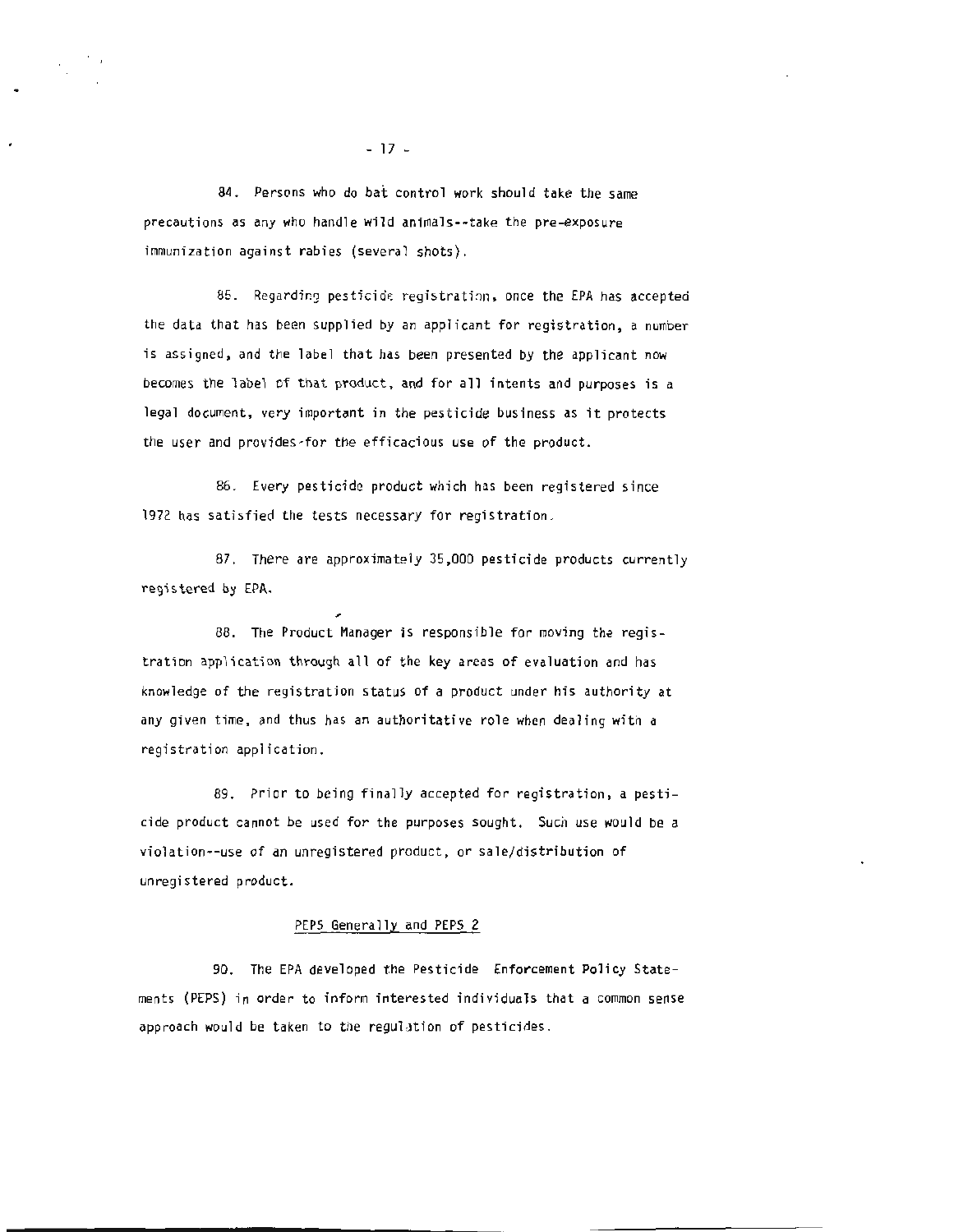84. Persons who do bat control work should take the same precautions as any who handle wild animals--take the pre-exposure immunization against rabies (several shots).

85. Regarding pesticide registration, once the EPA has accepted the data that has been supplied by an applicant for registration, a number is assigned, and the label that has been presented by the applicant now becomes the label of that product, and for all intents and purposes is a legal document, very important in the pesticide business as it protects the user and provides-for the efficacious use of the product.

86 . Every pesticide product which has been registered since 1972 has satisfied the tests necessary for registration.

87. There are approximately 35,000 pesticide products currently registered by EPA .

88. The Product Manager is responsible for moving the registration application through all of the key areas of evaluation and has knowledge of the registration status of a product under his authority at any given time, and thus has an authoritative role when dealing with a registration application.

89. Prior to being finally accepted for registration, a pesticide product cannot be used for the purposes sought. Such use would be a violation--use of an unregistered product, or sale/distribution of unregistered product.

# PEPS Generally and PEPS 2

90. The EPA developed the Pesticide Enforcement Policy Statements (PEPS) in order to inform interested individuals that a common sense approach would be taken to the regulation of pesticides.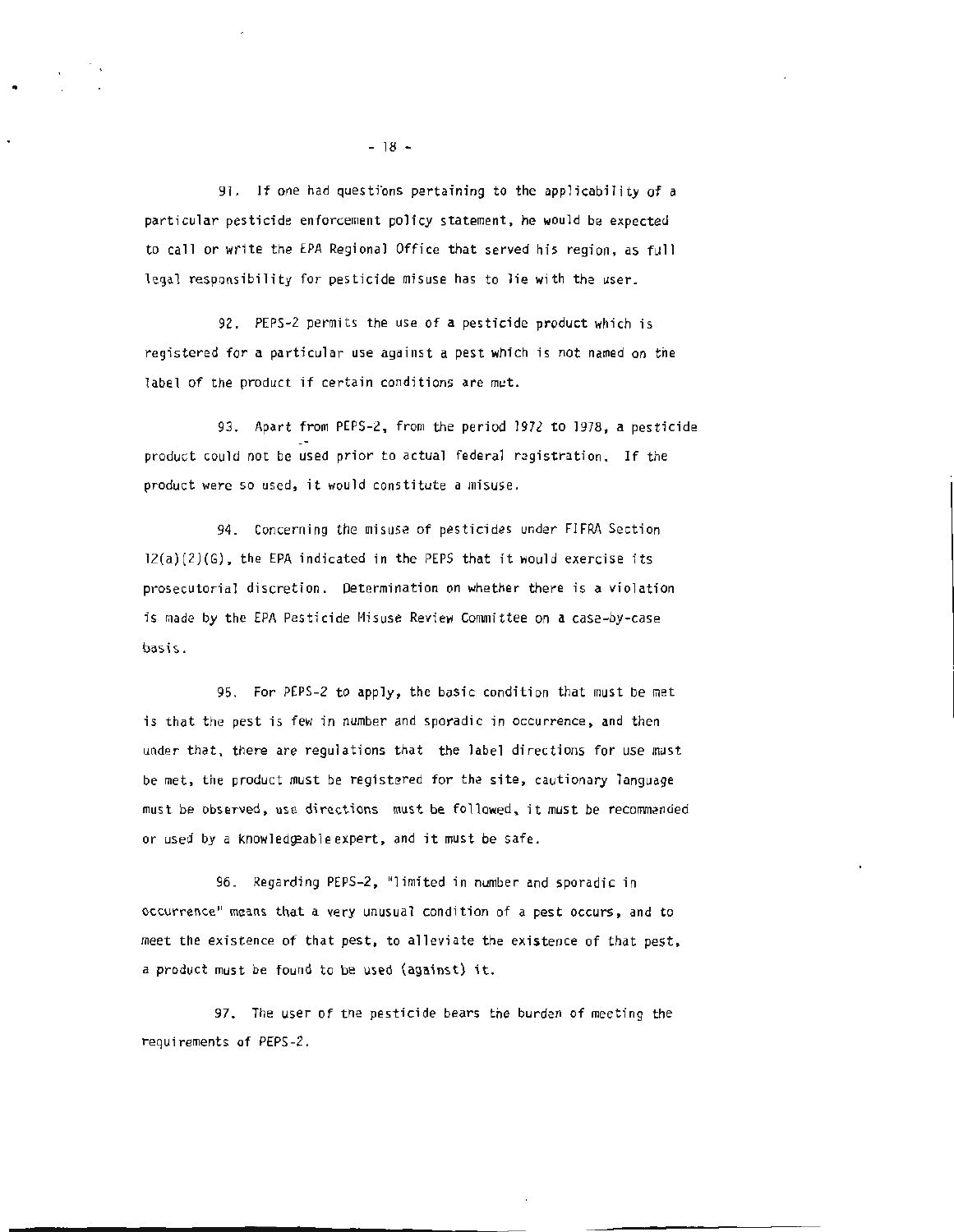91. If one had questions pertaining to the applicability of a particular pesticide enforcement policy statement , he would be expected to call or write the EPA Regional Office that served his region, as full legal responsibility for pesticide misuse has to lie with the user.

92. PEPS-2 permits the use of a pesticide product which is registered for a particular use against a pest which is not named on the label of the product if certain conditions are met.

93. Apart from PEPS-2, from the period 1972 to 1978, a pesticide product could not be used prior to actual federal registration. If the product were so used, it would constitute a misuse.

94 . Concerning the misuse of pesticides under FIFRA Section  $12(a)(2)(6)$ , the EPA indicated in the PEPS that it would exercise its prosecutorial discretion. Determination on whether there is a violation is made by the EPA Pesticide Misuse Review Committee on a case-by-case basis.

95. For PEPS-2 to apply, the basic condition that must be met is that the pest is few in number and sporadic in occurrence, and then under that, there are regulations that the label directions for use must be met, the product must be registered for the site, cautionary language must be observed, use directions must be followed, it must be recommended or used by a knowledgeable expert, and it must be safe.

96. Regarding PEPS-2, "limited in number and sporadic in occurrence" means that a very unusual condition of a pest occurs, and to meet the existence of that pest, to alleviate the existence of that pest, a product must be found to be used (against) it.

97. The user of the pesticide bears the burden of meeting the requirements of PEPS-2.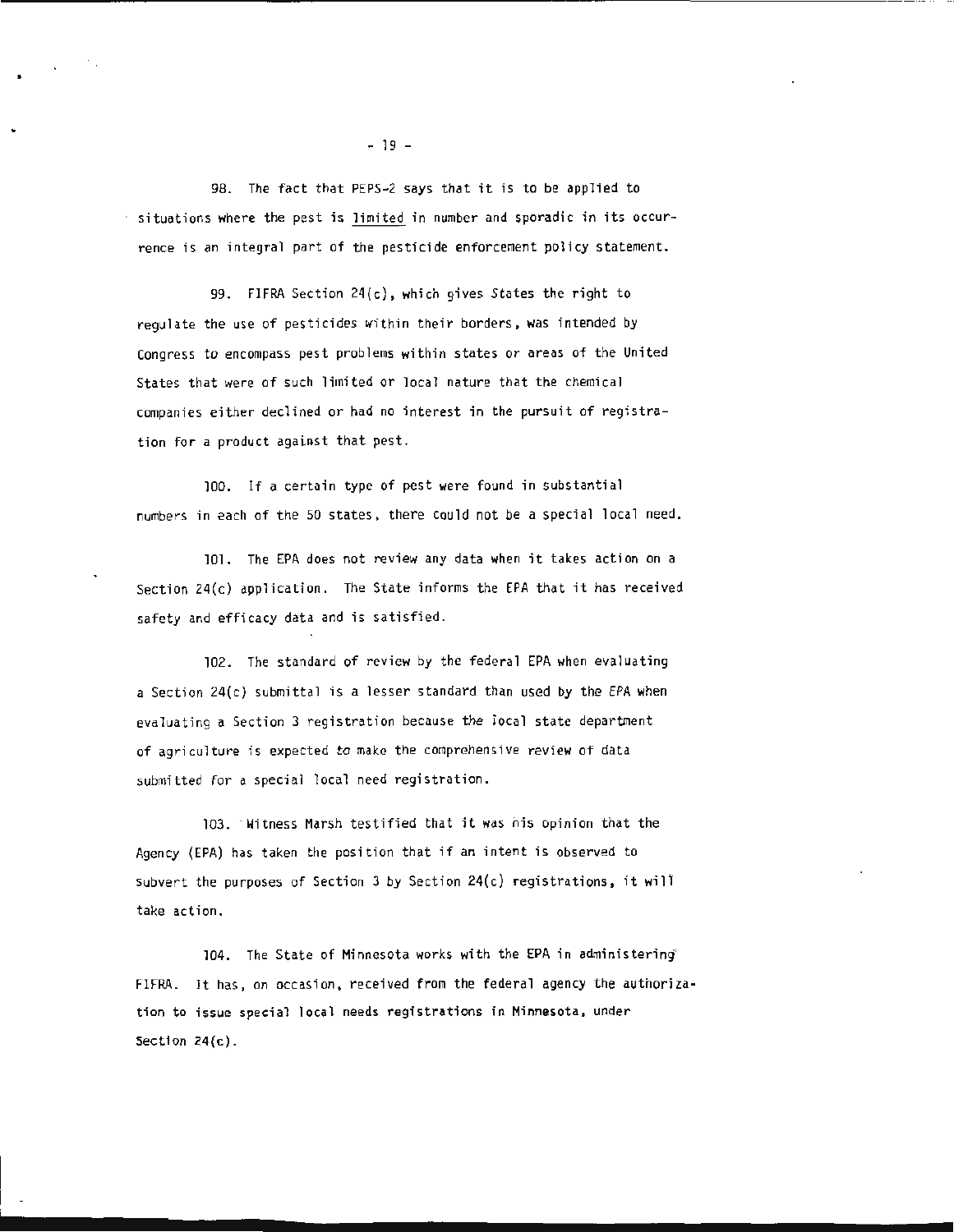98. The fact that PEPS-2 says that it is to be applied to situations where the pest is limited in number and sporadic in its occurrence is an integral part of the pesticide enforcement policy statement.

99. FIFRA Section 24(c}, which gives States the right to regulate the use of pesticides within their borders, was intended by Congress to encompass pest problems within states or areas of the United States that were of such limited or local nature that the chemical companies either declined or had no interest in the pursuit of registration for a product against that pest.

100. If a certain type of pest were found in substantial numbers in each of the 50 states, there could not be a special local need.

101. The EPA does not review any data when it takes action on a Section  $24(c)$  application. The State informs the EPA that it has received safety and efficacy data and is satisfied.

102. The standard of review by the federal EPA when evaluating a Section 24(c) submittal is a lesser standard than used by the EPA when evaluating a Section 3 registration because the local state department of agriculture is expected to make the comprehensive review of data submitted for a special local need registration.

103. · witness Marsh testified that it was his opinion that the Agency (EPA) has taken the position that if an intent is observed to subvert the purposes of Section 3 by Section 24(c) registrations, it will take action.

104. The State of Minnesota works with the EPA in administering' FIFRA. It has, on occasion, received from the federal agency the authorization to issue special local needs registrations in Minnesota, under Section 24(c).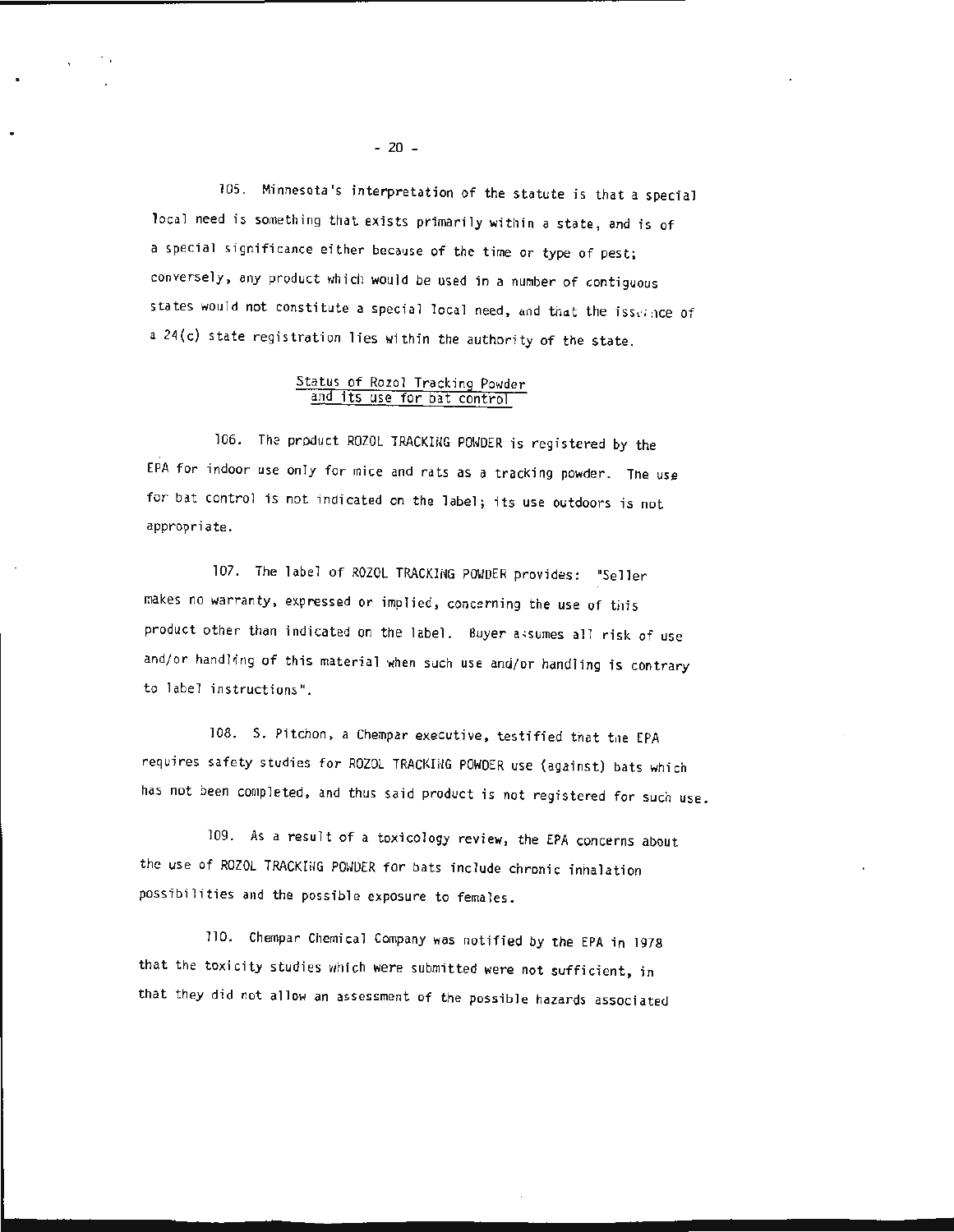105. Minnesota's interpretation of the statute is that a special local need is something that exists primarily within a state, and is of a special significance either because of the time or type of pest; conversely, any product which would be used in a number of contiguous states would not constitute a special local need, and that the issergice of a 24{c) state registration lies within the authority of the state.

### Status of Rozol Tracking Powder and its use for bat control

106. Tha product ROZOL TRACKING POHOER is registered by the EPA for indoor use only for mice and rats as a tracking powder. The use for bat control is not indicated on the label; its use outdoors is not appropriate.

107. The label of ROZOL TRACKING POWDER provides: "Seller makes no warranty, expressed or implied, concerning the use of this product other than indicated on the label. Buyer a+sumes all risk of use and/or handling of this material when such use and/or handling is contrary to label instructions".

108. S. Pitchon, a Chempar executive, testified that the EPA requires safety studies for ROZOL TRACKING POWDER use (against) bats which has not been completed, and thus said product is not registered for such use.

109. As a result of a toxicology review, the EPA concerns about the use of ROZOL TRACKING POWDER for bats include chronic inhalation possibilities and the possible exposure to females.

110. Chempar Chemical Company was notified by the EPA in 1978 that the toxicity studies which were submitted were not sufficient, in that they did not allow an assessment of the possible hazards associated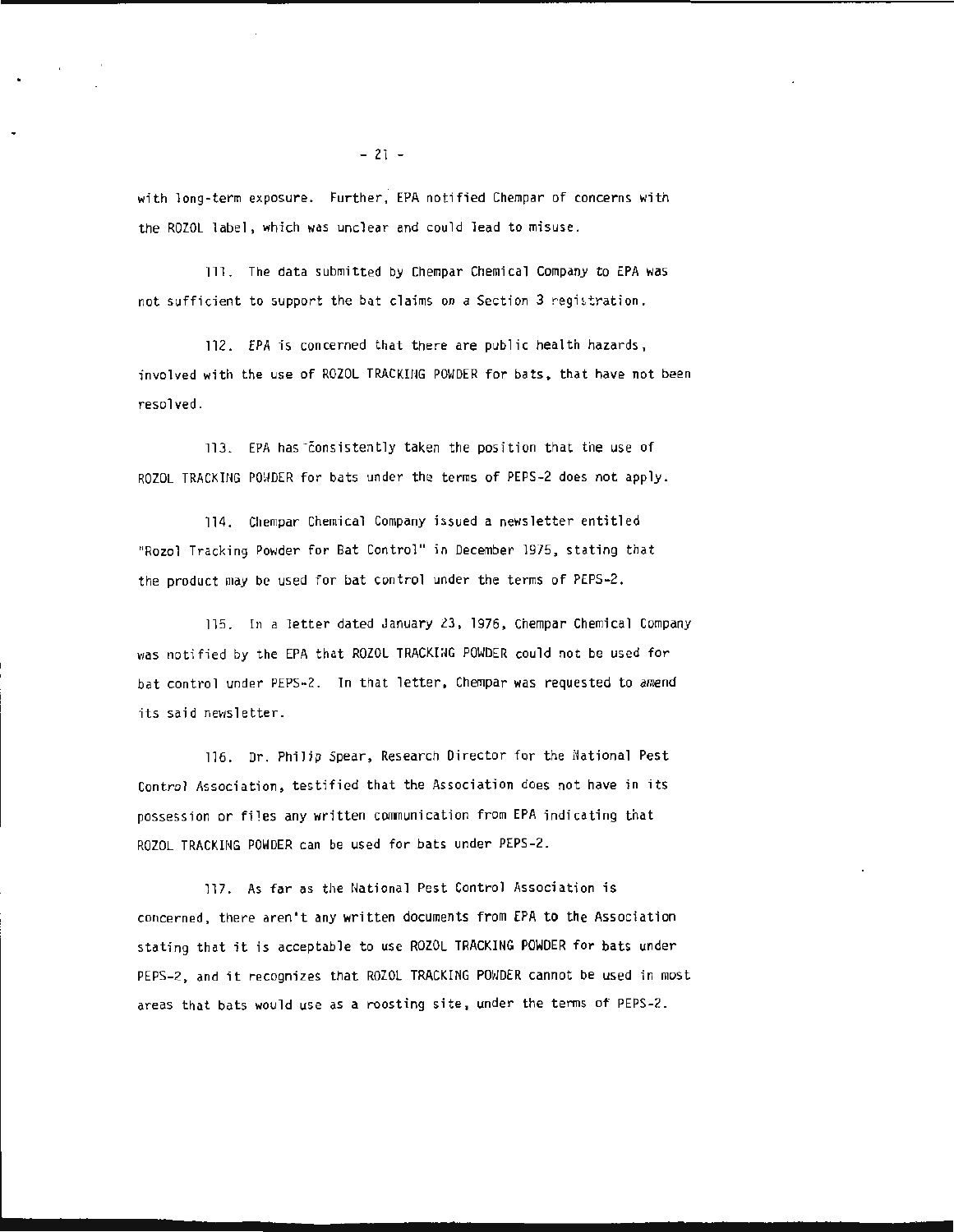wi th long-term exposure. Further, EPA notified Chempar of concerns with the ROZOL label, which was unclear and could lead to misuse.

111. The data submitted by Chempar Chemical Company to EPA was not sufficient to support the bat claims on a Section 3 registration.

112. EPA is concerned that there are public health hazards , involved with the use of ROZOL TRACKING POWDER for bats, that have not been resolved.

113. EPA has consistently taken the position that the use of ROZOL TRACKING POWDER for bats under the terms of PEPS-2 does not apply.

114. Chempar Chemical Company issued a newsletter entitled "Rozol Tracking Powder for Bat Control" in December 1975, stating that the product may be used for bat control under the terms of PEPS-2.

115. In a letter dated January 23, 1976, Chempar Chemical Company was notified by the EPA that ROZOL TRACKING POWDER could not be used for bat control under PEPS-2. In that letter, Chempar was requested to amend its said newsletter.

116. Dr. Philip Spear, Research Director for the National Pest Control Association, testified that the Association does not have in its possession or fi1es any written communication from EPA indicating that ROZOL TRACKING POWDER can be used for bats under PEPS -2.

117. As far as the National Pest Control Association is concerned, there aren't any written documents from EPA to the Association stating that it is acceptable to use ROZOL TRACKING POWDER for bats under PEPS-2, and it recognizes that ROZOL TRACKING POWDER cannot be used in most areas that bats would use as a roosting site, under the terms of PEPS-2.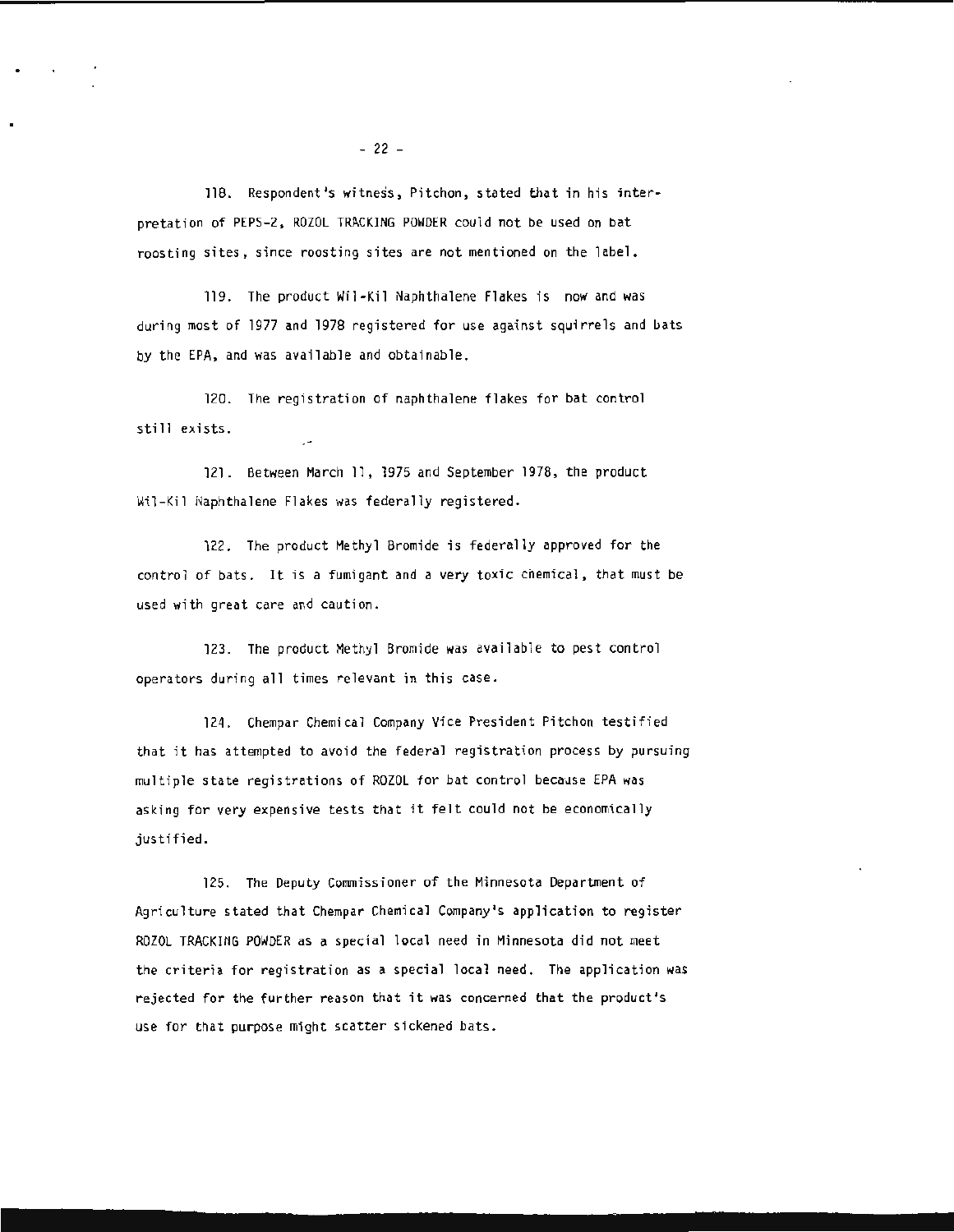118. Respondent's witness, Pitchon, stated that in his interpretation of PEPS-2, ROZOL TRACKING POWDER could not be used on bat roosting sites, since roosting sites are not mentioned on the label.

11g. The product Wil -Kil Naphthalene Flakes is now and was during most of 1977 and 1978 registered for use against squirrels and bats by the EPA, and was available and obtainable.

120. The registration of naphthalene flakes for bat control still exists.

121. Between March 11, 1g75 and September 1978, the product Wil-Kil Naphthalene Flakes was federally registered.

122. The product Methyl Bromide is federally approved for the control of bats. It is a fumigant and a very toxic chemical, that must be used with great care and caution.

123. The product Methyl Bromide was available to pest control operators during all times relevant in this case .

124. Chempar Chemical Company Vice President Pitchon testified that it has attempted to avoid the federal registration process by pursuing multiple state registrations of ROZOL for bat control because EPA was asking for very expensive tests that it felt could not be economically justified.

125. The Deputy Commissioner of the Minnesota Department of Agriculture stated that Chempar Chemical Company's application to register ROZOL TRACKING POWDER as a special local need in Minnesota did not meet the criteria for registration as a special local need. The application was rejected for the further reason that it was concerned that the product's use for that purpose might scatter sickened bats.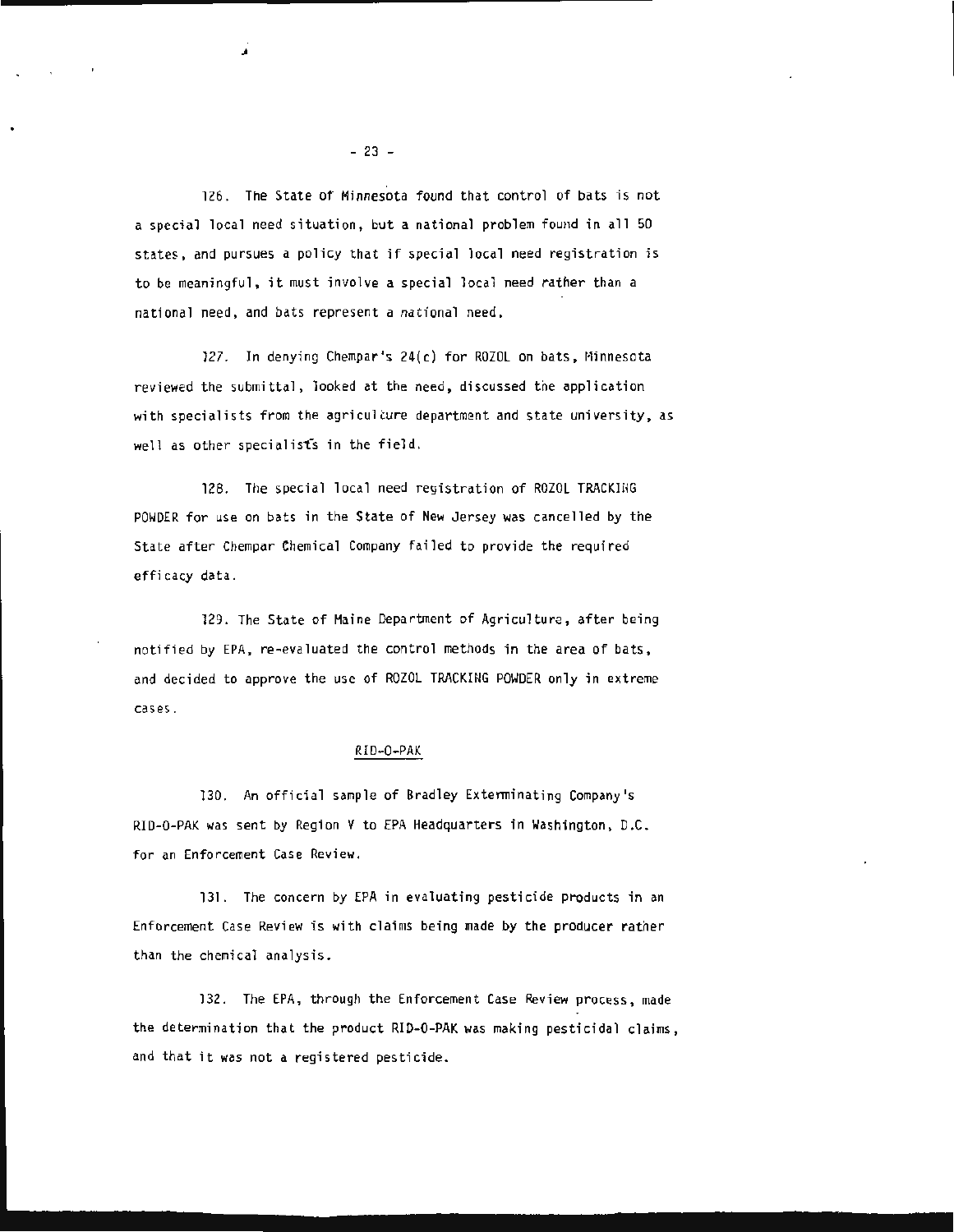126. The State of Minnesota found that control of bats is not a special local need situation, but a national problem found in all 50 states, and pursues a policy that if special local need registration is to be meaningful, it must involve a special local need rather than a national need, and bats represent a national need.

127. In denying Chempar's 24(c) for ROZOL on bats, Minnesota reviewed the submittal, looked at the need, discussed the application with specialists from the agriculture department and state university, as well as other specialists in the field.

128. The special local need registration of ROZOL TRACKIHG POWDER for use on bats in the State of New Jersey was cancelled by the State after Chempar Chemical Company failed to provide the required efficacy data.

129. The State of Maine Department of Agriculture, after being notified by EPA, re-evaluated the control methods in the area of bats, and decided to approve the use of ROZOL TRACKING POWDER only in extreme cases.

#### RID-0-PAK

130. An official sample of Bradley Exterminating Company's RID-0-PAK was sent by Region V to EPA Headquarters in Washington, D.C. for an Enforcement Case Review.

131. The concern by EPA in evaluating pesticide products in an Enforcement Case Review is with claims being made by the producer ratner than the chemical analysis.

132. The EPA, through the Enforcement Case Review process, made the determination that the product RID-0-PAK was making pesticidal claims, and that it was not a registered pesticide.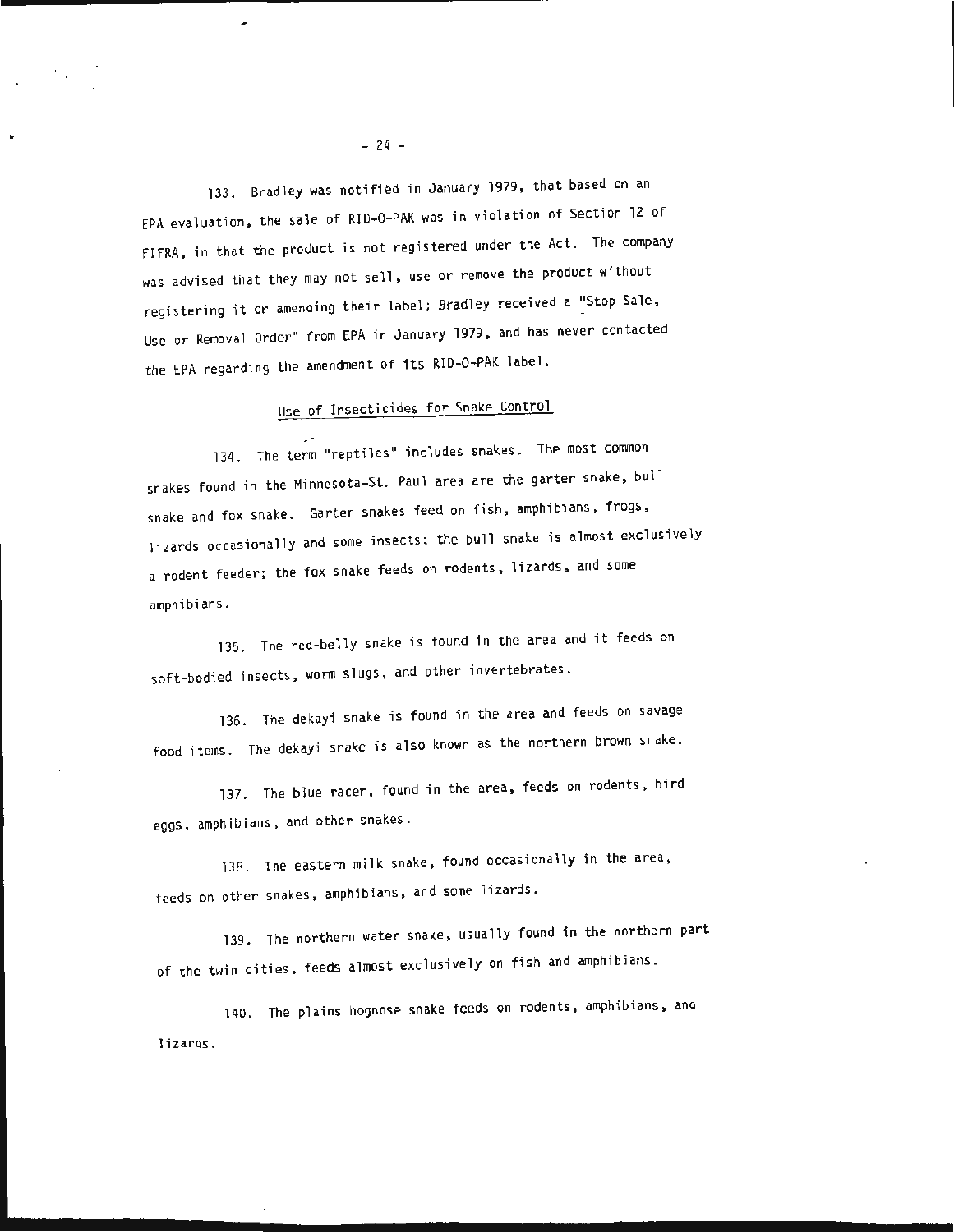133. Bradley was notified in January 1979 , that based on an EPA evaluation, the sale of RlD-0-PAK was in violation of Section 12 of FlFRA, in that the product is not registered under the Act. The company was advised that they may not sell, use or remove the product without registering it or amending their label; Bradley received a "Stop Sale, Use or Removal Order" from EPA in January 1979 , and has never contacted the EPA regarding the amendment of its RlD-0 -PAK label.

# Use of Insecticides for Snake Control

134. The term "reptiles" includes snakes. The most common snakes found in the Minnesota-St. Paul area are the garter snake, bull snake and fox snake. Garter snakes feed on fish, amphibians, frogs , lizards occasionally and some insects; the bull snake is almost exclusively a rodent feeder; the fox snake feeds on rodents, lizards, and some amphibi ans .

135. The red-belly snake is found in the area and it feeds on soft-bodied insects, worm slugs , and other invertebrates.

136. The dekayi snake is found in the area and feeds on savage food items. The dekayi snake is also known as the northern brown snake.

137. The blue racer, found in the area, feeds on rodents, bird eggs, amphibians , and other snakes.

138. The eastern milk snake, found occasionally in the area, feeds on other snakes, amphibians , and some lizards.

139. The northern water snake, usually found in the northern part of the twin cities , feeds almost exclusively on fish and amphibians.

140. The plains hognose snake feeds on rodents, amphibians, and lizards.

- 24 -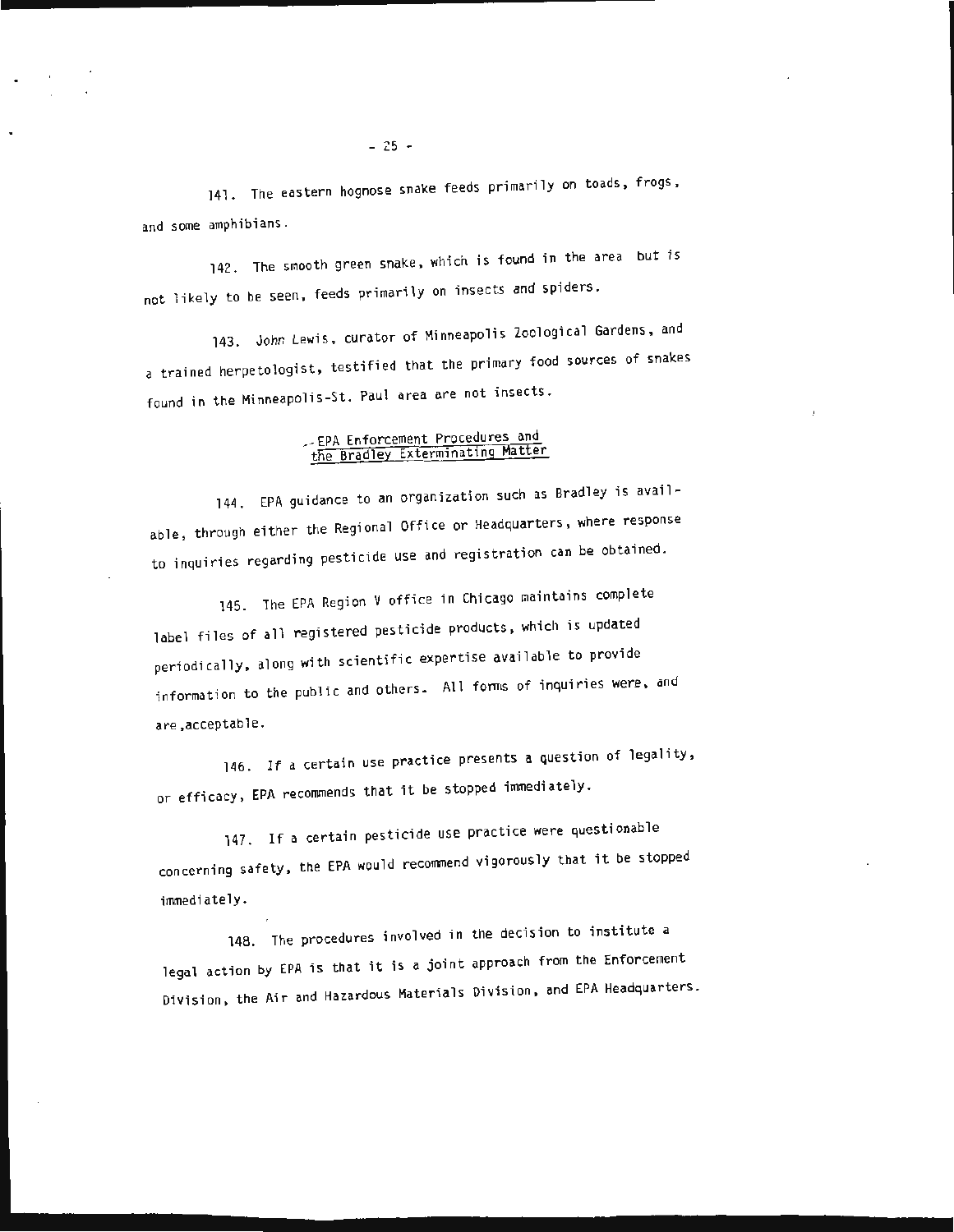141. The eastern hognose snake feeds primarily on toads, frogs, and some amphibians.

142. The smooth green snake, which is found in the area but is not likely to be seen, feeds primarily on insects and spiders.

143. John Lewis, curator of Minneapolis Zoological Gardens, and a trained herpetologist, testified that the primary food sources of snakes found in the Minneapolis-St. Paul area are not insects.

### .-EPA Enforcement Procedures and the Bradley Exterminating Matter

,.

144. EPA guidance to an organization such as Bradley is available, through either the Regional Office or Headquarters, where response to inquiries regarding pesticide use and registration can be obtained.

145. The EPA Region V office in Chicago maintains complete label files of all registered pesticide products, which is updated periodically, along with scientific expertise available to provide information to the public and others. All forms of inquiries were, and are, acceptable.

146. If a certain use practice presents a question of legality, or efficacy, EPA recommends that it be stopped immediately .

147. If a certain pesticide use practice were questionable concerning safety, the EPA would recommend vigorously that it be stopped immediately.

148. The procedures involved in the decision to institute a legal action by EPA is that it is a joint approach from the Enforcement Division, the Air and Hazardous Materials Division, and EPA Headquarters.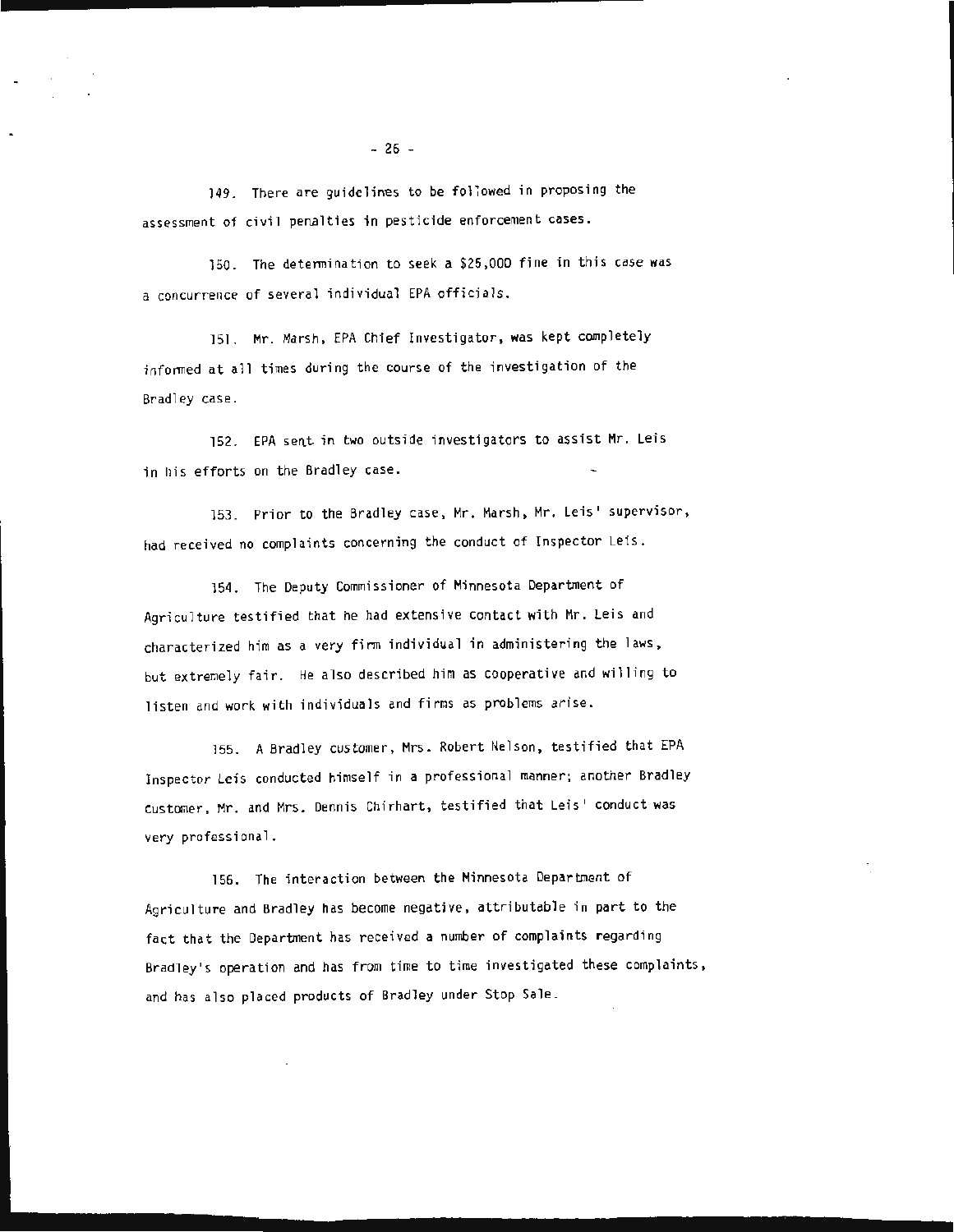149. There are guidelines to be foliowed in proposing the assessment of civil penalties in pesticide enforcement cases.

150. The determination to seek a \$25,000 fine in this case was a concurrence of several individual EPA officials.

151. Mr. Marsh, EPA Chief Investigator, was kept completely infonned at all times during the course of the investigation of the Bradley case.

152. EPA sent in two outside investigators to assist Mr. Leis in his efforts on the Bradley case.

153. Prior to the Bradley case, Mr. Marsh, Mr. Leis' supervisor, had received no complaints concerning the conduct of Inspector Leis.

154. The Deputy Commissioner of Minnesota Department of Agriculture testified that he had extensive contact with Mr. Leis and characterized him as a very firm individual in administering the laws, but extremely fair. He also described him as cooperative and willing to listen and work with individuals and firms as problems arise.

155. A Bradley customer, Mrs. Robert Nelson, testified that EPA Inspector Leis conducted himself in a professional manner; another Bradley customer, Mr. and Mrs. Dennis Chirhart, testified that Leis' conduct was very professional.

156. The interaction between the Minnesota Department of Agriculture and Bradley has become negative, attributable in part to the fact that the Department has received a number of complaints regarding Bradley's operation and has from time to time investigated these complaints, and has also placed products of Bradley under Stop Sale.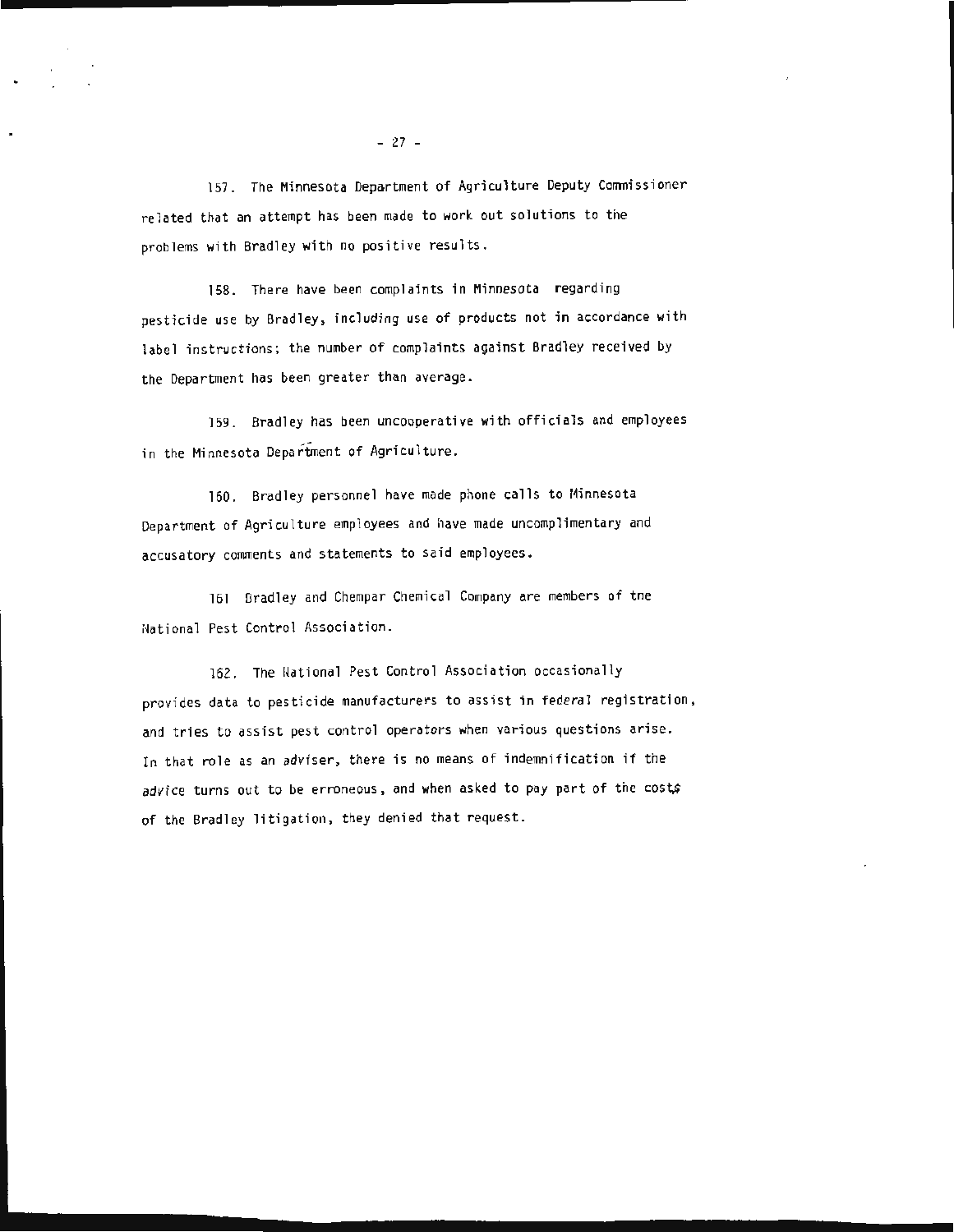157. The Minnesota Department of Agriculture Deputy Commissioner related that an attempt has been made to work out solutions to the problems with Bradley with no positive results.

158. There have been complaints in Minnesota regarding pesticide use by Bradley, including use of products not in accordance with label instructions; the number of complaints against Bradley received by the Department has been greater than average.

159. Bradley has been uncooperative with officials and employees in the Minnesota Department of Agriculture.

160. Bradley personnel have made phone calls to Minnesota Department of Agriculture employees and have made uncomplimentary and accusatory comments and statements to said employees.

161 Bradley and Chempar Chemical Company are members of the Hational Pest Control Association.

162. The National Pest Control Association occasionally provides data to pesticide manufacturers to assist in federal registration, and tries to assist pest control operators when various questions arise. In that role as an adviser, there is no means of indemnification if the advice turns out to be erroneous, and when asked to pay part of the costs of the Bradley litigation, they denied that request.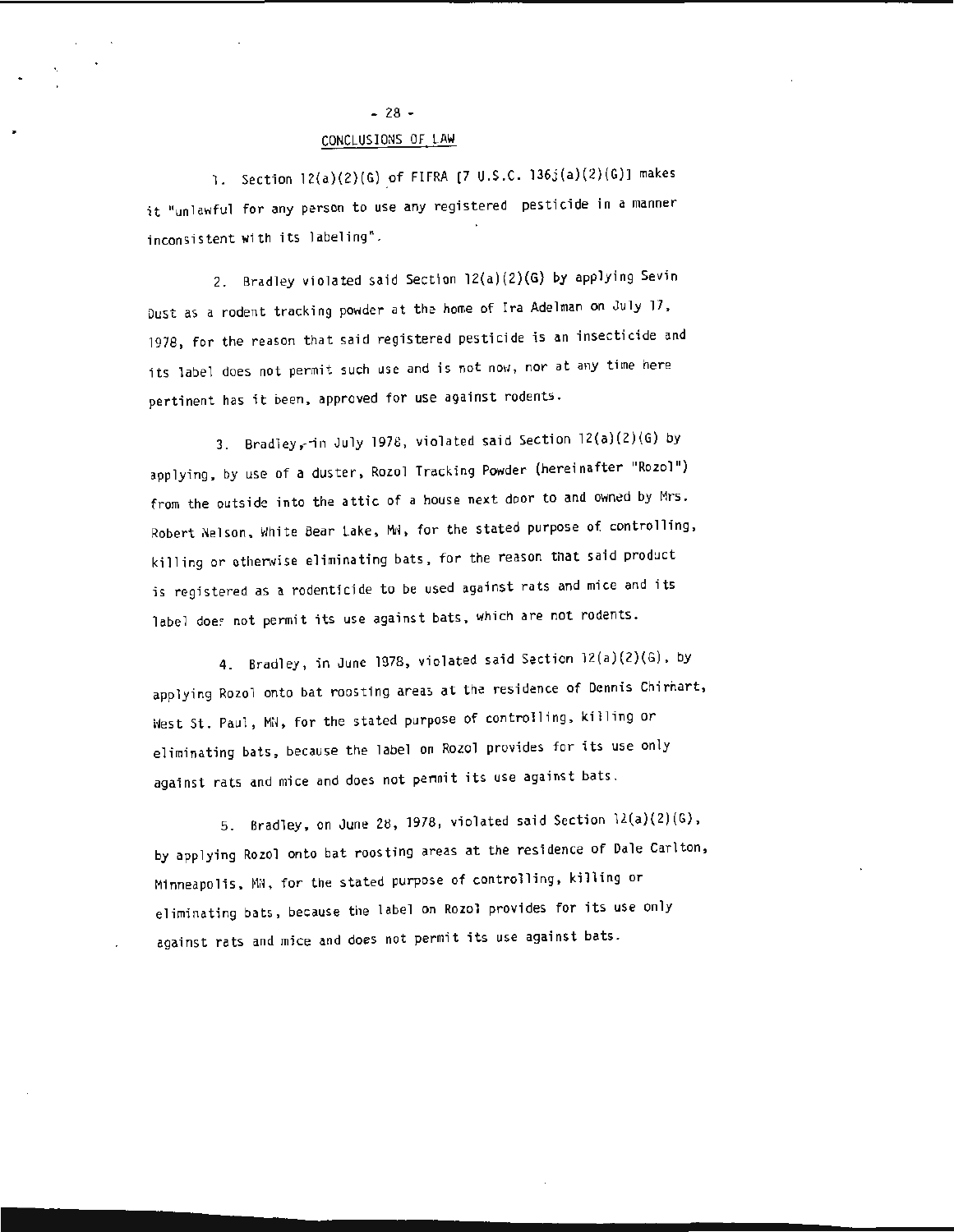# $-28 -$

# CONCLUSIONS OF LAW

1. Section l2(a)(2)(G} of FIFRA (7 U.S.C. 136j (a}(2}(G)) makes it "unlawful for any person to use any registered pesticide in a manner inconsistent with its labeling".

2. Bradley violated said Section 12(a)(2)(G) by applying Sevin Dust as *o* rodent tracking powder at the home of Ira Adelman on July 17, 1978, for the reason that said registered pesticide is an insecticide and its label does not permit such use and is not now, nor at any time here pertinent has it been, approved for use against rodents.

3. Bradley,-in July 1978, violated said Section 12(a)(2)(G) by applying, by use of a duster, Rozol Tracking Powder (hereinafter "Rozol") from the outside into the attic of a house next door to and owned by Mrs. Robert Nelson, White Bear Lake, Mw, for the stated purpose of controlling, killing or otherwise eliminating bats, for the reason that said product is registered as a rodenticide to be used against rats and mice and its label does not permit its use against bats, which are not rodents.

4. Bradley, in June 1978, violated said Section 12(a)(2}(G), by applying Rozol onto bat roosting areas at the residence of Dennis Chirhart, idest St. Paul, Mil, for the stated purpose of controlling, killing or eliminating bats, because the label on Rozol provides for its use only against rats and mice and does not pennit its use against bats.

5. Bradley, on June 28, 1978, violated said Section 12(a)(2)(G), by applying Rozel onto bat roosting areas at the residence of Dale Carlton, Minneapolis, MW, for the stated purpose of controlling, killing or eliminating bats, because the label on Rozol provides for its use only against rats and mice and does not permit its use against bats.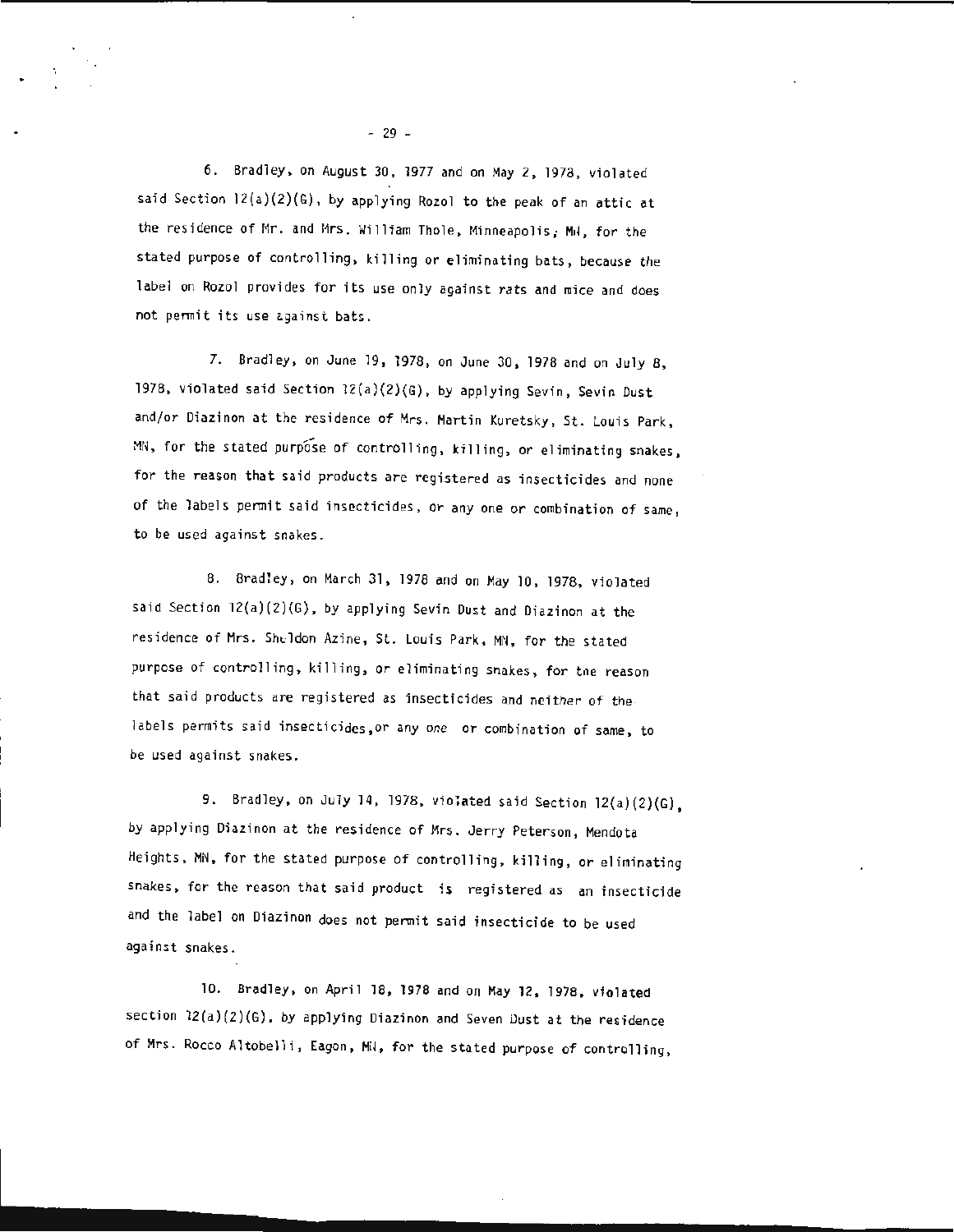6. Bradley, on August 30, 1977 and on May 2, 1978, violated said Section  $12(a)(2)(6)$ , by applying Rozol to the peak of an attic at the residence of Mr. and Mrs. William Thole, Minneapolis; MH, for the stated purpose of controlling, killing or eliminating bats, because the label on Rozol provides for its use only against rats and mice and does not permit its use against bats.

7. Bradley, on June 19, 1978 , on June 30 , 1978 and on July 8, 1978, violated said Section  $2(a)(2)(G)$ , by applying Sevin, Sevin Dust and/or Diazinon at the residence of Mrs. Martin Kuretsky, St. Louis Park , MN, for the stated purpose of controlling, killing, or eliminating snakes, for the reason that said products are registered as insecticides and none of the labels permit said insecticides, or any one or combination of same , to be used against snakes.

8. Brad1ey, on March 31, 1978 and on May 10, 1978, violated said Section 12(a)(2)(G), by applying Sevin Dust and Diazinon at the residence of Mrs. Sheldon Azine, St. Louis Park, MN, for the stated purpose of controlling, killing, or eliminating snakes, for tne reason that said products are registered as insecticides and neither of the labels permits said insecticides,or any one or combination of same, to be used against snakes.

9. Bradley, on July 14, 1978, violated said Section  $12(a)(2)(G)$ , by applying Diazinon at the residence of Mrs. Jerry Peterson, Mendota Heights, MN, for the stated purpose of controlling, killing, or eliminating snakes, for the reason that said product is registered as an insecticide and the label on Diazinon does not permit said insecticide to be used against snakes.

10. Bradley, on April 18, 1978 and on May 12, 1978, violated section  $12(a)(2)(6)$ , by applying Diazinon and Seven Dust at the residence of Mrs. Rocco Altobelli, Eagon, Mil, for the stated purpose of controlling,

- 29 -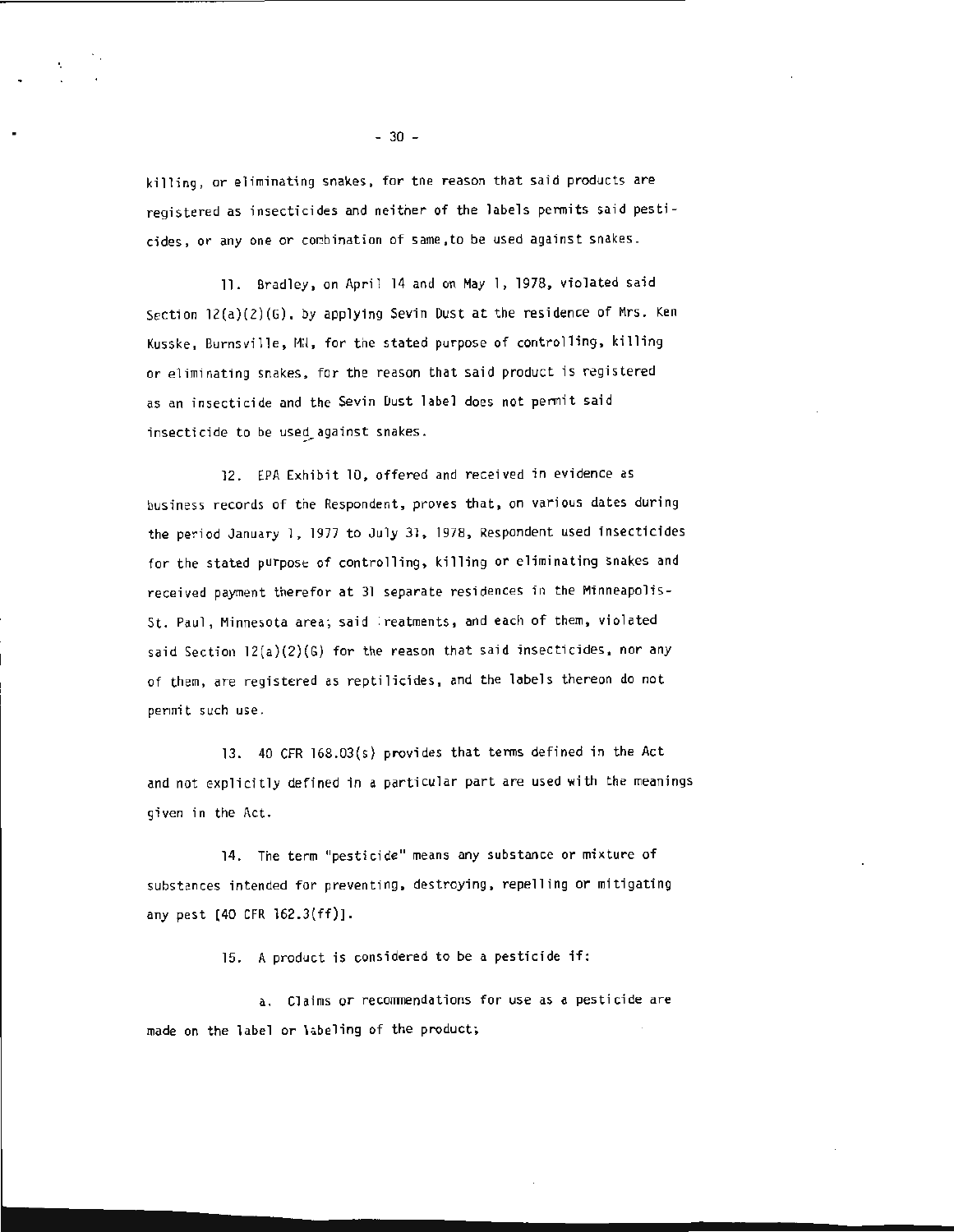killing, or eliminating snakes, for tne reason that said products are registered as insecticides and neither of the labels permits said pesticides, or any one or combination of same, to be used against snakes.

11. Bradley, on April 14 and on May l, lg78, violated said Section  $12(a)(2)(6)$ , by applying Sevin Dust at the residence of Mrs. Ken Kusske, Burnsville, MH, for the stated purpose of controlling, killing or eliminating snakes, for the reason that said product is registered as an insecticide and the Sevin Dust label does not permit said insecticide to be used\_against snakes.

12. EPA Exhibit 10, offered and received in evidence as business records of tne Respondent, proves that, on various dates during the period January 1, 1977 to July 31, 1978, Respondent used insecticides for the stated purpose of controlling, killing or eliminating snakes and received payment therefor at 31 separate residences in the Minneapolis-St. Paul, Minnesota area; said : reatments, and each of them, violated said Section 12(a)(2)(G) for the reason that said insecticides, nor any of them, are registered as reptilicides, and the labels thereon do not permit such use.

13. 40 CFR 168.03(s) provides that terms defined in the Act and not explicitly defined in a particular part are used with the meanings given in the Act.

14. The term "pesticide" means any substance or mixture of substances intended for preventing, destroying, repelling or mitigating any pest (40 CFR 162.3(ff)).

15. A product is considered to be a pesticide if:

a. Claims or recommendations for use as a pesticide are made on the label or labeling of the product;

 $-30 -$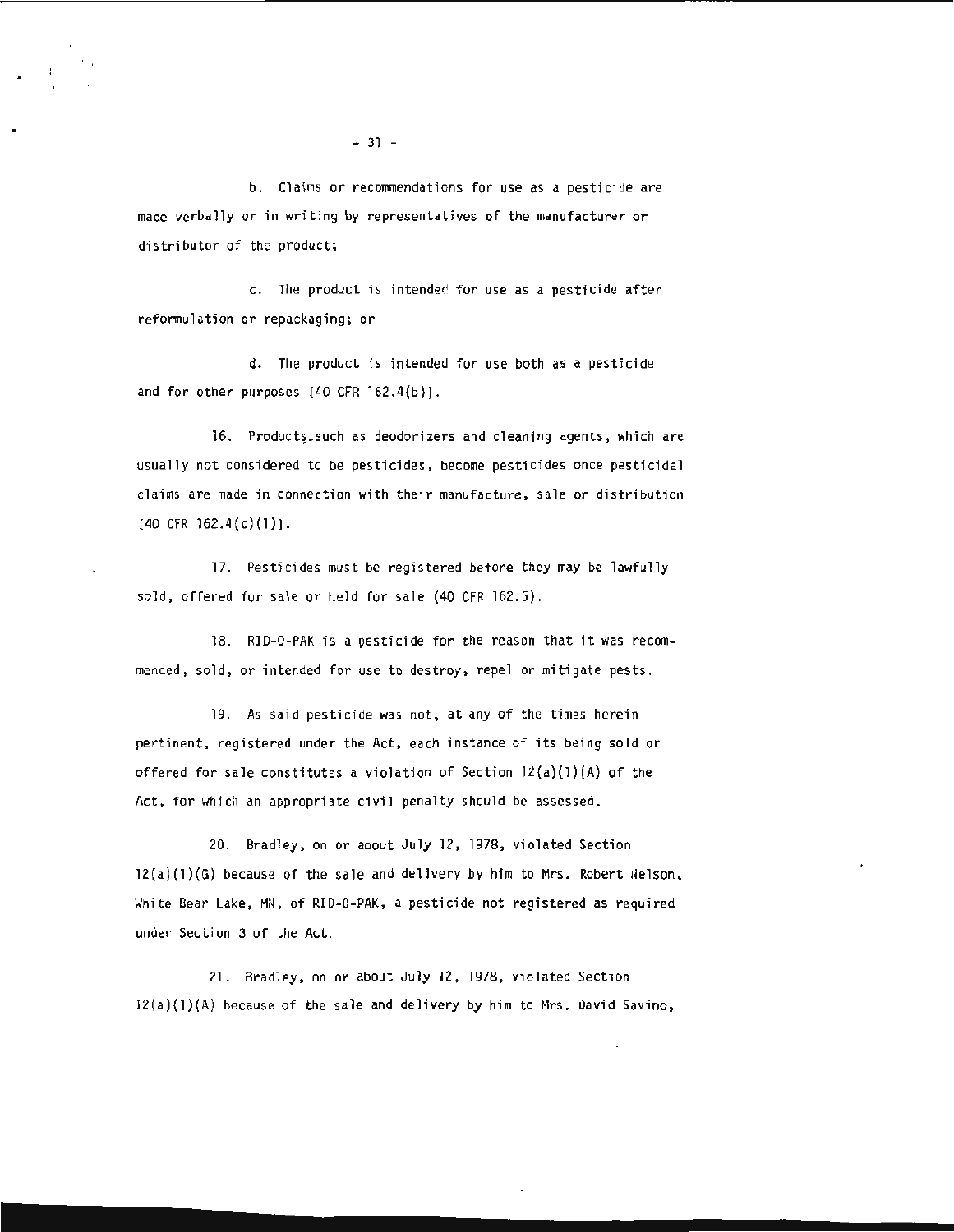b. Claims or recommendations for use as a pesticide are made verbally or in writing by representatives of the manufacturer or distributor of the product;

c. 1he product is intended for use as a pesticide after reformulation or repackaging; or

d. The product is intended for use both as a pesticide and for other purposes  $[40 \text{ CFR } 162.4(b)]$ .

16. Products\_such as deodorizers and cleaning agents, which are usually not considered to be pesticides , become pesticides once pesticidal claims are made in connection with their manufacture, sale or distribution  $[40$  CFR  $162.4(c)(1)]$ .

17. Pesticides must be registered before they may be lawfully sold, offered for sale or held for sale (40 CFR 162.5).

18. RID-0-PAK is a pesticide for the reason that it was recommended, sold, or intended for use to destroy, repel or mitigate pests.

19. As said pesticide was not, at any of the times herein pertinent, registered under the Act, each instance of its being sold or offered for sale constitutes a violation of Section  $12(a)(1)(A)$  of the Act, for which an appropriate civil penalty should be assessed.

20. Bradley, on or about July 12, 1978, violated Section  $12(a)(1)(6)$  because of the sale and delivery by him to Mrs. Robert  $N$ elson, White Bear Lake, MN, of RI0-0-PAK , a pesticide not registered as required under Section 3 of the Act.

21. Bradley, on or about July 12 , 1978 , violated Section 12{a)(l)(A) because of the sale and delivery by him to Nrs. David Savino,

 $-31 -$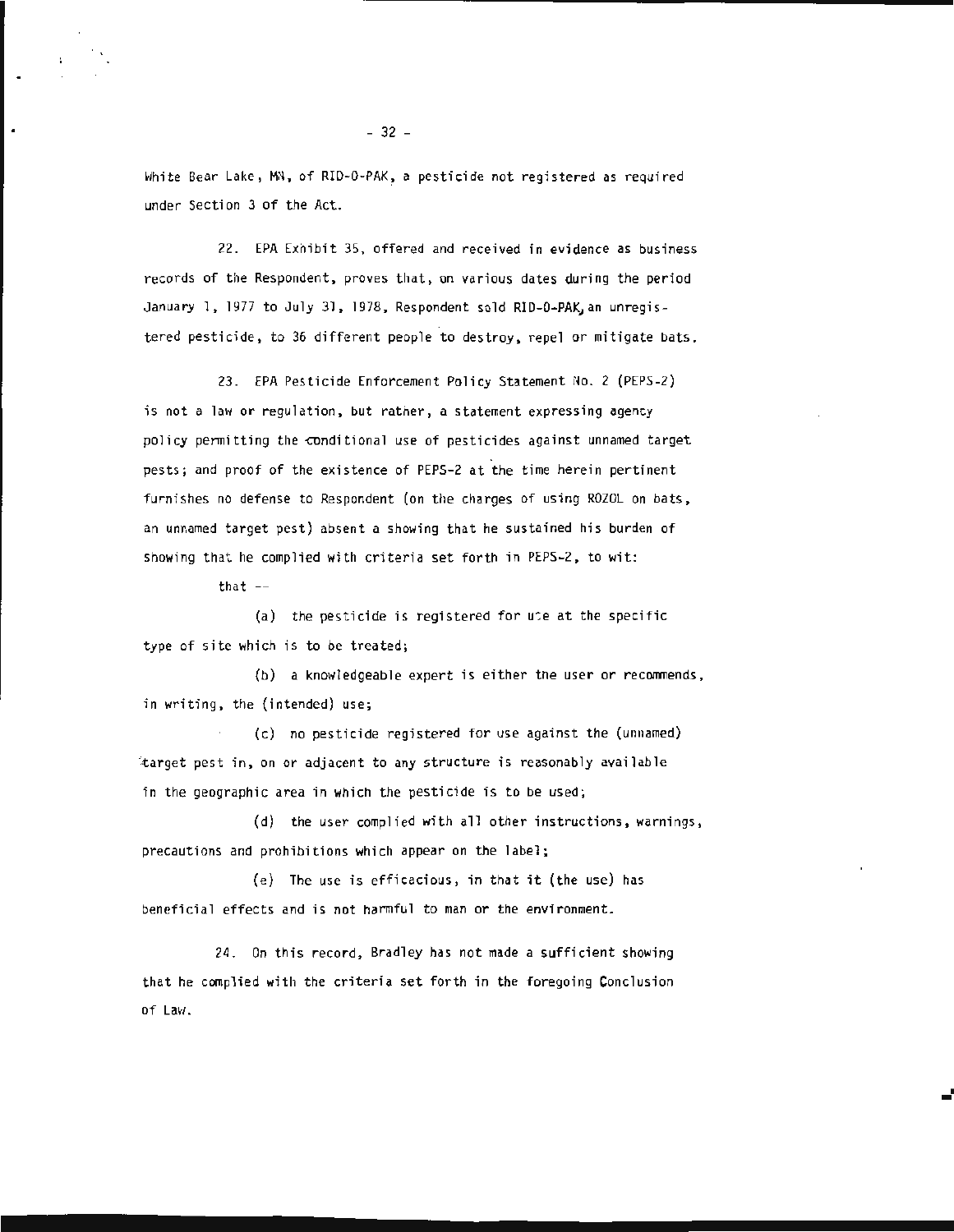White Bear Lake, MN, of RID-0-PAK, a pesticide not registered as required under Section 3 of the Act.

22. EPA Exhibit 35, offered and received in evidence as business records of the Respondent, proves that, on various dates during the period January 1, 1977 to July 31, 1978, Respondent sold RID-0-PAK, an unregistered pesticide, to 36 different people to destroy, repel or mitigate bats.

23. EPA Pesticide Enforcement Policy Statement No. 2 (PEPS-2) is not a law or regulation, but rather, a statement expressing agency policy permitting the conditional use of pesticides against unnamed target pests; and proof of the existence of PEPS-2 at the time herein pertinent furnishes no defense to Respondent (on the charges of using ROZOL on bats, an unnamed target pest) absent a showing that he sustained his burden of showing that he complied with criteria set forth in PEPS-2, to wit:

that  $--$ 

 $\mathbf{r}$ 

(a) the pesticide is registered for upe at the specific type of site which is to be treated;

(b) a knowledgeable expert is either the user or recommends, in writing, the (intended) use;

(c) no pesticide registered for use against the (unnamed) itarget pest in, on or adjacent to any structure is reasonably available in the geographic area in which the pesticide is to be used;

(d) the user complied with all other instructions , warnings, precautions and prohibitions which appear on the label;

(e) The use is efficacious, in that it (the use) has beneficial effects and is not harmful to man or the environment.

24. On this record, Bradley has not made a sufficient showing that he complied with the criteria set forth in the foregoing Conclusion  $of Law.$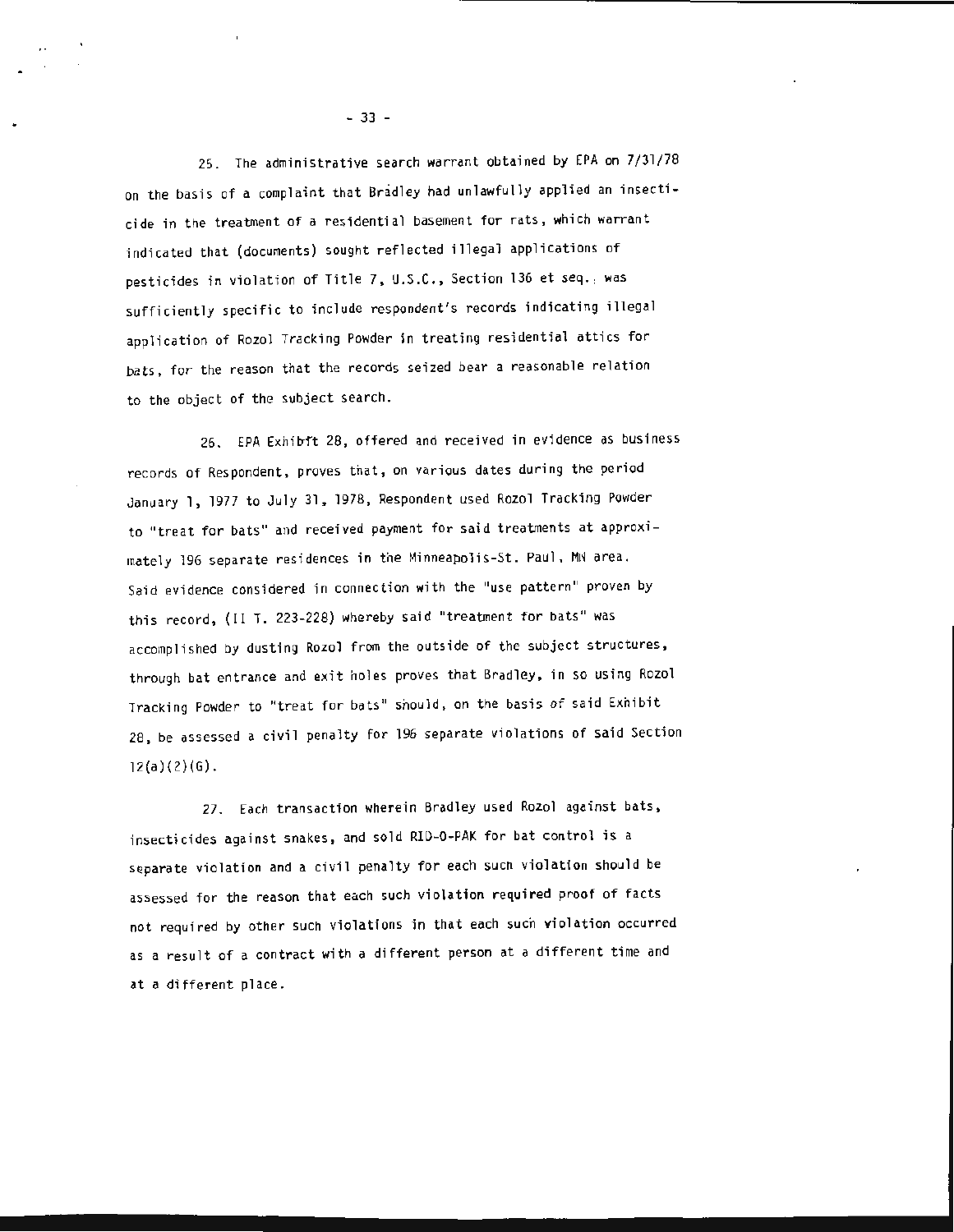25. The administrative search warrant obtained by EPA on 7/31/78 on the basis of a complaint that Bradley had unlawfully applied an insecticide in the treatment of a residential basement for rats, which warrant indicated that (documents) sought reflected illegal applications of pesticides in violation of Title 7, U.S.C., Section 136 et seq., was sufficiently specific to include respondent's records indicating illegal application of Rozol Tracking Powder in treating residential attics for bats, for the reason that the records seized bear a reasonable relation to the object of the subject search.

26. EPA Exhibit 28, offered and received in evidence as business records of Respondent, proves that, on various dates during the period January 1, 1977 to July 31, 1978, Respondent used Rozol Tracking Powder to "treat for bats" and received payment for said treatments at approximately 196 separate residences in the Minneapolis-St. Paul, MM area. Said evidence considered in connection with the "use pattern'' proven by this record, (II T. 223-228) whereby said "treatment for bats" was accomplished by dusting Rozol from the outside of the subject structures, through bat entrance and exit holes proves that Bradley, in so using Rozol Tracking Powder to "treat for bats" should, on the basis of said Exhibit 28, be assessed a civil penalty for 196 separate violations of said Section  $12(a)(2)(G)$ .

27. Each transaction wherein Bradley used Rozol against bats, insecticides against snakes, and sold RIU-0-PAK for bat control is a separate violation and a civil penalty for each sucn violation should be assessed for the reason that each such violation required proof of facts not required by other such violations in that each such violation occurred as a result of a contract with a different person at a different time and at a different place.

 $- 33 -$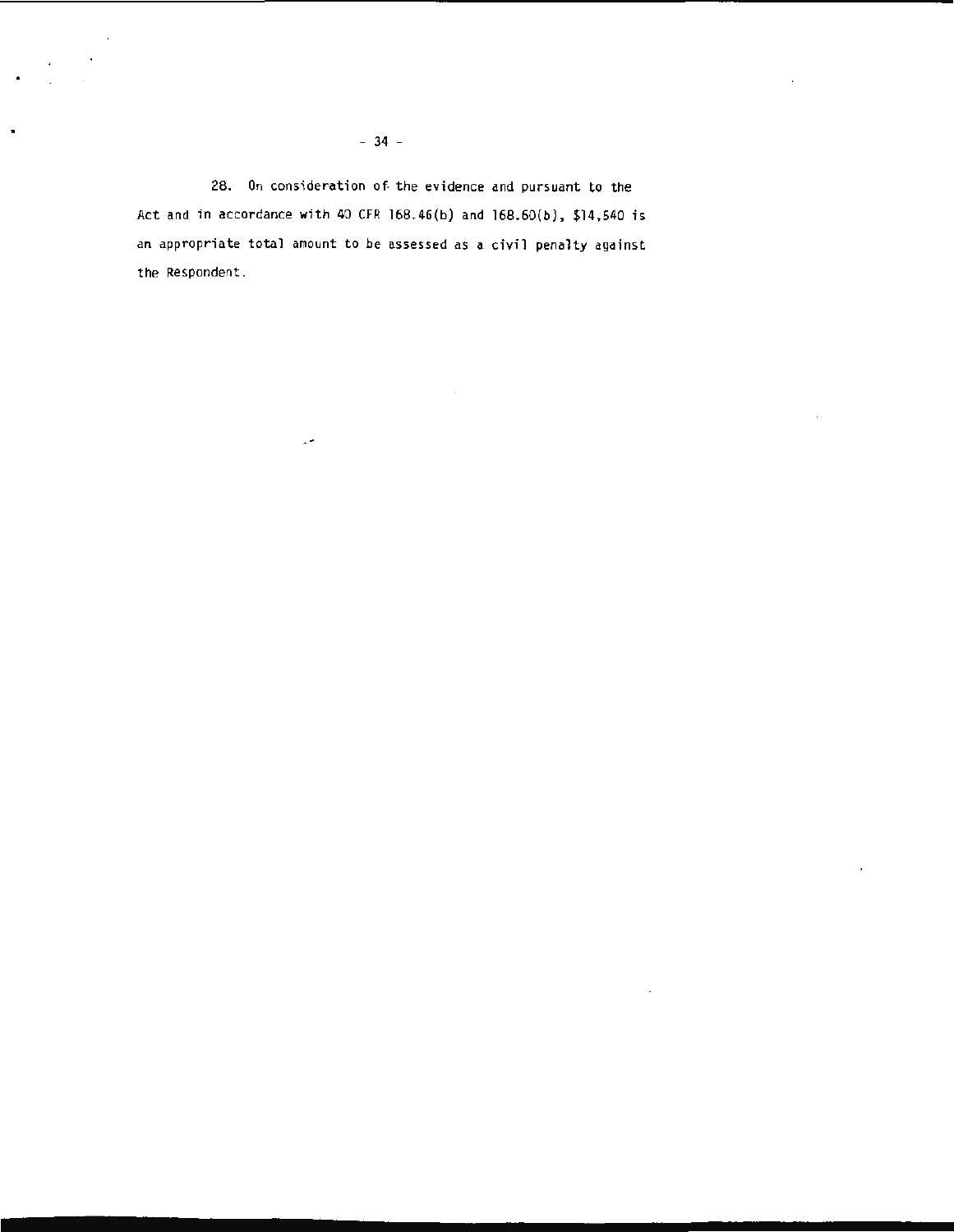$\sim$ 

28. On consideration of the evidence and pursuant to the Act and in accordance with 40 CFR 168.46(b) and 168.60(b), \$14,540 is an appropriate total amount to be assessed as a civil penalty against the Respondent.

 $\mathcal{L}_{\mathcal{A}}$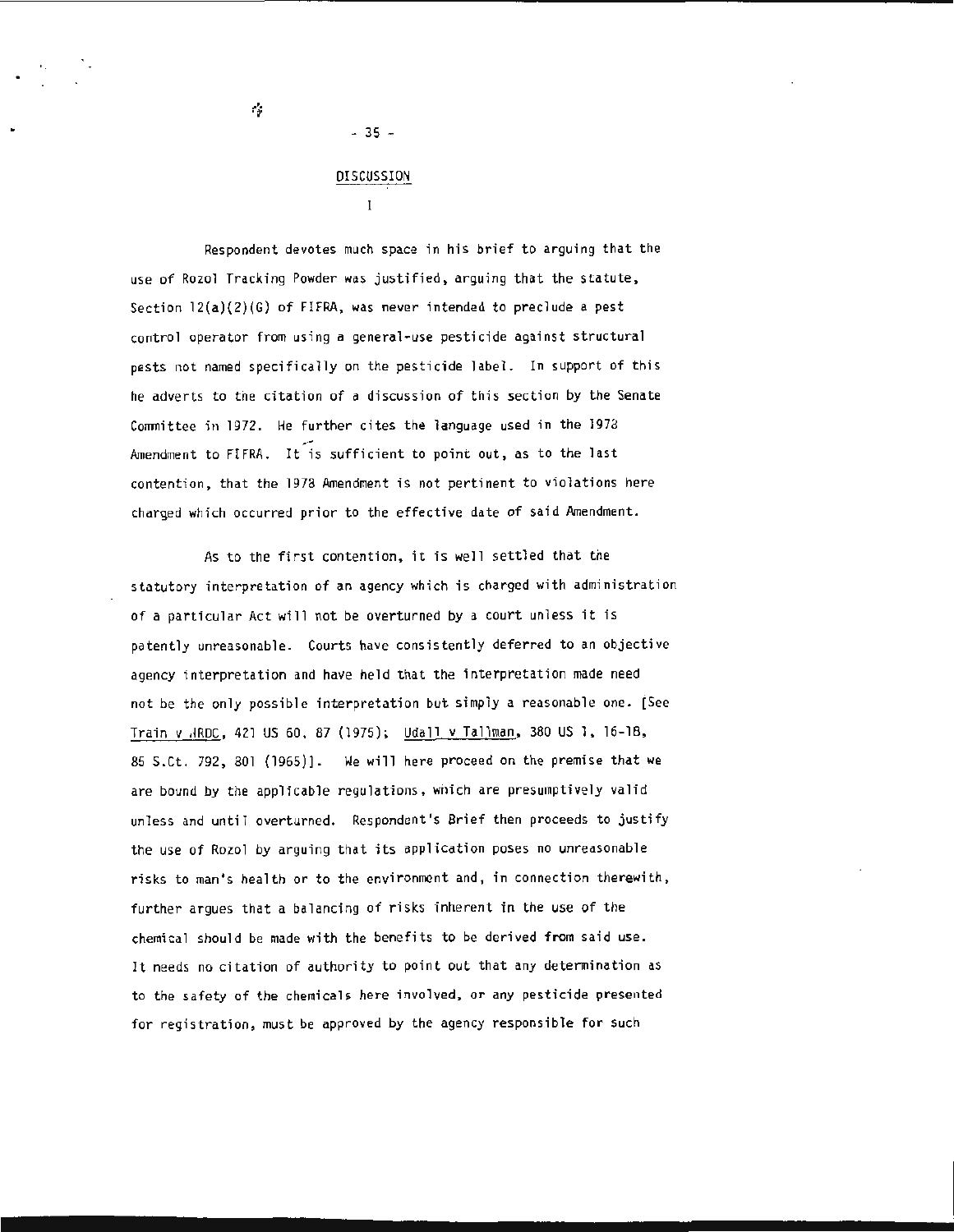Ġ,

### DISCUSSION

- 35 -

 $\mathbf{I}$ 

Respondent devotes much space in his brief to arguing that the use of Rozol Tracking Powder was justified, arguing that the statute , Section 12(a)(2)(G) of FIFRA, was never intended to preclude a pest control operator from using a general-use pesticide against structural pests not named specifically on the pesticide label. In support of this he adverts to the citation of a discussion of this section by the Senate Committee in 1972. He further cites the language used in the 1978 Amendment to FIFRA. It is sufficient to point out, as to the last contention, that the 1978 Amendment is not pertinent to violations here charged which occurred prior to the effective date of said Amendment.

As to the first contention, it is well settled that the statutory interpretation of an agency which is charged with administration of a particular Act will not be overturned by a court unless it is patently unreasonable. Courts have consistently deferred to an objective agency interpretation and have held that the interpretation made need not be the only possible interpretation but simply a reasonable one. [See Train v .lROC, 421 US 60, 87 (1975); Udall v Tallman, 380 US 1, 16-18, 85 S.Ct. 792, 801 (1965)] . We will here proceed on the premise that we are bound by the applicable regulations, which are presumptively valid unless and until overturned. Respondent 's Brief then proceeds to justify the use of Rozol by arguing that its application poses no unreasonable risks to man's health or to the environment and, in connection therewith, further argues that a balancing of risks inherent in the use of the chemical should be made with the benefits to be derived from said use. It needs no citation of authority to point out that any determination as to the safety of the chemicals here involved, or any pesticide presented for registration, must be approved by the agency responsible for such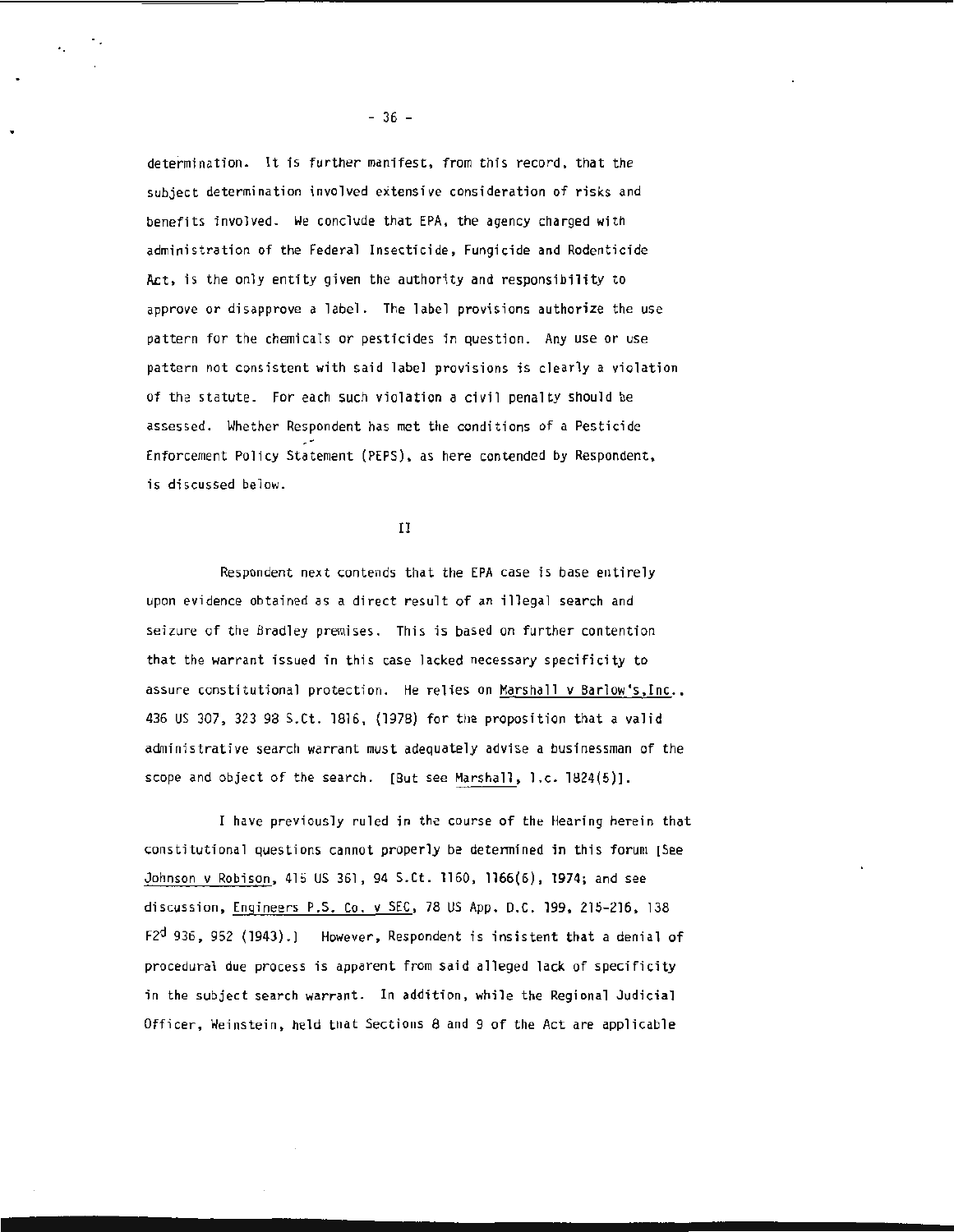determination. It is further manifest, from this record, that the subject determination involved extensive consideration of risks and benefits involved. We conclude that EPA, the agency charged with administration of the Federal Insecticide, Fungicide and Rodenticide Act, is the only entity given the authority and responsibility to approve or disapprove a label. The label provisions authorize the use pattern for the chemicals or pesticides in question. Any use or use pattern not consistent with said label provisions is clearly a violation of the statute. For each such violation a civil penalty should be assessed. Whether Respondent has met the conditions of a Pesticide Enforcement Policy Statement (PEPS), as here contended by Respondent, is discussed below.

II

Respondent next contends that the EPA case is base entirely upon evidence obtained as a direct result of an illegal search and seizure of the Bradley premises. This is based on further contention that the warrant issued in this case lacked necessary specificity to assure constitutional protection. He relies on Marshall v Barlow's,Inc. , 436 US 307, 323 98 S.Ct. 1816 , {1978) for the proposition that a valid administrative search warrant must adequately advise a businessman of the scope and object of the search. [But see Marshall, 1.c. 1824(5)].

I have previously ruled in the course of the Hearing herein that constitutional questions cannot properly be determined in this forum [See Johnson v Robison , 415 US 361 , 94 S.Ct. 1160, 1166(6) , 1974; and see discussion, Engineers P.S . Co. *v* SEC, 78 US App. D.C. 199 , 215-216 , 138 F2<sup>d</sup> 936, 952 (1943).] However, Respondent is insistent that a denial of procedural due process is apparent from said alleged lack of specificity in the subject search warrant. In addition, while the Regional Judicial Officer, Weinstein , held that Sections 8 and 9 of the Act are applicable

 $-36 -$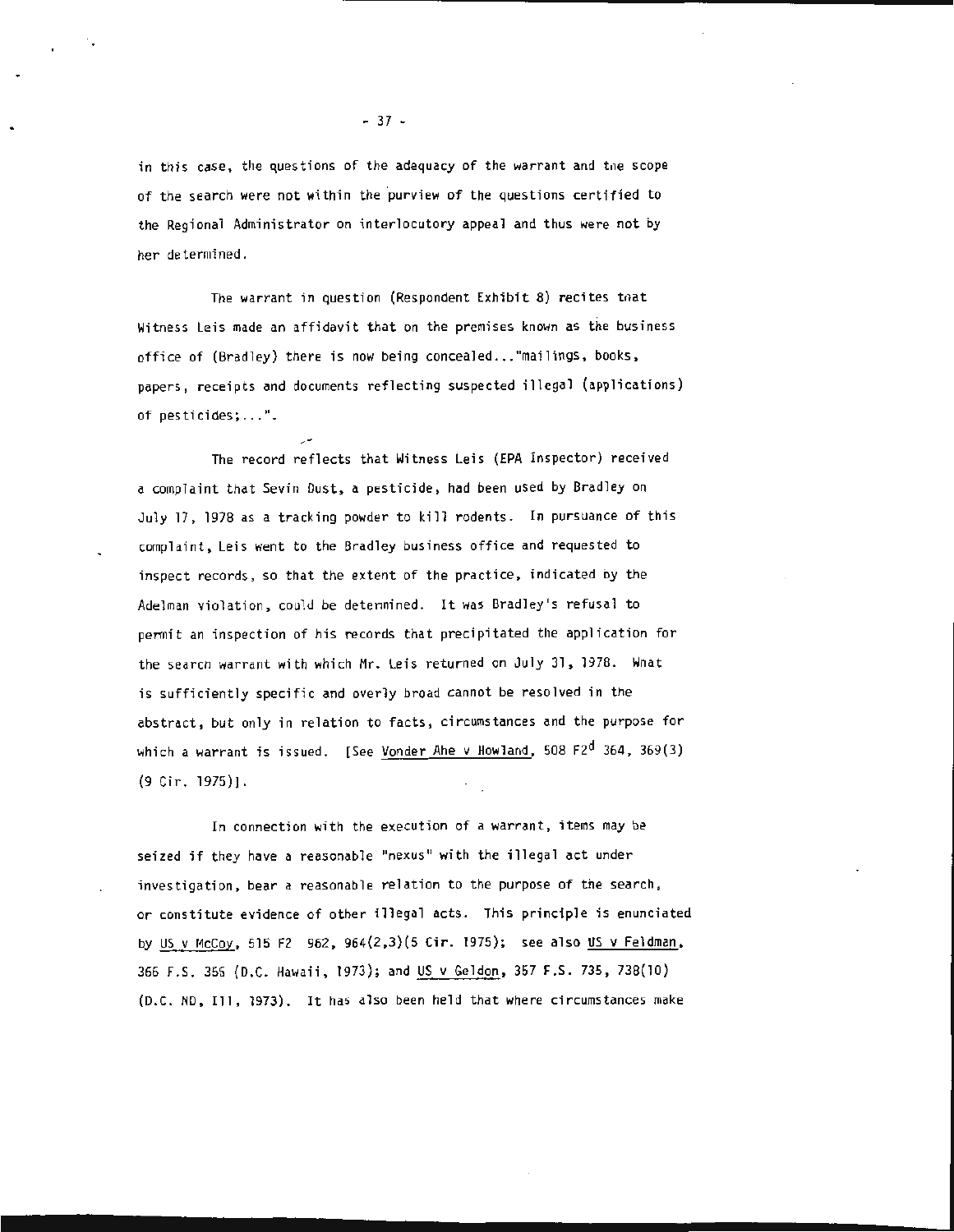in this case, the questions of the adequacy of the warrant and the scope of the search were not within the purview of the questions certified to the Regional Administrator on interlocutory appeal and thus were not by her determined.

The warrant in question (Respondent Exhibit 8) recites that Witness Leis made an affidavit that on the premises known as the business office of (Bradley) there is now being concealed... "mailings, books, papers, receipts and documents reflecting suspected illegal (applications) of pesticides; ... ".

The record reflects that Witness Leis (EPA Inspector) received a complaint that Sevin Dust, a pesticide, had been used by Bradley on July 17 , 1978 as a tracking powder to kill rodents. In pursuance of this complaint, Leis went to the Bradley business office and requested to inspect records, so that the extent of the practice, indicated by the Adelman violation, could be determined. It was Bradley's refusal to permit an inspection of his records that precipitated the application for the search warrant with which Mr. Leis returned on July 31, 1978. What is sufficiently specific and overly broad cannot be resolved in the abstract, but only in relation to facts, circumstances and the purpose for which a warrant is issued. [See Vonder Ahe v Howland, 508 F2<sup>d</sup> 364, 369(3) (9 Cir. 1975)].

In connection with the execution of a warrant, items may be seized if they have a reasonable "nexus" with the illegal act under investigation, bear a reasonable relation to the purpose of the search, or constitute evidence of other illegal acts. This principle is enunciated by US v McCoy, 515 F2 962, 964(2,3)(5 Cir. 1975); see also US v Feldman, 366 F.S. 356 (D.C. Hawaii, 1973); and US v Geldon, 357 F.S. 735, 738(10) (D.C. ND, Ill, 1973). It has also been held that where circumstances make

- 37 -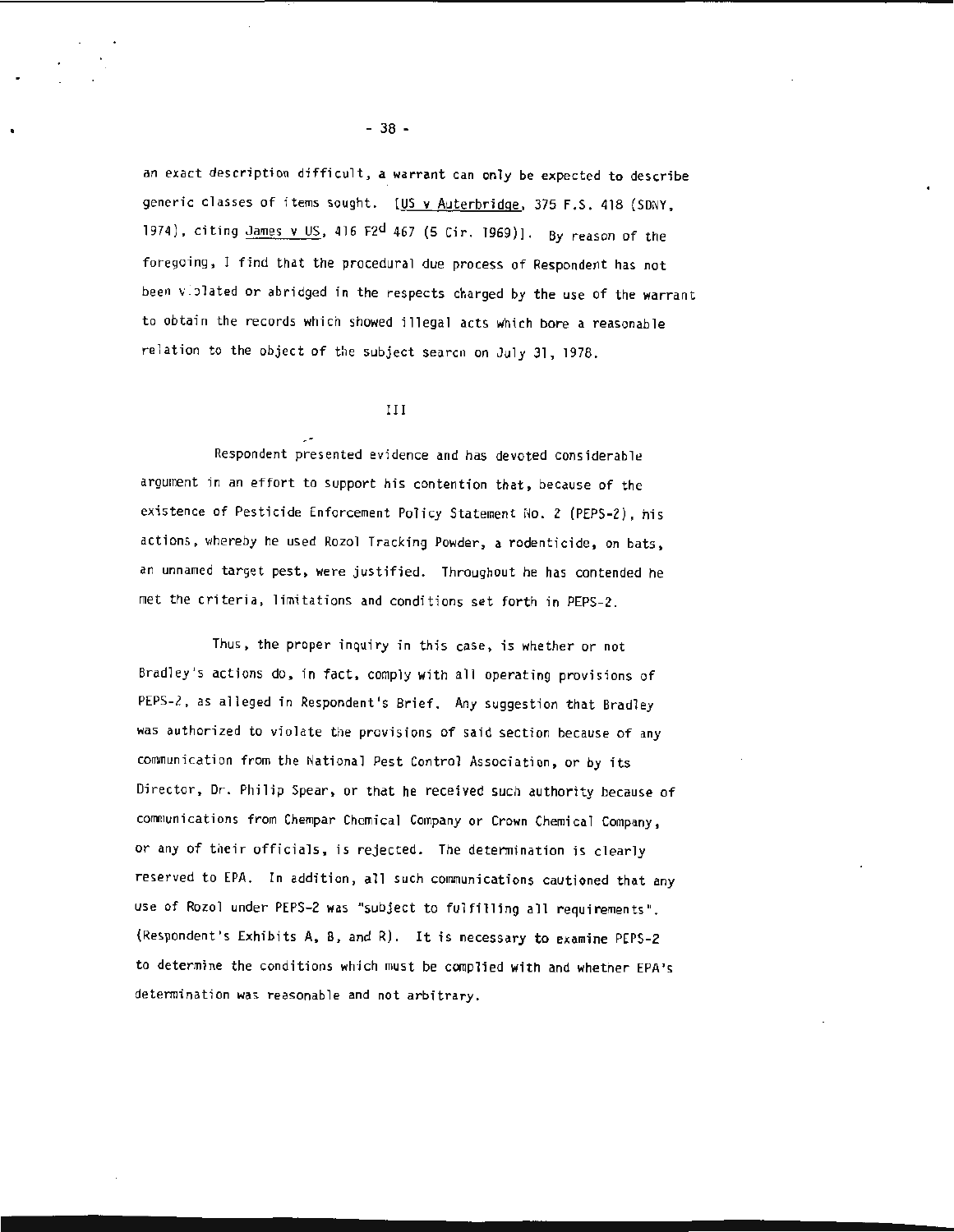an exact description difficult, a warrant can only be expected to describe generic classes of items sought. [US v Auterbridge, 375 F.S. 418 (SDNY, 1974), citing  $J$ ames v US, 416 F2<sup>d</sup> 467 (5 Cir. 1969)]. By reason of the foregoing, I find that the procedural due process of Respondent has not been viplated or abridged in the respects charged by the use of the warrant to obtain the records which showed illegal acts which bore a reasonable relation to the object of the subject searcn on July 31, 1978.

#### III

Respondent presented evidence and has devoted considerable argument in an effort to support his contention that, because of the existence of Pesticide Enforcement Policy Statement No. 2 (PEPS-2), his actions, whereby he used Rozol Tracking Powder, a rodenticide, on bats, an unnamed target pest, were justified. Throughout he has contended he met the criteria, limitations and conditions set forth in PEPS-2.

Thus, the proper inquiry in this case, is whether or not Bradley's actions do, in fact, comply with all operating provisions of PEPS-2, as alleged in Respondent's Brief. Any suggestion that Bradley was authorized to violate the provisions of said section because of any communication from the National Pest Control Association, or by its Director, Dr. Philip Spear, or that he received such authority because of communications from Chempar Chemical Company or Crown Chemical Company, or any of their officials, is rejected. The determination is clearly reserved to EPA. In addition, all such communications cautioned that any use of Rozol under PEPS-2 was "subject to fulfilling all requirements". (Respondent's Exhibits A, B, and R). It is necessary to examine PEPS-2 to determine the conditions which must be complied with and whether EPA's determination was reasonable and not arbitrary.

- 38 -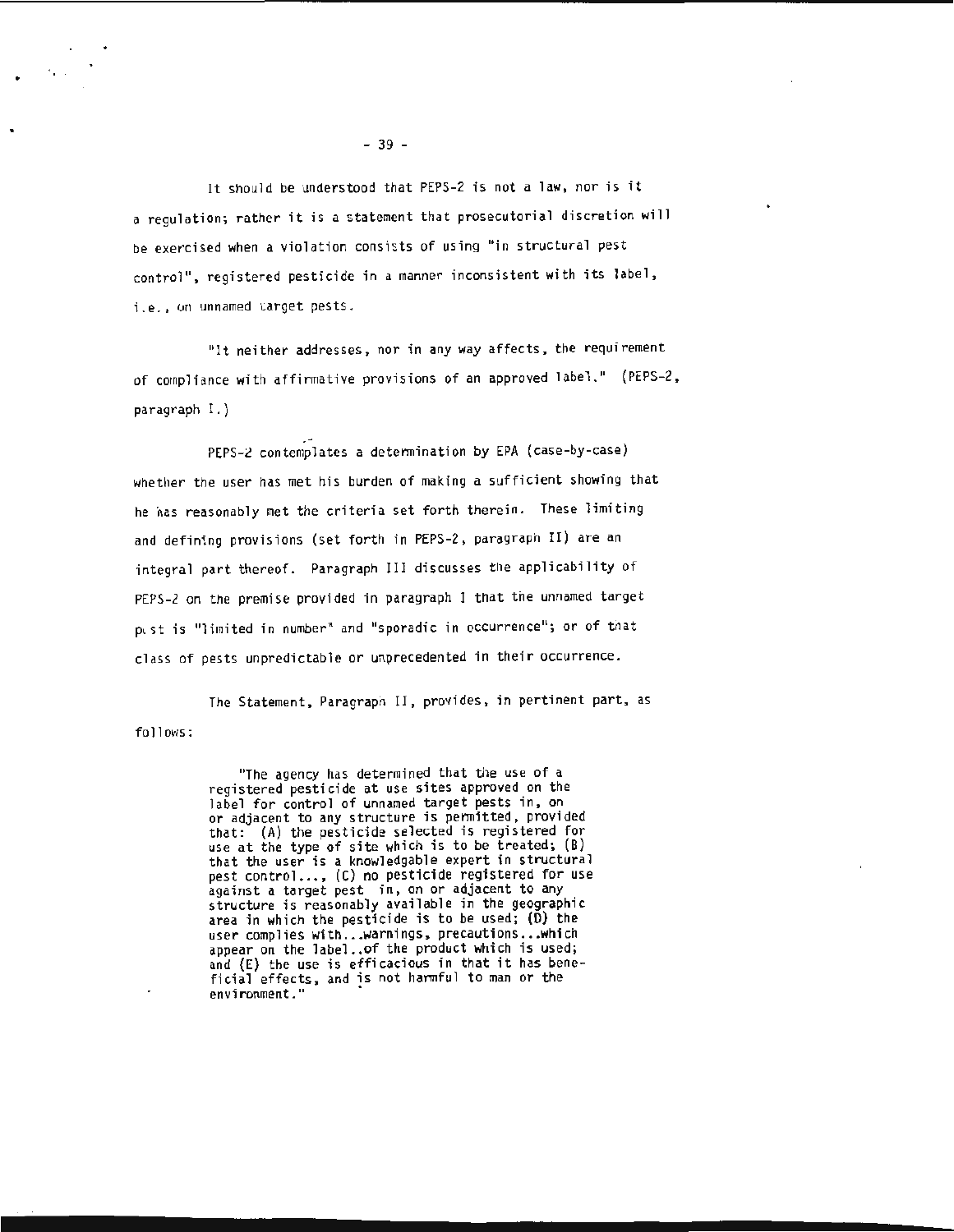It should be understood that PEPS-2 is not a law, nor is it a regulation; rather it is a statement that prosecutorial discretion will be exercised when a violation consists of using "in structural pest control", registered pesticide in a manner inconsistent with its label, i.e., on unnamed varget pests.

''It neither addresses, nor in any way affects, the requirement of compliance with affirmative provisions of an approved label." (PEPS-2, paragraph I.)

PEPS-2 contemplates a determination by EPA (case-by-case) whether the user has met his burden of making a sufficient showing that he nas reasonably met the criteria set forth therein. These limiting and defining provisions (set forth in PEPS-2, paragraph II) are an integral part thereof. Paragraph III discusses the applicability of PEPS -2 on the premise provided in paragraph I that tne unnamed target pest is "limited in number" and "sporadic in occurrence"; or of that class of pests unpredictable or unprecedented in their occurrence.

follows: The Statement, Paragraph II, provides, in pertinent part, as

> "The agency has determined that the use of a registered pesticide at use sites approved on the label for control of unnamed target pests in, on<br>or adjacent to any structure is permitted, provided that: (A) the pesticide selected is registered for use at the type of site which is to be treated; (B) that the user is a knowledgable expert in structural pest control ... , (C) no pesticide registered for use against a target pest in, on or adjacent to any structure is reasonably available in the geographic area in which the pesticide is to be used;  $(D)$  the user complies with... warnings, precautions... which appear on the label.. of the product which is used; and (E) the use is efficacious in that it has bene-<br>ficial effects, and is not harmful to man or the environment."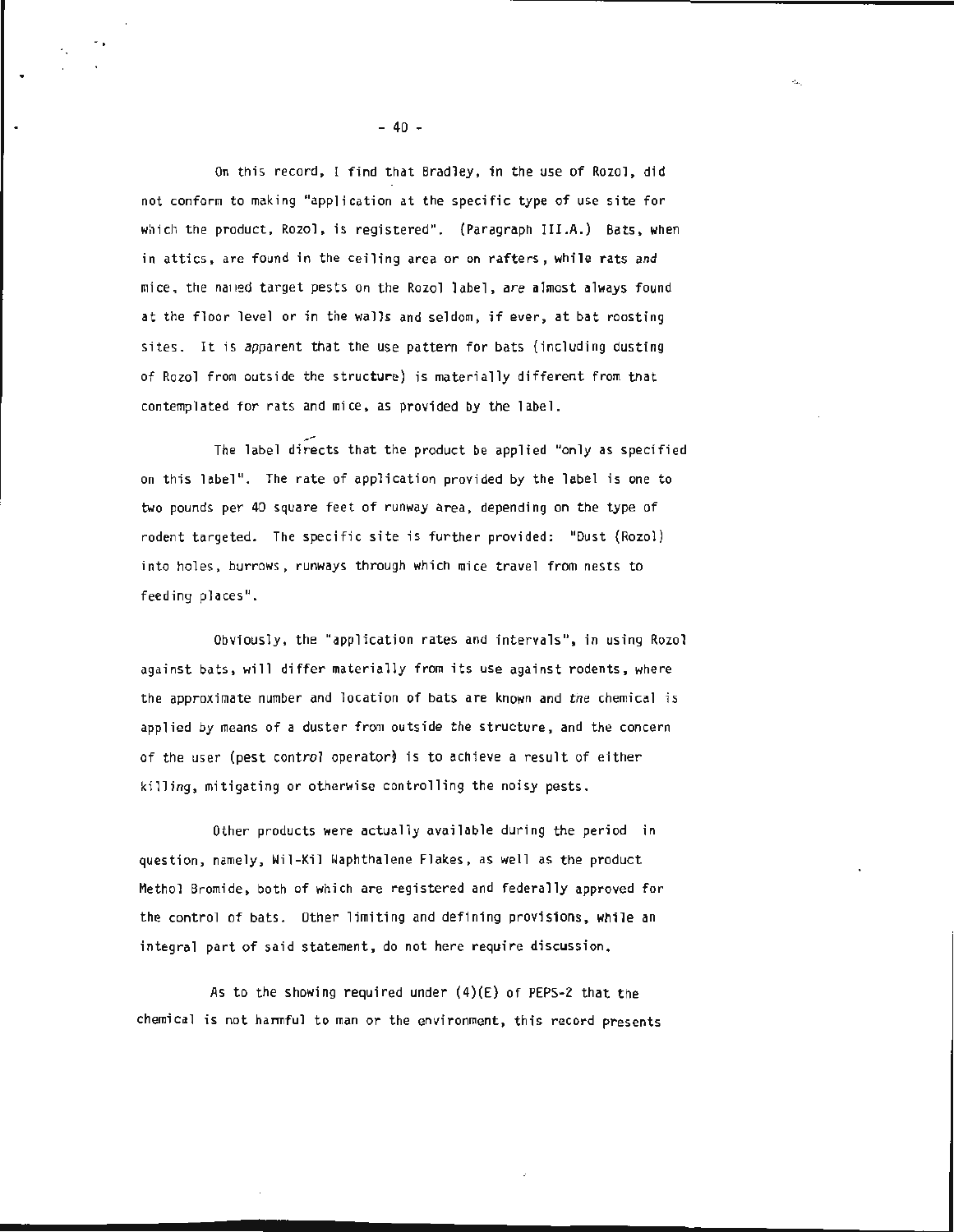On this record, I find that Bradley, in the use of Rozol, did not conform to making "application at the specific type of use site for which the product, Rozol, is registered". (Paragraph III.A.) Bats, when in attics , are found in the ceiling area or on rafters, while rats and mice, the named target pests on the Rozol label, are almost always found at the floor level or in the walls and seldom, if ever, at bat roosting sites. It is apparent that the use pattern for bats (including dusting of Rozol from outside the structure) is materially different from that contemplated for rats and mice, as provided by the label.

The label directs that the product be applied "only as specified on this label". The rate of application provided by the label is one to two pounds per 40 square feet of runway area, depending on the type of rodent targeted. The specific site is further provided: "Dust (Rozol) into holes, burrows, runways through which mice travel from nests to feeding places" .

Obviously, the "application rates and intervals", in using Rozol against bats, will differ materially from its use against rodents, where the approximate number and location of bats are known and the chemical is applied by means of a duster from outside the structure, and the concern of the user {pest control operator) is to achieve a result of either killing, mitigating or otherwise controlling the noisy pests.

Other products were actually available during the period in question, namely, Wil-Kil Waphthalene Flakes, as well as the product Methol Bromide , both of which are registered and federally approved for the control of bats. Other limiting and defining provisions, while an integral part of said statement, do not here require discussion.

As to the showing required under  $(4)(E)$  of PEPS-2 that the chemical is not harmful to man or the environment, this record presents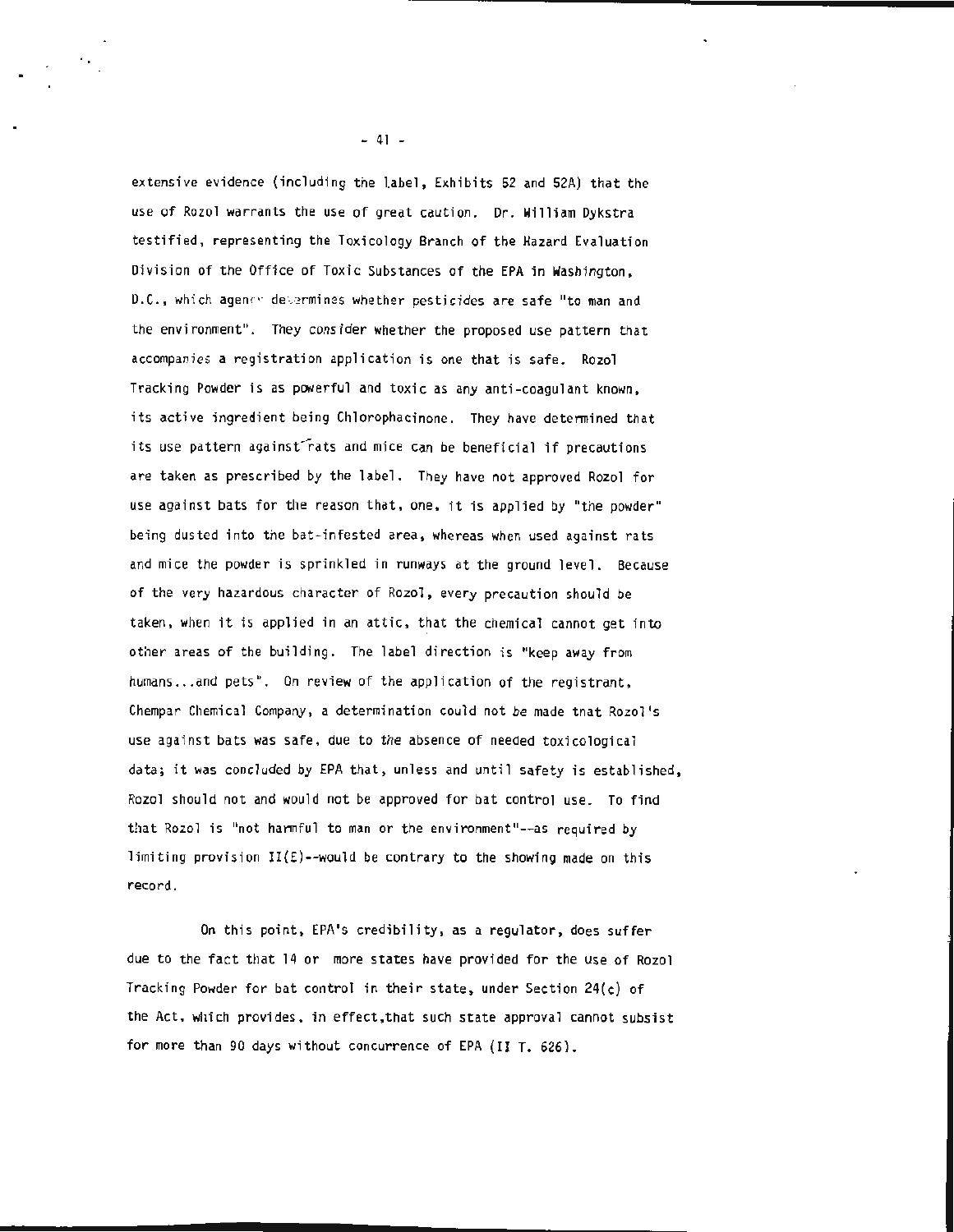extensive evidence (including the label, Exhibits 52 and 52A) that the use of Rozol warrants the use of great caution. Dr. William Dykstra testified, representing the Toxicology Branch of the Hazard Evaluation Division of the Office of Toxic Substances of the EPA in Washington, D.C., which agency determines whether pesticides are safe "to man and the environment". They consider whether the proposed use pattern that accompanies a registration application is one that is safe. Rozol Tracking Powder is as powerful and toxic as any anti-coagulant known, its active ingredient being Chlorophacinone. They have determined that its use pattern against rats and mice can be beneficial if precautions are taken as prescribed by the label. They have not approved Rozol for use against bats for the reason that, one, it is applied by "the powder" being dusted into the bat-infested area, whereas when used against rats and mice the powder is sprinkled in runways at the ground level . Because of the very hazardous character of Rozol, every precaution should be taken, when it is applied in an attic, that the chemical cannot get into other areas of the building. The label direction is "keep away from humans ... and pets". On review of the application of the registrant, Chempar Chemical Company, a determination could not be made tnat Rozol 's use against bats was safe, due to the absence of needed toxicological data; it was concluded by EPA that, unless and until safety is established, Rozol should not and would not be approved for bat control use. To find that Rozol is "not harmful to man or the environment"--as required by limiting provision  $II(E)$ --would be contrary to the showing made on this record.

On this point, EPA's credibility, as a regulator, does suffer due to the fact that 14 or more states have provided for the use of Rozol Tracking Powder for bat control in their state, under Section  $24(c)$  of the Act, which provides, in effect,that such state approval cannot subsist for more than 90 days without concurrence of EPA (II T. 626).

 $- 41 -$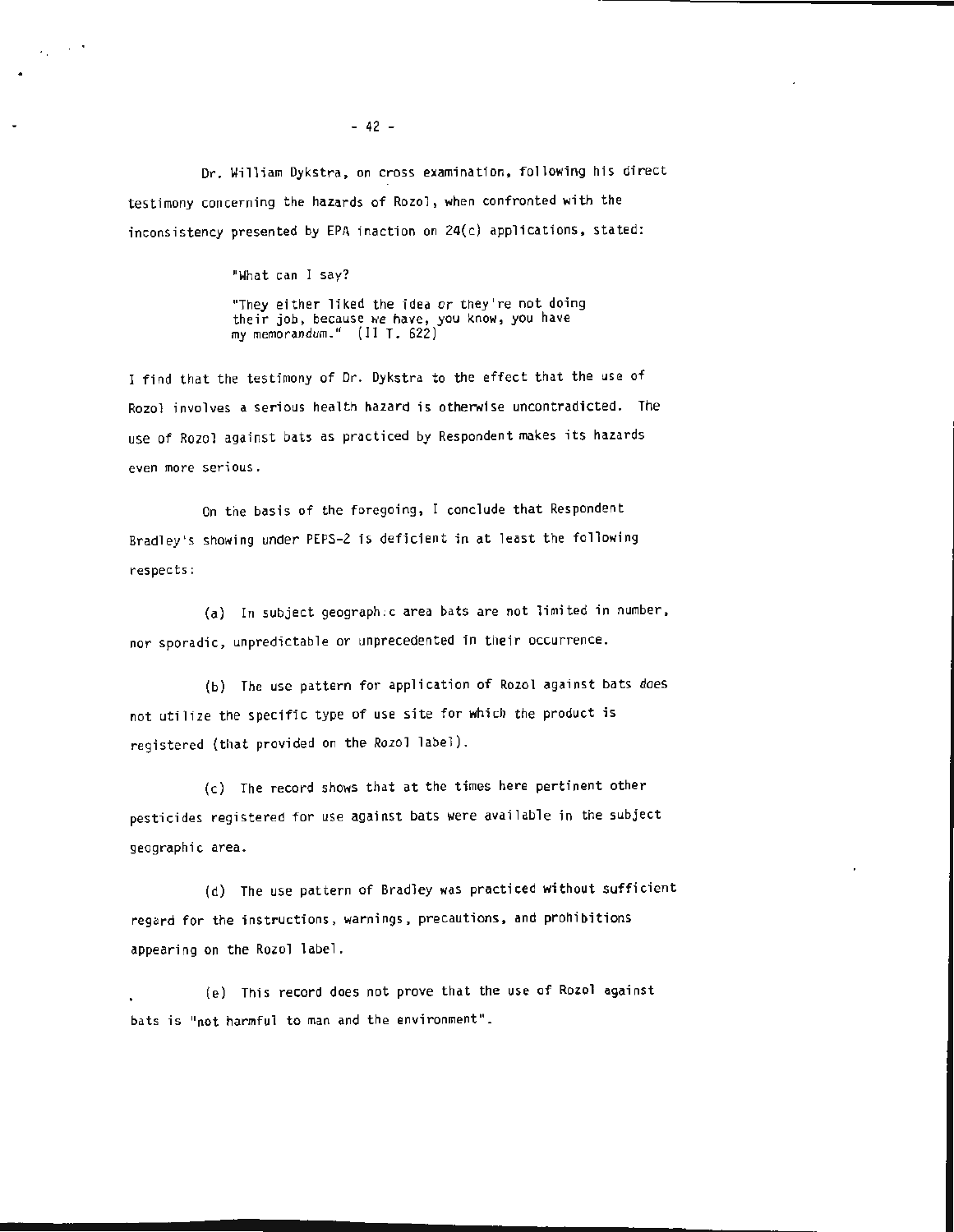Or. William Dykstra , on cross examination, following his direct testimony concerning the hazards of Rozol, when confronted with the inconsistency presented by EPA inaction on 24(c) applications, stated:

#### "What can I say?

 $\lambda_1 \sim 202$ 

"They either liked the idea or they're not doing<br>their job, because we have, you know, you have my memorandum ." (II T. 622)

I find that the testimony of Dr. Dykstra to the effect that the use of Rozol involves a serious health hazard is otherwise uncontradicted. The use of Rozol against bats as practiced by Respondent makes its hazards even more serious.

On the basis of the foregoing, I conclude that Respondent Bradley's showing under PEPS-2 is deficient in at least the following respects:

(a) In subject geograph :c area bats are not limited in number, nor sporadic, unpredictable or unprecedented in their occurrence.

(b) The use pattern for application of Rozol against bats does not utilize tne specific type of use site for which the product is registered (that provided on the Rozol label).

(c) The record shows that at the times here pertinent other pesticides registered for use against bats were available in the subject geographic area.

(d) The use pattern of Bradley was practiced without sufficient regard for the instructions, warnings , precautions, and prohibitions appearing on the Rozol label.

(e) This record does not prove that the use of Rozol against bats is "not harmful to man and the environment".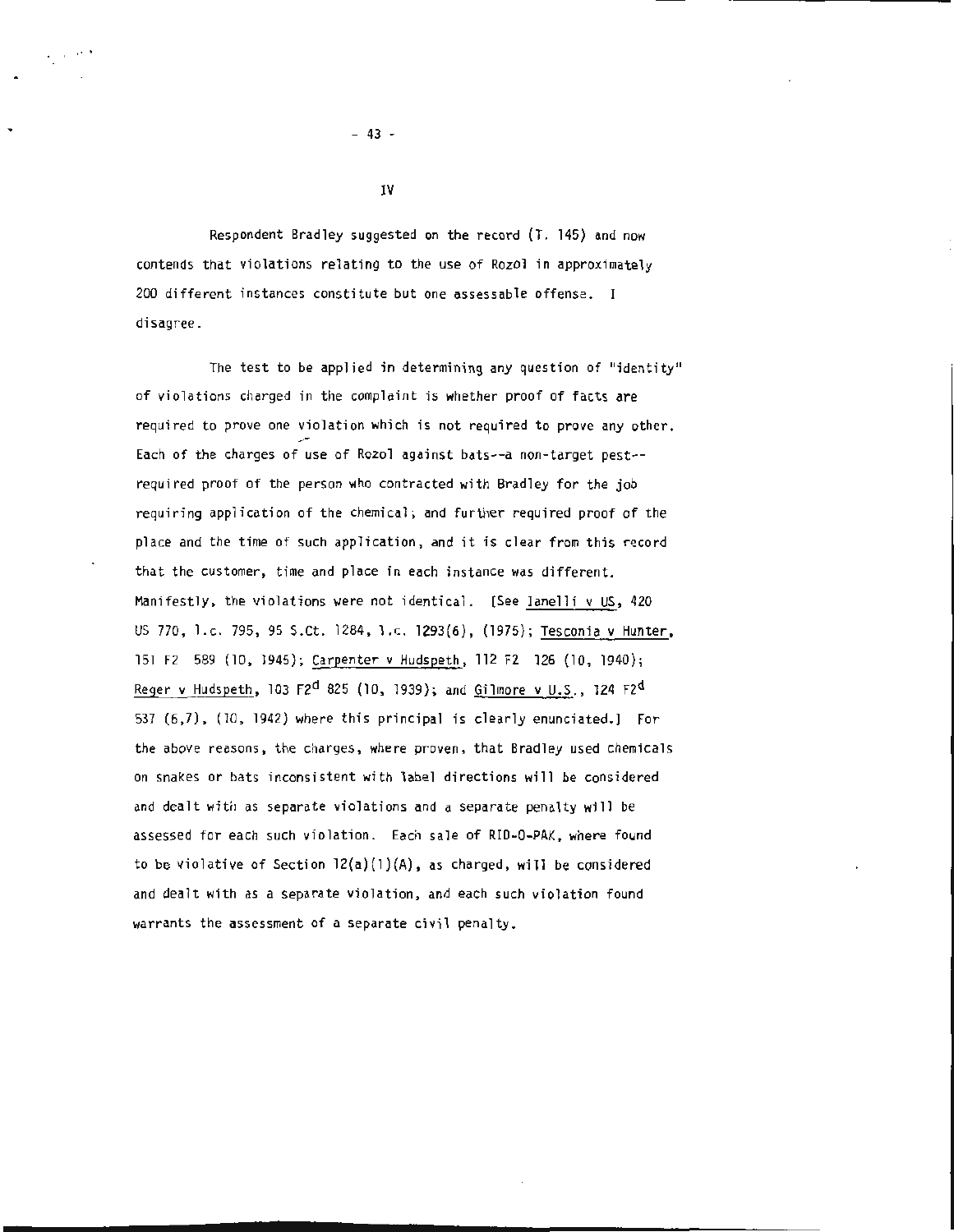Respondent Bradley suggested on the record (T. 145) and now contends that violations relating to the use of Rozel in approximately 200 different instances constitute but one assessable offense. disagree.

The test to be applied in determining any question of "identity" of viola tions charged in the complaint is whether proof of facts are required to prove one violation which is not required to prove any other. Each of the charges of use of Rozel against bats--a non-target pest- required proof of the person who contracted with Bradley for the job requiring application of the chemical; and further required proof of the place and the time of such application, and it is clear from this record that the customer, time and place in each instance was different. Manifestly, the violations were not identical. [See Ianelli v US, 420 US 770, l.c. 795, 95 S.Ct. 1284, l.c. 1293(6), (1975); Tesconia v Hunter, 151 F2 589 (10, 1945); Carpenter v Hudspeth, 112 F2 126 {10, 1940); Reger v Hudspeth, 103 F2<sup>d</sup> 825 (10, 1939); and Gilmore v U.S., 124 F2<sup>d</sup> 537 {6 ,7 ), {10 , 1942) where this principal is clearly enunciated. ) For the above reasons, the charges, where proven, that Bradley used chemicals on snakes or bats inconsistent with label directions will be considered and dealt with as separate violations and a separate penalty will be assessed for each such violation. Each sale of RID-0-PAK , where found to be violative of Section  $12(a)(1)(A)$ , as charged, will be considered and dealt with as a separate violation, and each such violation found warrants the assessment of a separate civil penalty.

 $- 43 -$ 

...

IV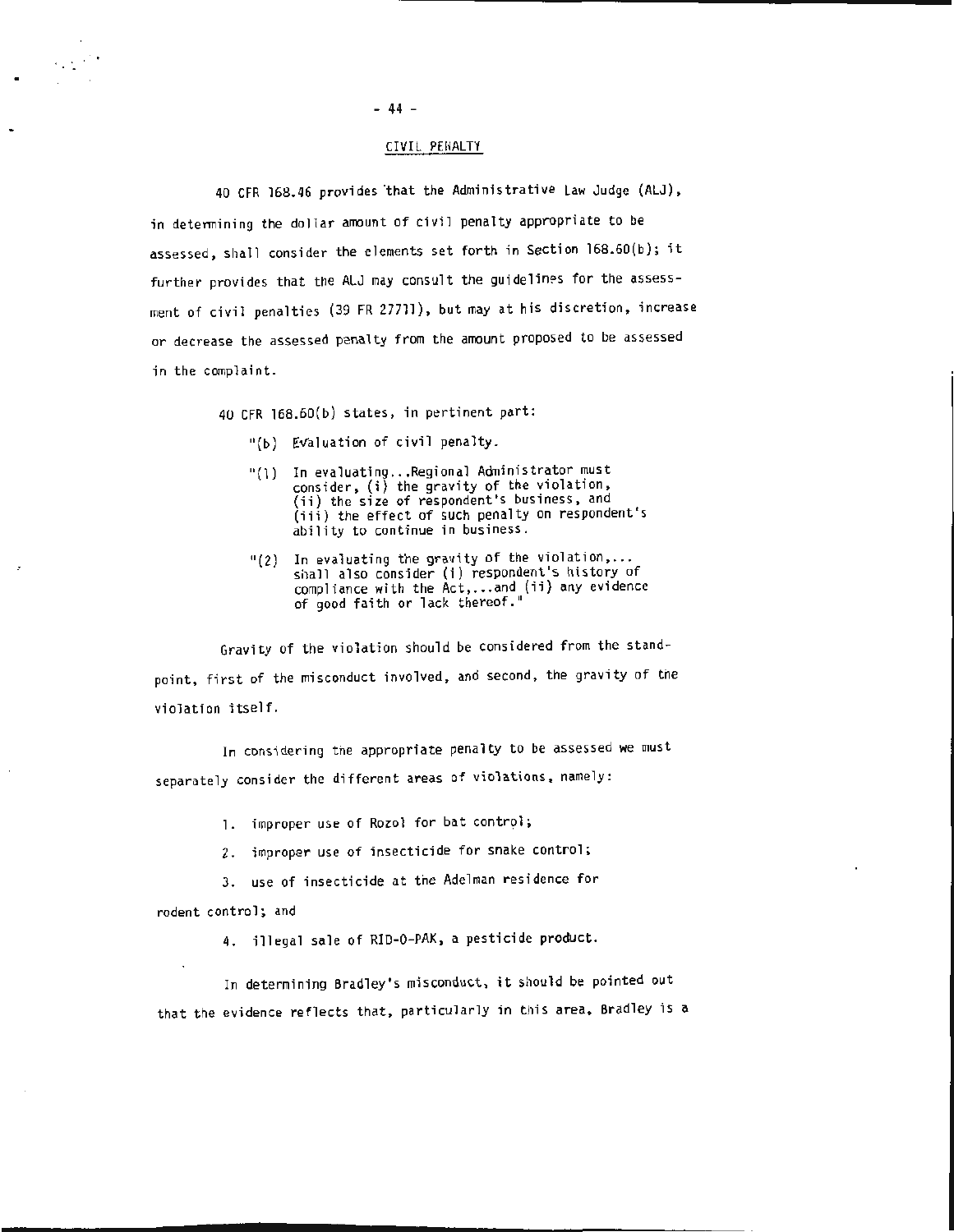# - 44 -

# CIVIL PENALTY

40 CFR 168.46 provides that the Administrative Law Judge (ALJ), in determining the dollar amount of civil penalty appropriate to be assessed, shall consider the elements set forth in Section l68.60(b}; it further provides that the ALJ may consult the guidelines for the assessment of civil penalties (39 FR 27711), but may at his discretion, increase or decrease the assessed penalty from the amount proposed to be assessed in the complaint.

40 CFR 168.60(b) states, in pertinent part:

- "(b) Evaluation of civil penalty.
- "(l) In evaluating . . . Regional Administrator must consider , (i) the gravity of the violation, (ii) the size of respondent's business, and (iii) the effect of such penalty on respondent's ability to continue in business.
- "(2} In evaluating the gravity of the violation, ... shall also consider (i) respondent's history of compliance with the Act, ... and (ii) any evidence of good faith or lack thereof."

Gravity of the violation should be considered from the standpoint, first of the misconduct involved, and second, the gravity of the violation itself.

In considering the appropriate penalty to be assessed we must separately consider the different areas of violations, namely:

1. improper use of Rozol for bat control;

2. improper use of insecticide for snake control;

3. use of insecticide at the Adelman residence for

rodent control; and

 $\alpha\in\mathbb{C}^*$ 

4. illegal sale of RID-0-PAK, a pesticide product.

In determining Bradley's misconduct, it should be pointed out that the evidence reflects that, particularly in this area, Bradley is a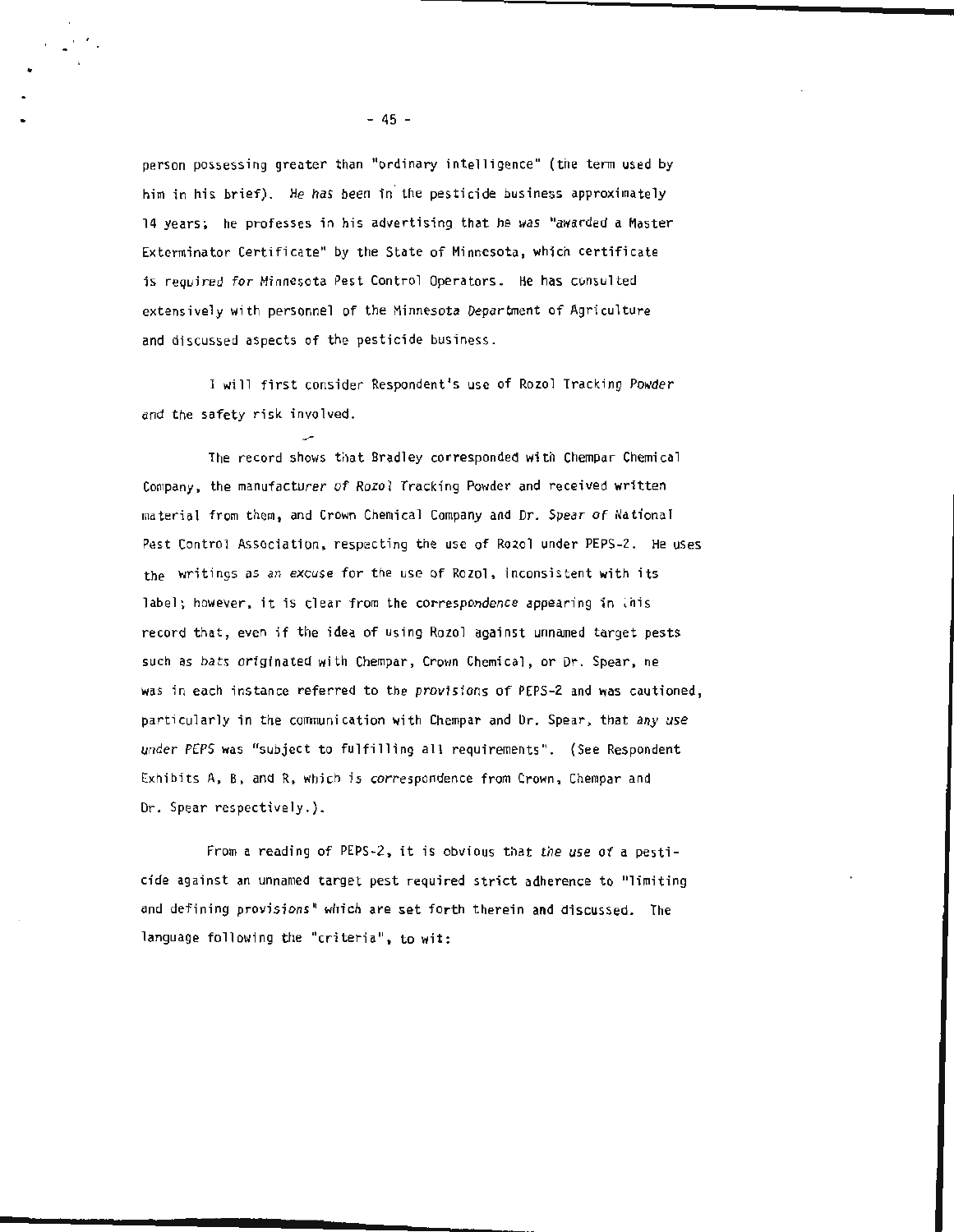person possessing greater than "ordinary intelligence" (the term used by him in his brief). He has been in the pesticide business approximately 14 years; he professes in his advertising that he was "awarded a Master Exterminator Certificate" by the State of Minnesota, which certificate is required for Minnesota Pest Control Operators. He has consulted extensively with personnel of the Minnesota Department of Agriculture and discussed aspects of the pesticide business.

I will first consider Respondent's use of Rozol Tracking Powder and the safety risk involved.

The record shows that Bradley corresponded with Chempar Chemical Company, the manufacturer of Rozol Tracking Powder and received written material from them, and Crown Chemical Company and Dr. Spear of National Pest Control Association, respecting the use of Rozol under PEPS-2. He uses the writings as an excuse for the usc of Rozol, inconsistent with its label; however, it is clear from the correspondence appearing in  $\overline{\text{u}}$  is record that, even if the idea of using Rozol against unnamed target pests such as bats originated with Chempar, Crown Chemical, or Dr. Spear, ne was in each instance referred to the provisions of PEPS-2 and was cautioned, particularly in the communication with Chempar and Dr. Spear, that any use under PEPS was "subject to fulfilling all requirements". (See Respondent Exhibits A, B, and R, which is correspondence from Crown, Chempar and Dr. Spear respectively.).

From a reading of PEPS-2 , it is obvious that the use of a pesticide against an unnamed target pest required strict adherence to "limiting and defining provisions" which are set forth therein and discussed. The language following the "criteria", to wit:

- 45 -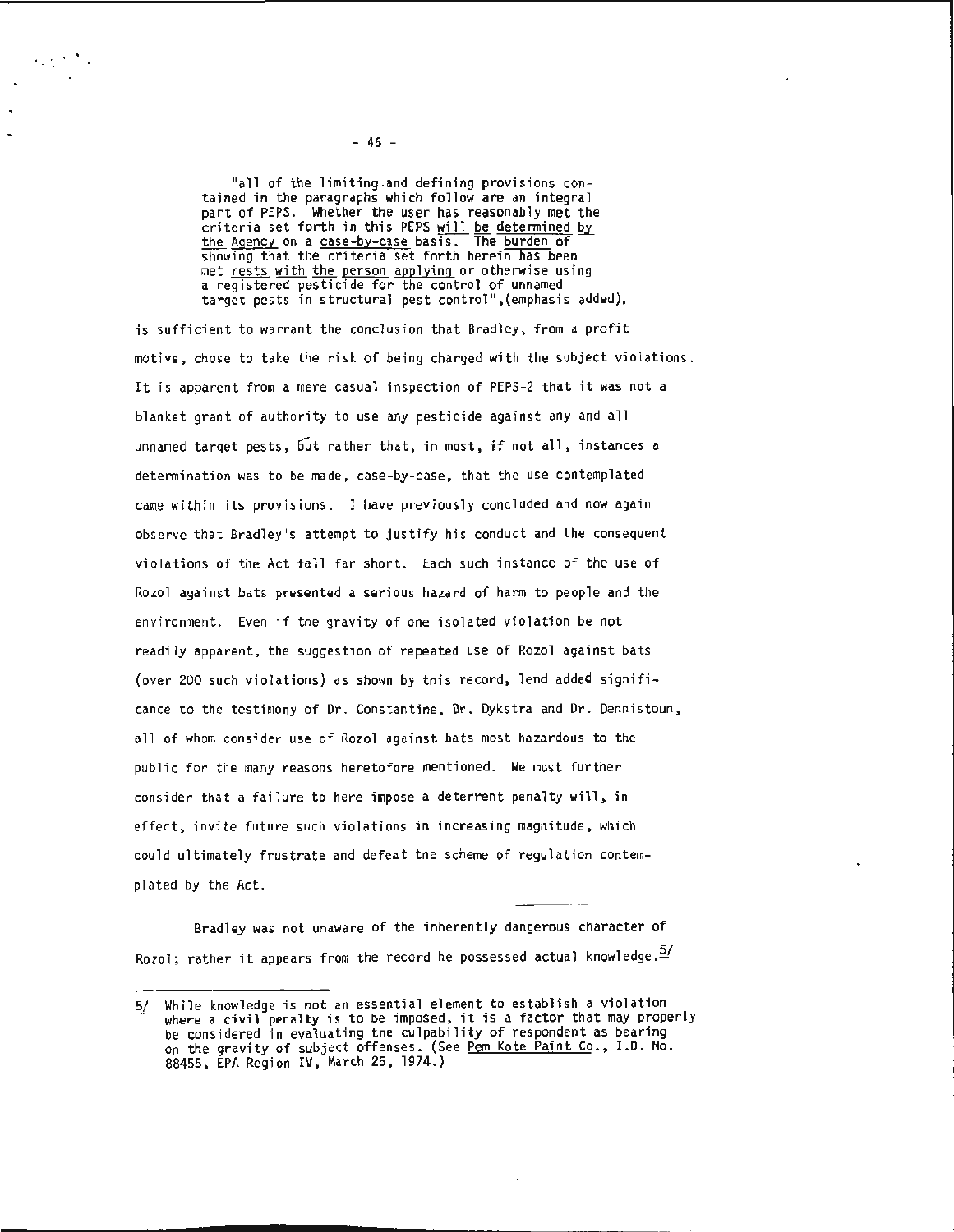"all of the limiting.and defining provisions con- tained in the paragraphs which follow are an integral part of PEPS. Whether the user has reasonably met the criteria set forth in this PEPS will <u>be determined</u> by <u>the Agency</u> on a <u>case-by-case</u> basis. The <u>burden</u> of showing that the criteria set forth herein has been met rests with the person applying or otherwise using a registered pesticide for the control of unnamed target pests in structural pest control" , (emphasis added),

is sufficient to warrant the conclusion that Bradley, from a profit motive, chose to take the risk of being charged with the subject violations. It is apparent from a mere casual inspection of PEPS-2 that it was not a blanket grant of authority to use any pesticide against any and all unnamed target pests, 6ut rather that, in most, if not all, instances a determination was to be made, case-by-case, that the use contemplated came within its provisions. I have previously concluded and now again observe that Bradley's attempt to justify his conduct and the consequent violations of the Act fall far short. Each such instance of the use of Rozol against bats presented a serious hazard of harm to people and the environment. Even if the gravity of one isolated violation be not readily apparent, the suggestion of repeated use of Rozol against bats (over 200 such violations) as shown by this record, lend added significance to the testimony of Dr. Constantine, Dr. Dykstra and Dr. Dennistoun, all of whom consider use of Rozol against bats most hazardous to the public for the many reasons heretofore mentioned. We must further consider that a failure to here impose a deterrent penalty will, in effect, invite future such violations in increasing magnitude, which could ultimately frustrate and defeat the scheme of regulation contemplated by the Act.

Bradl ey was not unaware of the inherently dangerous character of Rozol; rather it appears from the record he possessed actual knowledge. $\frac{5}{2}$ 

. . . . ' .

*<sup>§!</sup>* While knowledge is not an essential element to establish a violation where a civil penalty is to be imposed, it is a factor that may properly be considered in evaluating the culpability of respondent as bearing on the gravity of subject offenses. (See Pem Kote Paint Co., I.D. No. 88455, EPA Region IV, March 26 , 1974.)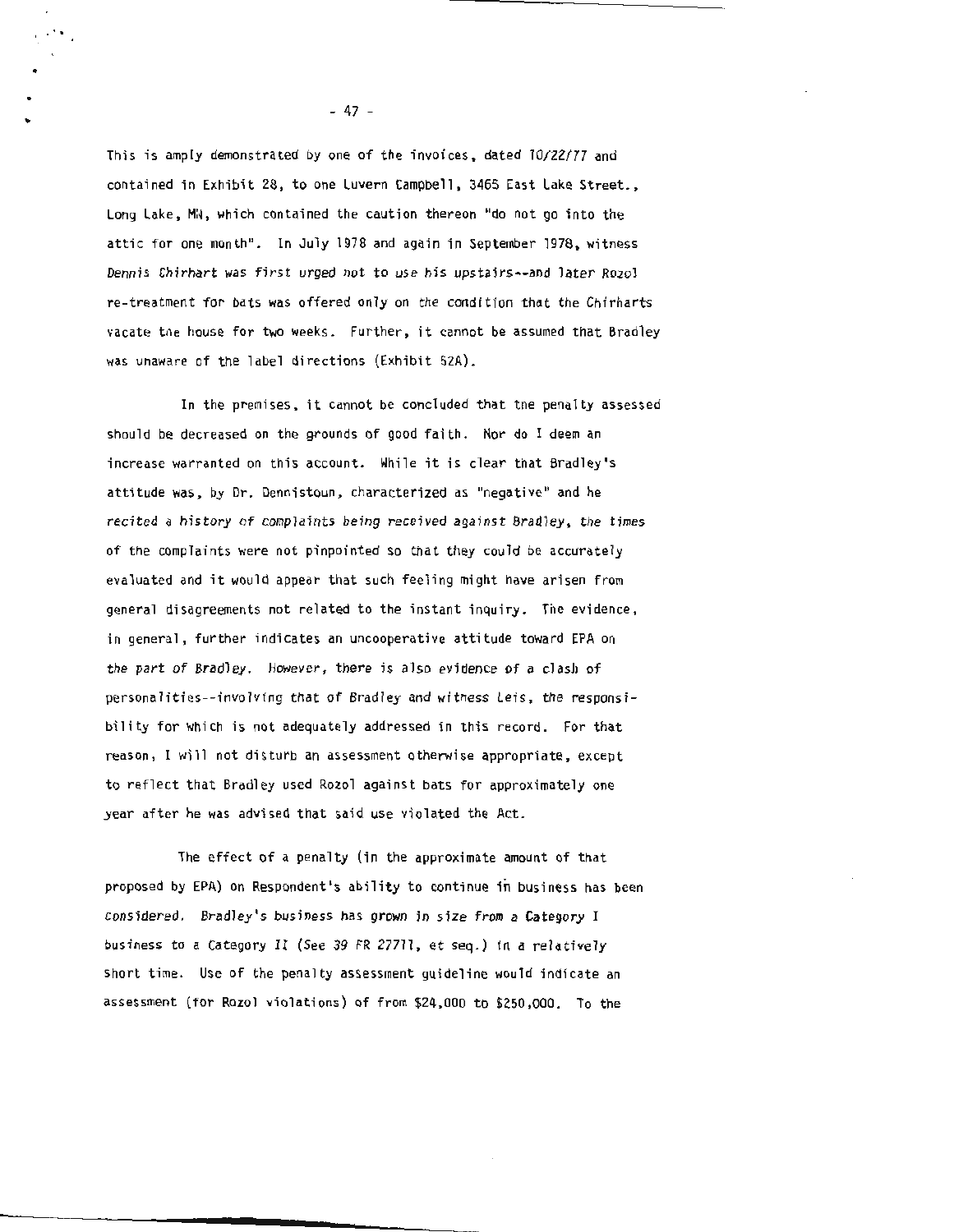This is amply demonstrated by one of the invoices, dated 10/22/77 and contained in Exhibit 28, to one Luvern Campbell, 3465 East Lake Street., Long Lake, MN, which contained the caution thereon "do not go into the attic for one month". In July 1978 and again in September 1978, witness Dennis Chirhart was first urged not to use his upstairs--and later Rozol re-treatment for bats was offered only on the condition that the Chirharts vacate the house for two weeks. Further, it cannot be assumed that Bradley was unaware of the label directions (Exhibit 52A).

In the premises, it cannot be concluded that tne penalty assessed should be decreased on the grounds of good faith. Nor do I deem an increase warranted on this account. While it is clear that Bradley's attitude was, by Dr. Dennistoun, characterized as "negative" and he recited a history of complaints being received against Bradley, the times of the complaints were not pinpointed so that they could be accurately evaluated and it would appear that such feeling might have arisen from general disagreements not related to the instant inquiry. The evidence, in general, further indicates an uncooperative attitude toward EPA on the part of Bradley. However, there is also evidence of a clash of personalities--involving that of Bradley and witness Leis, the responsibility for which is not adequately addressed in this record. For that reason, I will not disturb an assessment otherwise appropriate, except to reflect that Bradley used Rozel against bats for approximately one year after he was advised that said use violated the Act.

The effect of a penalty (in the approximate amount of that proposed by EPA) on Respondent's ability to continue in business has been considered. Bradley's business has grown in size from a Category I business to a Category II (See 39 FR 27711, et seq.) in a relatively short time. Use of the penalty assessment guideline would indicate an assessment (for Rozol violations) of from \$24,000 to \$250 ,000. To the

- 47 -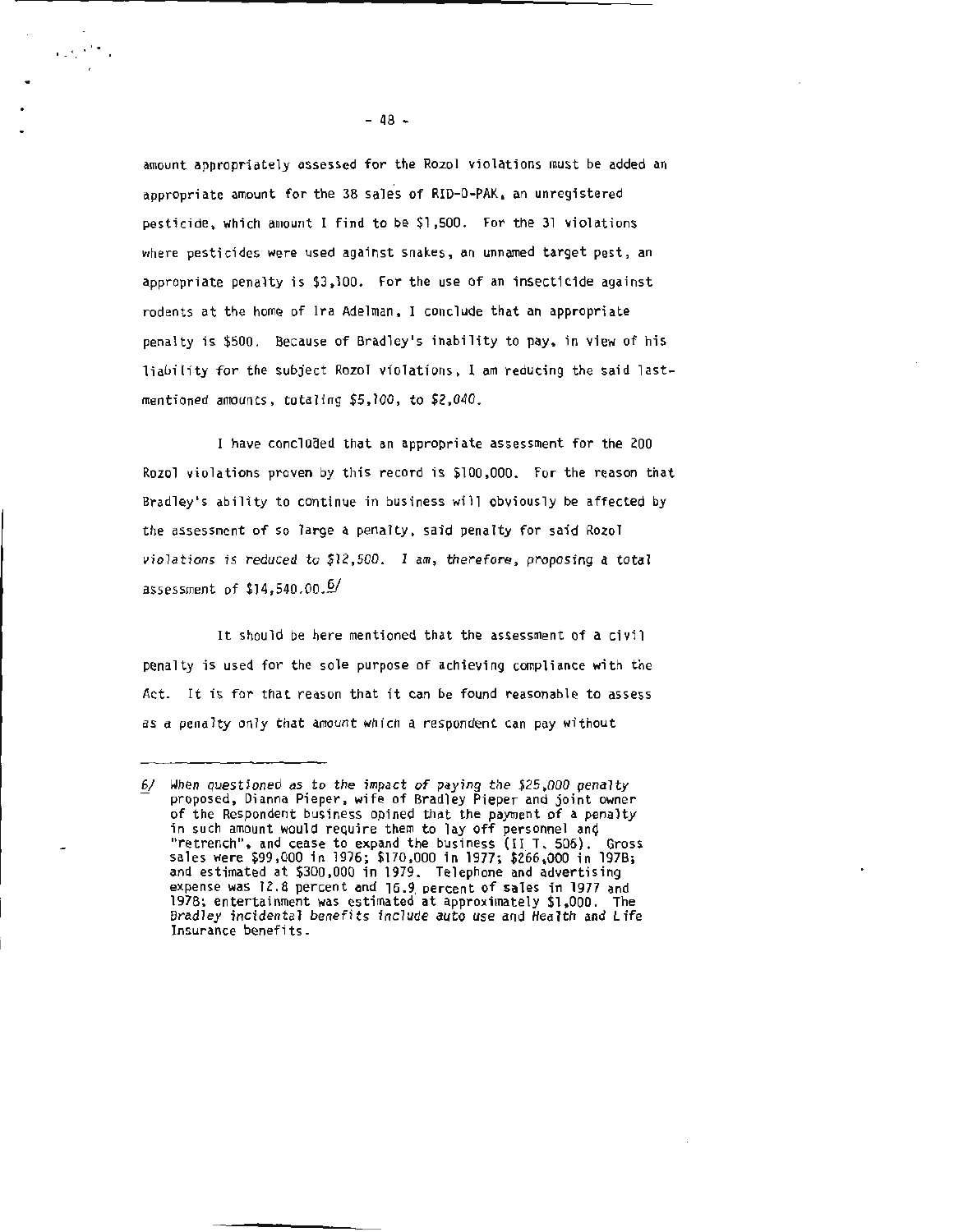amount appropriately assessed for the Rozel violations must be added an appropriate amount for the 38 sales of RID-0-PAK, an unregistered pesticide, which amount I find to be \$1 ,500. For the 31 violations where pesticides were used against snakes, an unnamed target pest, an appropriate penalty is \$3 ,100. For the use of an insecticide against rodents at the home of Ira Adelman. I conclude that an appropriate penalty is \$500. Because of Bradley's inability to pay, in view of his liability for the subject Rozel violations , I am reducing the said lastmentioned amounts, totaling \$5,100, to \$2,040.

I have concluded that an appropriate assessment for the 200 Rozel violations proven by this record is \$100 ,000. For the reason that Bradley's ability to continue in business will obviously be affected by the assessment of so large a penalty, said penalty for said Rozel violations is reduced to \$12,500. I am, therefore, proposing a total assessment of \$14,540.00.§/

It should be here mentioned that the assessment of a civil penalty is used for the sole purpose of achieving compliance with the Act. It is for that reason that it can be found reasonable to assess as a penalty only that amount which a respondent can pay without

.. . . . '

*<sup>§!</sup>* When questioned as to the impact of paying the \$25,000 penalty proposed, Dianna Pieper, wife of Bradley Pieper and joint owner of the Respondent business opined that the payment of a penalty of the Response of a personnel that the payment of a personnel and in such amount would require them to lay off personnel and "retrench", and cease to expand the business (II T. 506). Gross sales were \$99,000 in 1976; \$170,000 in 1977; \$266,000 in 197B; and estimated at \$300 ,000 in 1979. Telephone and advertising expense was  $12.8$  percent and  $16.9$  percent of sales in 1977 and 1978; entertainment was estimated at approximately \$1,000. The Bradley incidental benefits include auto use and Health and Life Insurance benefits.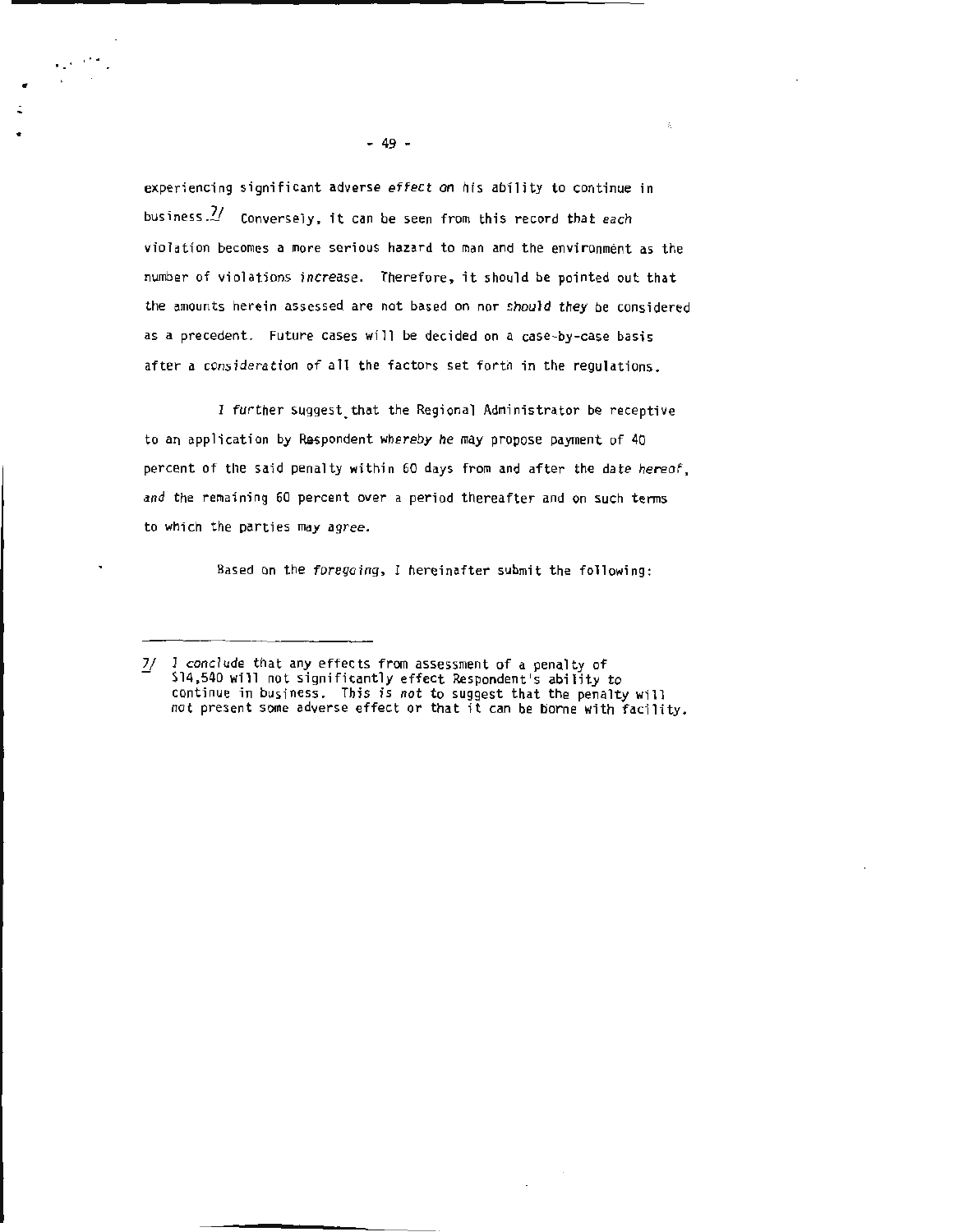experiencing significant adverse effect on his ability to continue in business. $\mathcal{U}$  Conversely, it can be seen from this record that each violation becomes a more serious hazard to man and the environment as the number of violations increase. Therefore, it should be pointed out that the amounts herein assessed are not based on nor should they be considered as a precedent. Future cases will be decided on a case-by-case basis after a consideration of all the factors set forth in the regulations.

I further suggest. that the Regional Administrator be receptive to an application by Respondent whereby he may propose payment of 40 percent of the said penalty within 60 days from and after the date hereof, and the remaining 60 percent over a period thereafter and on such terms to which the parties may agree.

Based on the foregoing, I hereinafter submit the following:

•

 $\mathbb{R}^{n \times n}$  .

<sup>7/</sup> I conclude that any effects from assessment of a penalty of \$14,540 will not significantly effect Respondent's ability to continue in business. This is not to suggest that the penalty will not present some adverse effect or that it can be borne with facility.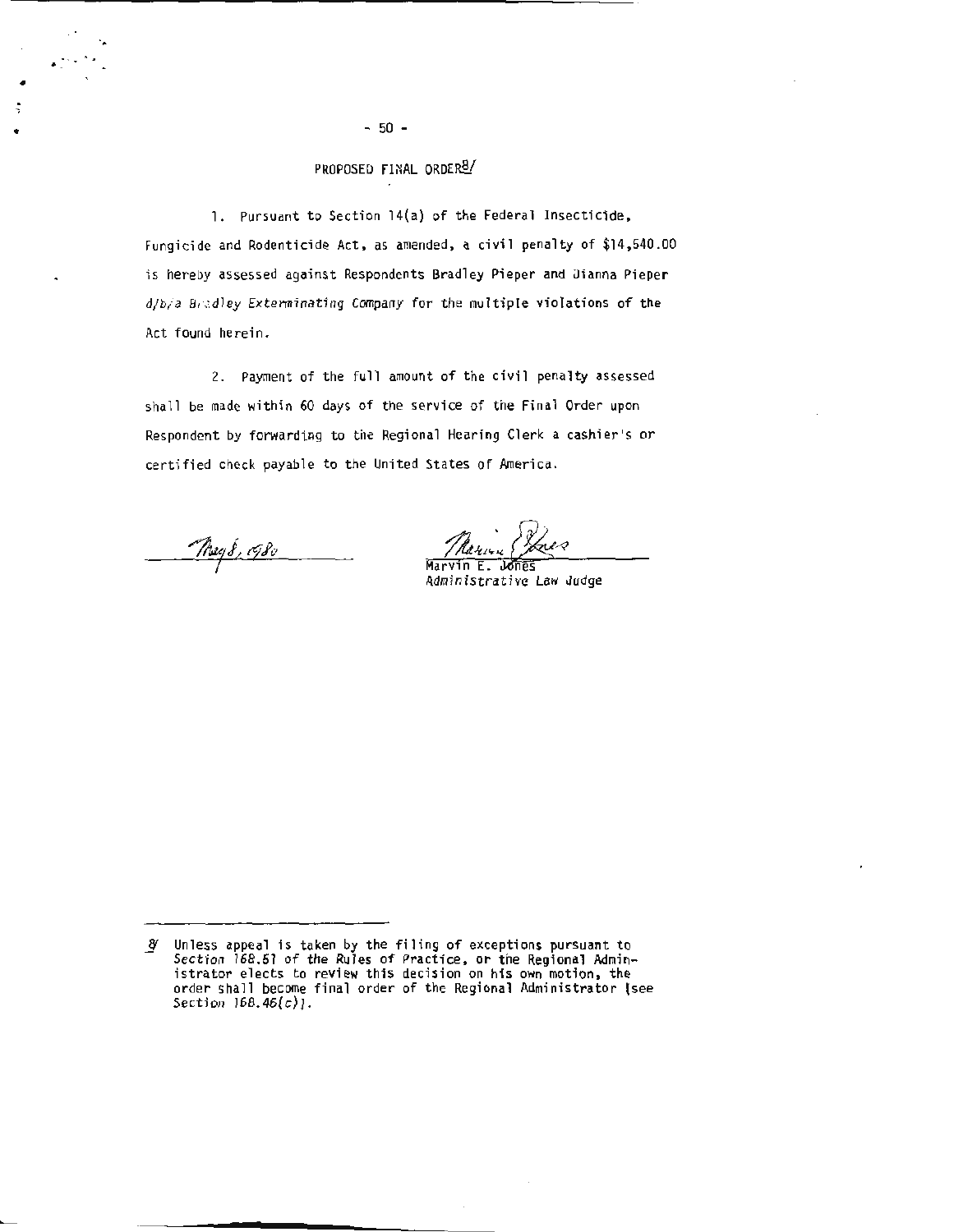# PROPOSED FINAL ORDER<sup>8/</sup>

1. Pursuant to Section 14(a) of the Federal Insecticide, Fungicide and Rodenticide Act, as amended, a civil penalty of \$14,540.00 is hereby assessed against Respondents Bradley Pieper and Dianna Pieper d/b/a Bradley Exterminating Company for the multiple violations of the Act found herein.

2. Payment of the full amount of the civil penalty assessed shall be made within 60 days of the service of the Final Order upon Respondent by forwarding to the Regional Hearing Clerk a cashier's or certified check payable to the United States of America.

 $-$ May 8, 1980

.... ..

•

Marcyn Ch

Administrative Law Judge

g Unless appeal is taken by the filing of exceptions pursuant to Section 168.51 of the Rules of Practice, or the Regional Administrator elects to review this decision on his own motion, the order shall become final order of the Regional Administrator (see Section 168.46(c)].